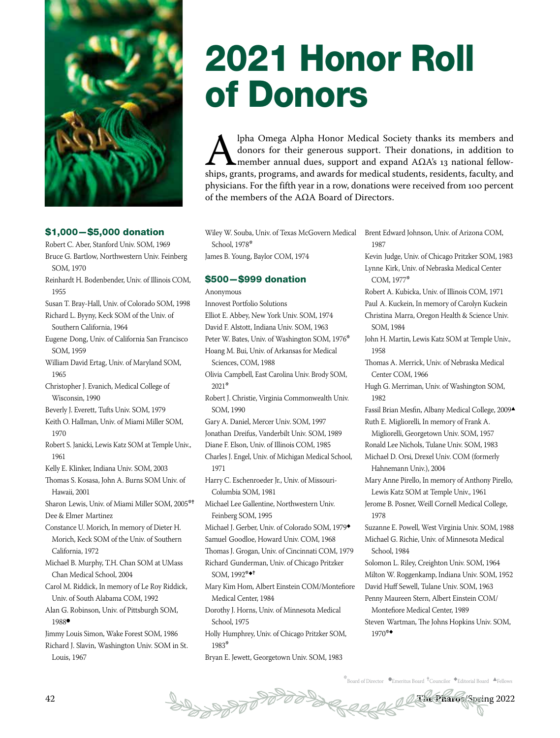

## \$1,000—\$5,000 donation

- Robert C. Aber, Stanford Univ. SOM, 1969 Bruce G. Bartlow, Northwestern Univ. Feinberg SOM, 1970
- Reinhardt H. Bodenbender, Univ. of Illinois COM, 1955
- Susan T. Bray-Hall, Univ. of Colorado SOM, 1998 Richard L. Byyny, Keck SOM of the Univ. of Southern California, 1964
- Eugene Dong, Univ. of California San Francisco SOM, 1959
- William David Ertag, Univ. of Maryland SOM, 1965
- Christopher J. Evanich, Medical College of Wisconsin, 1990
- Beverly J. Everett, Tufts Univ. SOM, 1979
- Keith O. Hallman, Univ. of Miami Miller SOM, 1970
- Robert S. Janicki, Lewis Katz SOM at Temple Univ., 1961

Kelly E. Klinker, Indiana Univ. SOM, 2003

- Thomas S. Kosasa, John A. Burns SOM Univ. of Hawaii, 2001
- Sharon Lewis, Univ. of Miami Miller SOM, 2005<sup>\*†</sup> Dee & Elmer Martinez
- Constance U. Morich, In memory of Dieter H. Morich, Keck SOM of the Univ. of Southern California, 1972
- Michael B. Murphy, T.H. Chan SOM at UMass Chan Medical School, 2004

Carol M. Riddick, In memory of Le Roy Riddick, Univ. of South Alabama COM, 1992

Alan G. Robinson, Univ. of Pittsburgh SOM, 1988

Jimmy Louis Simon, Wake Forest SOM, 1986 Richard J. Slavin, Washington Univ. SOM in St. Louis, 1967

# 2021 Honor Roll of Donors

**Alpha Omega Alpha Honor Medical Society thanks its members and donors for their generous support. Their donations, in addition to member annual dues, support and expand**  $A\Omega A$ **'s 13 national fellowships, grants, programs,** donors for their generous support. Their donations, in addition to member annual dues, support and expand  $A\Omega A$ 's 13 national fellowphysicians. For the fifth year in a row, donations were received from 100 percent of the members of the AΩA Board of Directors.

Wiley W. Souba, Univ. of Texas McGovern Medical School, 1978\*

James B. Young, Baylor COM, 1974

## \$500—\$999 donation

- Anonymous Innovest Portfolio Solutions Elliot E. Abbey, New York Univ. SOM, 1974 David F. Alstott, Indiana Univ. SOM, 1963 Peter W. Bates, Univ. of Washington SOM, 1976\* Hoang M. Bui, Univ. of Arkansas for Medical Sciences, COM, 1988 Olivia Campbell, East Carolina Univ. Brody SOM, 2021\* Robert J. Christie, Virginia Commonwealth Univ. SOM, 1990 Gary A. Daniel, Mercer Univ. SOM, 1997 Jonathan Dreifus, Vanderbilt Univ. SOM, 1989 Diane F. Elson, Univ. of Illinois COM, 1985 Charles J. Engel, Univ. of Michigan Medical School, 1971 Harry C. Eschenroeder Jr., Univ. of Missouri-Columbia SOM, 1981 Michael Lee Gallentine, Northwestern Univ. Feinberg SOM, 1995 Michael J. Gerber, Univ. of Colorado SOM, 1979◆ Samuel Goodloe, Howard Univ. COM, 1968 Thomas J. Grogan, Univ. of Cincinnati COM, 1979 Richard Gunderman, Univ. of Chicago Pritzker SOM, 1992<sup>\*◆†</sup> Mary Kim Hom, Albert Einstein COM/Montefiore Medical Center, 1984 Dorothy J. Horns, Univ. of Minnesota Medical School, 1975
- Holly Humphrey, Univ. of Chicago Pritzker SOM, 1983\*

Bryan E. Jewett, Georgetown Univ. SOM, 1983

Brent Edward Johnson, Univ. of Arizona COM, 1987

Kevin Judge, Univ. of Chicago Pritzker SOM, 1983 Lynne Kirk, Univ. of Nebraska Medical Center COM, 1977\*

Robert A. Kubicka, Univ. of Illinois COM, 1971 Paul A. Kuckein, In memory of Carolyn Kuckein Christina Marra, Oregon Health & Science Univ. SOM, 1984

John H. Martin, Lewis Katz SOM at Temple Univ., 1958

Thomas A. Merrick, Univ. of Nebraska Medical Center COM, 1966

- Hugh G. Merriman, Univ. of Washington SOM, 1982
- Fassil Brian Mesfin, Albany Medical College, 2009<sup>4</sup> Ruth E. Migliorelli, In memory of Frank A.

Migliorelli, Georgetown Univ. SOM, 1957

Ronald Lee Nichols, Tulane Univ. SOM, 1983

Michael D. Orsi, Drexel Univ. COM (formerly Hahnemann Univ.), 2004

Mary Anne Pirello, In memory of Anthony Pirello, Lewis Katz SOM at Temple Univ., 1961

Jerome B. Posner, Weill Cornell Medical College, 1978

Suzanne E. Powell, West Virginia Univ. SOM, 1988 Michael G. Richie, Univ. of Minnesota Medical

School, 1984

Solomon L. Riley, Creighton Univ. SOM, 1964 Milton W. Roggenkamp, Indiana Univ. SOM, 1952 David Huff Sewell, Tulane Univ. SOM, 1963

Penny Maureen Stern, Albert Einstein COM/ Montefiore Medical Center, 1989 Steven Wartman, The Johns Hopkins Univ. SOM,

1970\*◆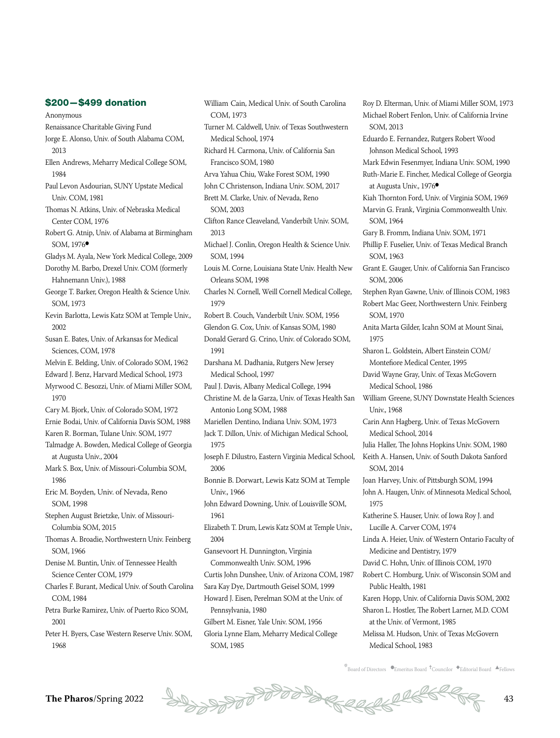#### \$200—\$499 donation

Anonymous

Renaissance Charitable Giving Fund

- Jorge E. Alonso, Univ. of South Alabama COM, 2013
- Ellen Andrews, Meharry Medical College SOM, 1984
- Paul Levon Asdourian, SUNY Upstate Medical Univ. COM, 1981
- Thomas N. Atkins, Univ. of Nebraska Medical Center COM, 1976
- Robert G. Atnip, Univ. of Alabama at Birmingham SOM, 1976<sup>·</sup>
- Gladys M. Ayala, New York Medical College, 2009
- Dorothy M. Barbo, Drexel Univ. COM (formerly Hahnemann Univ.), 1988
- George T. Barker, Oregon Health & Science Univ. SOM, 1973
- Kevin Barlotta, Lewis Katz SOM at Temple Univ., 2002
- Susan E. Bates, Univ. of Arkansas for Medical Sciences, COM, 1978
- Melvin E. Belding, Univ. of Colorado SOM, 1962
- Edward J. Benz, Harvard Medical School, 1973
- Myrwood C. Besozzi, Univ. of Miami Miller SOM, 1970
- Cary M. Bjork, Univ. of Colorado SOM, 1972
- Ernie Bodai, Univ. of California Davis SOM, 1988
- Karen R. Borman, Tulane Univ. SOM, 1977
- Talmadge A. Bowden, Medical College of Georgia at Augusta Univ., 2004
- Mark S. Box, Univ. of Missouri-Columbia SOM, 1986
- Eric M. Boyden, Univ. of Nevada, Reno SOM, 1998
- Stephen August Brietzke, Univ. of Missouri-Columbia SOM, 2015
- Thomas A. Broadie, Northwestern Univ. Feinberg SOM, 1966
- Denise M. Buntin, Univ. of Tennessee Health Science Center COM, 1979
- Charles F. Burant, Medical Univ. of South Carolina COM, 1984
- Petra Burke Ramirez, Univ. of Puerto Rico SOM, 2001
- Peter H. Byers, Case Western Reserve Univ. SOM, 1968
- William Cain, Medical Univ. of South Carolina COM, 1973 Turner M. Caldwell, Univ. of Texas Southwestern Medical School, 1974 Richard H. Carmona, Univ. of California San Francisco SOM, 1980 Arva Yahua Chiu, Wake Forest SOM, 1990 John C Christenson, Indiana Univ. SOM, 2017 Brett M. Clarke, Univ. of Nevada, Reno SOM, 2003 Clifton Rance Cleaveland, Vanderbilt Univ. SOM, 2013 Michael J. Conlin, Oregon Health & Science Univ. SOM, 1994 Louis M. Corne, Louisiana State Univ. Health New Orleans SOM, 1998 Charles N. Cornell, Weill Cornell Medical College, 1979 Robert B. Couch, Vanderbilt Univ. SOM, 1956 Glendon G. Cox, Univ. of Kansas SOM, 1980 Donald Gerard G. Crino, Univ. of Colorado SOM, 1991 Darshana M. Dadhania, Rutgers New Jersey Medical School, 1997 Paul J. Davis, Albany Medical College, 1994 Christine M. de la Garza, Univ. of Texas Health San Antonio Long SOM, 1988 Mariellen Dentino, Indiana Univ. SOM, 1973 Jack T. Dillon, Univ. of Michigan Medical School, 1975 Joseph F. Dilustro, Eastern Virginia Medical School, 2006 Bonnie B. Dorwart, Lewis Katz SOM at Temple Univ., 1966 John Edward Downing, Univ. of Louisville SOM, 1961 Elizabeth T. Drum, Lewis Katz SOM at Temple Univ., 2004 Gansevoort H. Dunnington, Virginia Commonwealth Univ. SOM, 1996 Curtis John Dunshee, Univ. of Arizona COM, 1987 Sara Kay Dye, Dartmouth Geisel SOM, 1999 Howard J. Eisen, Perelman SOM at the Univ. of Pennsylvania, 1980 Gilbert M. Eisner, Yale Univ. SOM, 1956 Gloria Lynne Elam, Meharry Medical College SOM, 1985

Roy D. Elterman, Univ. of Miami Miller SOM, 1973 Michael Robert Fenlon, Univ. of California Irvine SOM, 2013 Eduardo E. Fernandez, Rutgers Robert Wood Johnson Medical School, 1993 Mark Edwin Fesenmyer, Indiana Univ. SOM, 1990 Ruth-Marie E. Fincher, Medical College of Georgia at Augusta Univ., 1976<sup>·</sup> Kiah Thornton Ford, Univ. of Virginia SOM, 1969 Marvin G. Frank, Virginia Commonwealth Univ. SOM, 1964 Gary B. Fromm, Indiana Univ. SOM, 1971 Phillip F. Fuselier, Univ. of Texas Medical Branch SOM, 1963 Grant E. Gauger, Univ. of California San Francisco SOM, 2006 Stephen Ryan Gawne, Univ. of Illinois COM, 1983 Robert Mac Geer, Northwestern Univ. Feinberg SOM, 1970 Anita Marta Gilder, Icahn SOM at Mount Sinai, 1975 Sharon L. Goldstein, Albert Einstein COM/ Montefiore Medical Center, 1995 David Wayne Gray, Univ. of Texas McGovern Medical School, 1986 William Greene, SUNY Downstate Health Sciences Univ., 1968 Carin Ann Hagberg, Univ. of Texas McGovern Medical School, 2014 Julia Haller, The Johns Hopkins Univ. SOM, 1980 Keith A. Hansen, Univ. of South Dakota Sanford SOM, 2014 Joan Harvey, Univ. of Pittsburgh SOM, 1994 John A. Haugen, Univ. of Minnesota Medical School, 1975 Katherine S. Hauser, Univ. of Iowa Roy J. and Lucille A. Carver COM, 1974 Linda A. Heier, Univ. of Western Ontario Faculty of Medicine and Dentistry, 1979 David C. Hohn, Univ. of Illinois COM, 1970 Robert C. Homburg, Univ. of Wisconsin SOM and Public Health, 1981 Karen Hopp, Univ. of California Davis SOM, 2002 Sharon L. Hostler, The Robert Larner, M.D. COM at the Univ. of Vermont, 1985 Melissa M. Hudson, Univ. of Texas McGovern

Medical School, 1983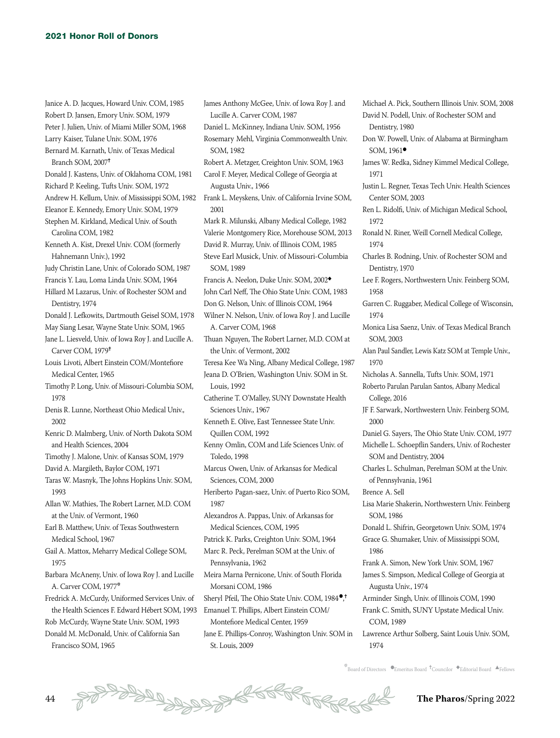Janice A. D. Jacques, Howard Univ. COM, 1985 Robert D. Jansen, Emory Univ. SOM, 1979 Peter J. Julien, Univ. of Miami Miller SOM, 1968 Larry Kaiser, Tulane Univ. SOM, 1976 Bernard M. Karnath, Univ. of Texas Medical Branch SOM, 2007<sup>+</sup> Donald J. Kastens, Univ. of Oklahoma COM, 1981 Richard P. Keeling, Tufts Univ. SOM, 1972 Andrew H. Kellum, Univ. of Mississippi SOM, 1982 Frank L. Meyskens, Univ. of California Irvine SOM, Eleanor E. Kennedy, Emory Univ. SOM, 1979 Stephen M. Kirkland, Medical Univ. of South Carolina COM, 1982 Kenneth A. Kist, Drexel Univ. COM (formerly Hahnemann Univ.), 1992 Judy Christin Lane, Univ. of Colorado SOM, 1987 Francis Y. Lau, Loma Linda Univ. SOM, 1964 Hillard M Lazarus, Univ. of Rochester SOM and Dentistry, 1974 Donald J. Lefkowits, Dartmouth Geisel SOM, 1978 May Siang Lesar, Wayne State Univ. SOM, 1965 Jane L. Liesveld, Univ. of Iowa Roy J. and Lucille A. Carver COM, 1979<sup>†</sup> Louis Livoti, Albert Einstein COM/Montefiore Medical Center, 1965 Timothy P. Long, Univ. of Missouri-Columbia SOM, 1978 Denis R. Lunne, Northeast Ohio Medical Univ., 2002 Kenric D. Malmberg, Univ. of North Dakota SOM and Health Sciences, 2004 Timothy J. Malone, Univ. of Kansas SOM, 1979 David A. Margileth, Baylor COM, 1971 Taras W. Masnyk, The Johns Hopkins Univ. SOM, 1993 Allan W. Mathies, The Robert Larner, M.D. COM at the Univ. of Vermont, 1960 Earl B. Matthew, Univ. of Texas Southwestern Medical School, 1967 Gail A. Mattox, Meharry Medical College SOM, 1975 Barbara McAneny, Univ. of Iowa Roy J. and Lucille A. Carver COM, 1977\* Fredrick A. McCurdy, Uniformed Services Univ. of the Health Sciences F. Edward Hébert SOM, 1993 Rob McCurdy, Wayne State Univ. SOM, 1993

Donald M. McDonald, Univ. of California San Francisco SOM, 1965

James Anthony McGee, Univ. of Iowa Roy J. and Lucille A. Carver COM, 1987 Daniel L. McKinney, Indiana Univ. SOM, 1956 Rosemary Mehl, Virginia Commonwealth Univ. SOM, 1982 Robert A. Metzger, Creighton Univ. SOM, 1963 Carol F. Meyer, Medical College of Georgia at Augusta Univ., 1966 2001 Mark R. Milunski, Albany Medical College, 1982 Valerie Montgomery Rice, Morehouse SOM, 2013 David R. Murray, Univ. of Illinois COM, 1985 Steve Earl Musick, Univ. of Missouri-Columbia SOM, 1989 Francis A. Neelon, Duke Univ. SOM, 2002◆ John Carl Neff, The Ohio State Univ. COM, 1983 Don G. Nelson, Univ. of Illinois COM, 1964 Wilner N. Nelson, Univ. of Iowa Roy J. and Lucille A. Carver COM, 1968 Thuan Nguyen, The Robert Larner, M.D. COM at the Univ. of Vermont, 2002 Teresa Kee Wa Ning, Albany Medical College, 1987 Jeana D. O'Brien, Washington Univ. SOM in St. Louis, 1992 Catherine T. O'Malley, SUNY Downstate Health Sciences Univ., 1967 Kenneth E. Olive, East Tennessee State Univ. Quillen COM, 1992 Kenny Omlin, COM and Life Sciences Univ. of Toledo, 1998 Marcus Owen, Univ. of Arkansas for Medical Sciences, COM, 2000 Heriberto Pagan-saez, Univ. of Puerto Rico SOM, 1987 Alexandros A. Pappas, Univ. of Arkansas for Medical Sciences, COM, 1995 Patrick K. Parks, Creighton Univ. SOM, 1964 Marc R. Peck, Perelman SOM at the Univ. of Pennsylvania, 1962 Meira Marna Pernicone, Univ. of South Florida Morsani COM, 1986 Sheryl Pfeil, The Ohio State Univ. COM, 1984<sup>.</sup>, Emanuel T. Phillips, Albert Einstein COM/ Montefiore Medical Center, 1959 Jane E. Phillips-Conroy, Washington Univ. SOM in St. Louis, 2009

Michael A. Pick, Southern Illinois Univ. SOM, 2008 David N. Podell, Univ. of Rochester SOM and Dentistry, 1980

- Don W. Powell, Univ. of Alabama at Birmingham SOM,  $1961$ <sup> $\bullet$ </sup>
- James W. Redka, Sidney Kimmel Medical College, 1971

Justin L. Regner, Texas Tech Univ. Health Sciences Center SOM, 2003

Ren L. Ridolfi, Univ. of Michigan Medical School, 1972

Ronald N. Riner, Weill Cornell Medical College, 1974

Charles B. Rodning, Univ. of Rochester SOM and Dentistry, 1970

Lee F. Rogers, Northwestern Univ. Feinberg SOM, 1958

Garren C. Ruggaber, Medical College of Wisconsin, 1974

Monica Lisa Saenz, Univ. of Texas Medical Branch SOM, 2003

Alan Paul Sandler, Lewis Katz SOM at Temple Univ., 1970

Nicholas A. Sannella, Tufts Univ. SOM, 1971

Roberto Parulan Parulan Santos, Albany Medical College, 2016

JF F. Sarwark, Northwestern Univ. Feinberg SOM, 2000

Daniel G. Sayers, The Ohio State Univ. COM, 1977

Michelle L. Schoepflin Sanders, Univ. of Rochester SOM and Dentistry, 2004

Charles L. Schulman, Perelman SOM at the Univ. of Pennsylvania, 1961

Brence A. Sell

Lisa Marie Shakerin, Northwestern Univ. Feinberg SOM, 1986

Donald L. Shifrin, Georgetown Univ. SOM, 1974 Grace G. Shumaker, Univ. of Mississippi SOM, 1986

Frank A. Simon, New York Univ. SOM, 1967

James S. Simpson, Medical College of Georgia at Augusta Univ., 1974

Arminder Singh, Univ. of Illinois COM, 1990 Frank C. Smith, SUNY Upstate Medical Univ. COM, 1989

Lawrence Arthur Solberg, Saint Louis Univ. SOM, 1974

 $*$ Board of Directors  $\bullet$ Emeritus Board  $\,^\dagger$ Councilor  $\,^\blacklozenge$ Editorial Board  $\,$   $\bullet$ Fellows

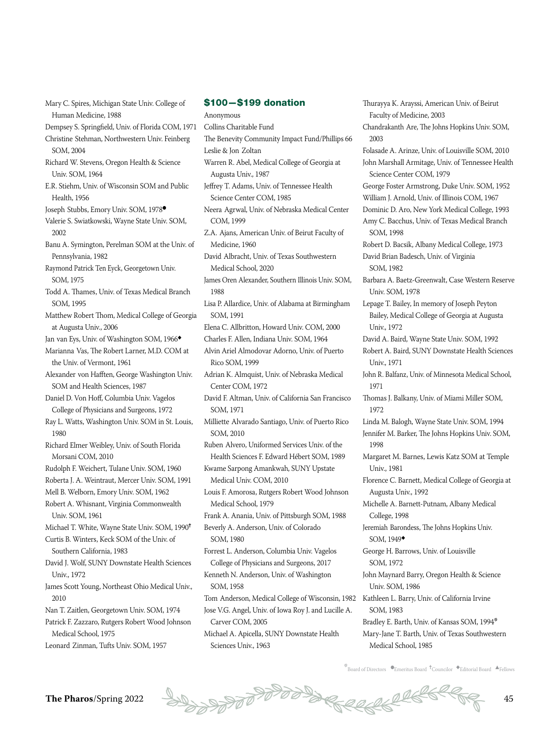Mary C. Spires, Michigan State Univ. College of Human Medicine, 1988

- Dempsey S. Springfield, Univ. of Florida COM, 1971 Christine Stehman, Northwestern Univ. Feinberg
- SOM, 2004
- Richard W. Stevens, Oregon Health & Science Univ. SOM, 1964
- E.R. Stiehm, Univ. of Wisconsin SOM and Public Health, 1956
- Joseph Stubbs, Emory Univ. SOM, 1978<sup>·</sup>
- Valerie S. Swiatkowski, Wayne State Univ. SOM, 2002
- Banu A. Symington, Perelman SOM at the Univ. of Pennsylvania, 1982
- Raymond Patrick Ten Eyck, Georgetown Univ. SOM, 1975
- Todd A. Thames, Univ. of Texas Medical Branch SOM, 1995
- Matthew Robert Thom, Medical College of Georgia at Augusta Univ., 2006
- Jan van Eys, Univ. of Washington SOM, 1966◆
- Marianna Vas, The Robert Larner, M.D. COM at the Univ. of Vermont, 1961
- Alexander von Hafften, George Washington Univ. SOM and Health Sciences, 1987
- Daniel D. Von Hoff, Columbia Univ. Vagelos College of Physicians and Surgeons, 1972
- Ray L. Watts, Washington Univ. SOM in St. Louis, 1980
- Richard Elmer Weibley, Univ. of South Florida Morsani COM, 2010
- Rudolph F. Weichert, Tulane Univ. SOM, 1960
- Roberta J. A. Weintraut, Mercer Univ. SOM, 1991
- Mell B. Welborn, Emory Univ. SOM, 1962
- Robert A. Whisnant, Virginia Commonwealth Univ. SOM, 1961
- Michael T. White, Wayne State Univ. SOM, 1990<sup>=</sup> Curtis B. Winters, Keck SOM of the Univ. of
- Southern California, 1983
- David J. Wolf, SUNY Downstate Health Sciences Univ., 1972
- James Scott Young, Northeast Ohio Medical Univ., 2010
- Nan T. Zaitlen, Georgetown Univ. SOM, 1974
- Patrick F. Zazzaro, Rutgers Robert Wood Johnson Medical School, 1975
- Leonard Zinman, Tufts Univ. SOM, 1957

#### \$100—\$199 donation

- Anonymous Collins Charitable Fund The Benevity Community Impact Fund/Phillips 66 Leslie & Jon Zoltan Warren R. Abel, Medical College of Georgia at Augusta Univ., 1987 Jeffrey T. Adams, Univ. of Tennessee Health Science Center COM, 1985 Neera Agrwal, Univ. of Nebraska Medical Center COM, 1999 Z.A. Ajans, American Univ. of Beirut Faculty of Medicine, 1960 David Albracht, Univ. of Texas Southwestern Medical School, 2020 James Oren Alexander, Southern Illinois Univ. SOM, 1988 Lisa P. Allardice, Univ. of Alabama at Birmingham SOM, 1991 Elena C. Allbritton, Howard Univ. COM, 2000 Charles F. Allen, Indiana Univ. SOM, 1964 Alvin Ariel Almodovar Adorno, Univ. of Puerto Rico SOM, 1999 Adrian K. Almquist, Univ. of Nebraska Medical Center COM, 1972 David F. Altman, Univ. of California San Francisco SOM, 1971 Milliette Alvarado Santiago, Univ. of Puerto Rico SOM, 2010 Ruben Alvero, Uniformed Services Univ. of the Health Sciences F. Edward Hébert SOM, 1989 Kwame Sarpong Amankwah, SUNY Upstate Medical Univ. COM, 2010 Louis F. Amorosa, Rutgers Robert Wood Johnson Medical School, 1979 Frank A. Anania, Univ. of Pittsburgh SOM, 1988 Beverly A. Anderson, Univ. of Colorado SOM, 1980 Forrest L. Anderson, Columbia Univ. Vagelos College of Physicians and Surgeons, 2017 Kenneth N. Anderson, Univ. of Washington SOM, 1958 Tom Anderson, Medical College of Wisconsin, 1982 Jose V.G. Angel, Univ. of Iowa Roy J. and Lucille A. Carver COM, 2005
- Michael A. Apicella, SUNY Downstate Health Sciences Univ., 1963

Thurayya K. Arayssi, American Univ. of Beirut Faculty of Medicine, 2003 Chandrakanth Are, The Johns Hopkins Univ. SOM, 2003 Folasade A. Arinze, Univ. of Louisville SOM, 2010 John Marshall Armitage, Univ. of Tennessee Health Science Center COM, 1979 George Foster Armstrong, Duke Univ. SOM, 1952 William J. Arnold, Univ. of Illinois COM, 1967 Dominic D. Aro, New York Medical College, 1993 Amy C. Bacchus, Univ. of Texas Medical Branch SOM, 1998 Robert D. Bacsik, Albany Medical College, 1973 David Brian Badesch, Univ. of Virginia SOM, 1982 Barbara A. Baetz-Greenwalt, Case Western Reserve Univ. SOM, 1978 Lepage T. Bailey, In memory of Joseph Peyton Bailey, Medical College of Georgia at Augusta Univ. 1972 David A. Baird, Wayne State Univ. SOM, 1992 Robert A. Baird, SUNY Downstate Health Sciences Univ., 1971 John R. Balfanz, Univ. of Minnesota Medical School, 1971 Thomas J. Balkany, Univ. of Miami Miller SOM, 1972 Linda M. Balogh, Wayne State Univ. SOM, 1994 Jennifer M. Barker, The Johns Hopkins Univ. SOM, 1998 Margaret M. Barnes, Lewis Katz SOM at Temple Univ., 1981 Florence C. Barnett, Medical College of Georgia at Augusta Univ., 1992 Michelle A. Barnett-Putnam, Albany Medical College, 1998 Jeremiah Barondess, The Johns Hopkins Univ. SOM, 1949◆ George H. Barrows, Univ. of Louisville SOM, 1972 John Maynard Barry, Oregon Health & Science Univ. SOM, 1986 Kathleen L. Barry, Univ. of California Irvine SOM, 1983 Bradley E. Barth, Univ. of Kansas SOM, 1994\* Mary-Jane T. Barth, Univ. of Texas Southwestern Medical School, 1985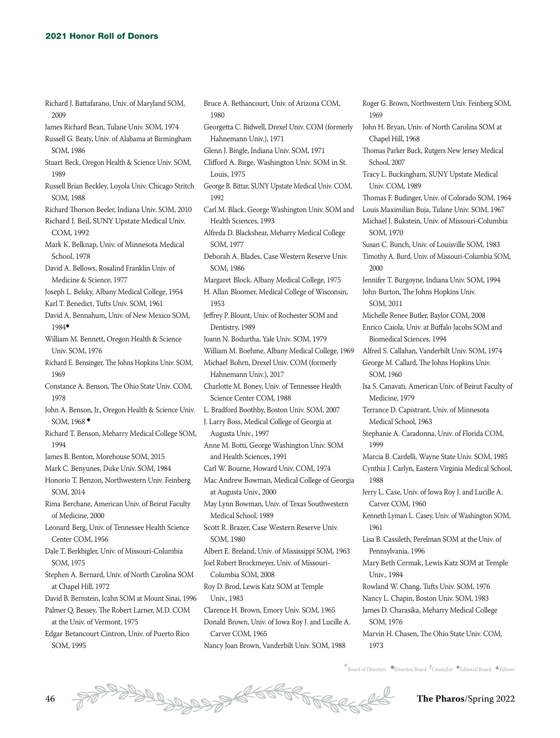- Richard J. Battafarano, Univ. of Maryland SOM, 2009
- James Richard Bean, Tulane Univ. SOM, 1974
- Russell G. Beaty, Univ. of Alabama at Birmingham SOM, 1986
- Stuart Beck, Oregon Health & Science Univ. SOM, 1989
- Russell Brian Beckley, Loyola Univ. Chicago Stritch SOM, 1988
- Richard Thorson Beeler, Indiana Univ. SOM, 2010
- Richard J. Beil, SUNY Upstate Medical Univ. COM, 1992
- Mark K. Belknap, Univ. of Minnesota Medical School, 1978
- David A. Bellows, Rosalind Franklin Univ. of Medicine & Science, 1977
- Joseph L. Belsky, Albany Medical College, 1954
- Karl T. Benedict, Tufts Univ. SOM, 1961
- David A. Bennahum, Univ. of New Mexico SOM, 1984◆
- William M. Bennett, Oregon Health & Science Univ. SOM, 1976
- Richard E. Bensinger, The Johns Hopkins Univ. SOM, 1969
- Constance A. Benson, The Ohio State Univ. COM, 1978
- John A. Benson, Jr., Oregon Health & Science Univ. SOM, 1968 ◆
- Richard T. Benson, Meharry Medical College SOM, 1994
- James B. Benton, Morehouse SOM, 2015
- Mark C. Benyunes, Duke Univ. SOM, 1984
- Honorio T. Benzon, Northwestern Univ. Feinberg SOM, 2014
- Rima Berchane, American Univ. of Beirut Faculty of Medicine, 2000
- Leonard Berg, Univ. of Tennessee Health Science Center COM, 1956
- Dale T. Berkbigler, Univ. of Missouri-Columbia SOM, 1975
- Stephen A. Bernard, Univ. of North Carolina SOM at Chapel Hill, 1972
- David B. Bernstein, Icahn SOM at Mount Sinai, 1996 Palmer Q. Bessey, The Robert Larner, M.D. COM
- at the Univ. of Vermont, 1975 Edgar Betancourt Cintron, Univ. of Puerto Rico
- SOM, 1995
- Bruce A. Bethancourt, Univ. of Arizona COM, 1980
- Georgetta C. Bidwell, Drexel Univ. COM (formerly Hahnemann Univ.), 1971
- Glenn J. Bingle, Indiana Univ. SOM, 1971
- Clifford A. Birge, Washington Univ. SOM in St. Louis, 1975
- George B. Bittar, SUNY Upstate Medical Univ. COM, 1992
- Carl M. Black, George Washington Univ. SOM and Health Sciences, 1993
- Alfreda D. Blackshear, Meharry Medical College SOM, 1977
- Deborah A. Blades, Case Western Reserve Univ. SOM, 1986
- Margaret Block, Albany Medical College, 1975
- H. Allan Bloomer, Medical College of Wisconsin, 1953
- Jeffrey P. Blount, Univ. of Rochester SOM and Dentistry, 1989
- Joann N. Bodurtha, Yale Univ. SOM, 1979
- William M. Boehme, Albany Medical College, 1969
- Michael Bohrn, Drexel Univ. COM (formerly Hahnemann Univ.), 2017
- Charlotte M. Boney, Univ. of Tennessee Health Science Center COM, 1988
- L. Bradford Boothby, Boston Univ. SOM, 2007
- J. Larry Boss, Medical College of Georgia at Augusta Univ., 1997
- Anne M. Botti, George Washington Univ. SOM and Health Sciences, 1991
- Carl W. Bourne, Howard Univ. COM, 1974
- Mac Andrew Bowman, Medical College of Georgia at Augusta Univ., 2000
- May Lynn Bowman, Univ. of Texas Southwestern Medical School, 1989
- Scott R. Brazer, Case Western Reserve Univ. SOM, 1980
- Albert E. Breland, Univ. of Mississippi SOM, 1963 Joel Robert Brockmeyer, Univ. of Missouri-Columbia SOM, 2008
- Roy D. Brod, Lewis Katz SOM at Temple Univ., 1983
- Clarence H. Brown, Emory Univ. SOM, 1965 Donald Brown, Univ. of Iowa Roy J. and Lucille A. Carver COM, 1965
- Nancy Joan Brown, Vanderbilt Univ. SOM, 1988

1969 John H. Bryan, Univ. of North Carolina SOM at Chapel Hill, 1968 Thomas Parker Buck, Rutgers New Jersey Medical School, 2007 Tracy L. Buckingham, SUNY Upstate Medical Univ. COM, 1989 Thomas F. Budinger, Univ. of Colorado SOM, 1964 Louis Maximilian Buja, Tulane Univ. SOM, 1967 Michael J. Bukstein, Univ. of Missouri-Columbia SOM, 1970 Susan C. Bunch, Univ. of Louisville SOM, 1983 Timothy A. Burd, Univ. of Missouri-Columbia SOM, 2000 Jennifer T. Burgoyne, Indiana Univ. SOM, 1994 John Burton, The Johns Hopkins Univ. SOM, 2011 Michelle Renee Butler, Baylor COM, 2008 Enrico Caiola, Univ. at Buffalo Jacobs SOM and Biomedical Sciences, 1994 Alfred S. Callahan, Vanderbilt Univ. SOM, 1974 George M. Callard, The Johns Hopkins Univ. SOM, 1960 Isa S. Canavati, American Univ. of Beirut Faculty of Medicine, 1979 Terrance D. Capistrant, Univ. of Minnesota Medical School, 1963 Stephanie A. Caradonna, Univ. of Florida COM, 1999 Marcia B. Cardelli, Wayne State Univ. SOM, 1985 Cynthia J. Carlyn, Eastern Virginia Medical School, 1988 Jerry L. Case, Univ. of Iowa Roy J. and Lucille A. Carver COM, 1960 Kenneth Lyman L. Casey, Univ. of Washington SOM, 1961 Lisa B. Cassileth, Perelman SOM at the Univ. of Pennsylvania, 1996 Mary Beth Cermak, Lewis Katz SOM at Temple Univ., 1984 Rowland W. Chang, Tufts Univ. SOM, 1976 Nancy L. Chapin, Boston Univ. SOM, 1983 James D. Charasika, Meharry Medical College

Roger G. Brown, Northwestern Univ. Feinberg SOM,

SOM, 1976

Marvin H. Chasen, The Ohio State Univ. COM, 1973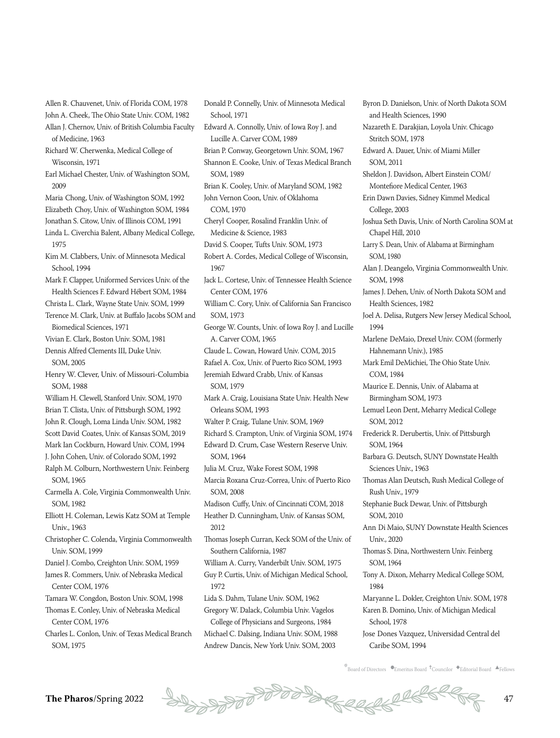Allen R. Chauvenet, Univ. of Florida COM, 1978 John A. Cheek, The Ohio State Univ. COM, 1982

- Allan J. Chernov, Univ. of British Columbia Faculty of Medicine, 1963
- Richard W. Cherwenka, Medical College of Wisconsin, 1971
- Earl Michael Chester, Univ. of Washington SOM, 2009
- Maria Chong, Univ. of Washington SOM, 1992
- Elizabeth Choy, Univ. of Washington SOM, 1984
- Jonathan S. Citow, Univ. of Illinois COM, 1991 Linda L. Civerchia Balent, Albany Medical College, 1975
- Kim M. Clabbers, Univ. of Minnesota Medical School, 1994
- Mark F. Clapper, Uniformed Services Univ. of the Health Sciences F. Edward Hébert SOM, 1984
- Christa L. Clark, Wayne State Univ. SOM, 1999 Terence M. Clark, Univ. at Buffalo Jacobs SOM and Biomedical Sciences, 1971
- Vivian E. Clark, Boston Univ. SOM, 1981
- Dennis Alfred Clements III, Duke Univ. SOM, 2005
- Henry W. Clever, Univ. of Missouri-Columbia SOM, 1988
- William H. Clewell, Stanford Univ. SOM, 1970
- Brian T. Clista, Univ. of Pittsburgh SOM, 1992
- John R. Clough, Loma Linda Univ. SOM, 1982
- Scott David Coates, Univ. of Kansas SOM, 2019
- Mark Ian Cockburn, Howard Univ. COM, 1994
- J. John Cohen, Univ. of Colorado SOM, 1992
- Ralph M. Colburn, Northwestern Univ. Feinberg SOM, 1965
- Carmella A. Cole, Virginia Commonwealth Univ. SOM, 1982
- Elliott H. Coleman, Lewis Katz SOM at Temple Univ., 1963
- Christopher C. Colenda, Virginia Commonwealth Univ. SOM, 1999
- Daniel J. Combo, Creighton Univ. SOM, 1959
- James R. Commers, Univ. of Nebraska Medical Center COM, 1976
- Tamara W. Congdon, Boston Univ. SOM, 1998 Thomas E. Conley, Univ. of Nebraska Medical Center COM, 1976
- Charles L. Conlon, Univ. of Texas Medical Branch SOM, 1975

Donald P. Connelly, Univ. of Minnesota Medical School, 1971 Edward A. Connolly, Univ. of Iowa Roy J. and Lucille A. Carver COM, 1989 Brian P. Conway, Georgetown Univ. SOM, 1967 Shannon E. Cooke, Univ. of Texas Medical Branch SOM, 1989 Brian K. Cooley, Univ. of Maryland SOM, 1982 John Vernon Coon, Univ. of Oklahoma COM, 1970 Cheryl Cooper, Rosalind Franklin Univ. of Medicine & Science, 1983 David S. Cooper, Tufts Univ. SOM, 1973 Robert A. Cordes, Medical College of Wisconsin, 1967 Jack L. Cortese, Univ. of Tennessee Health Science Center COM, 1976 William C. Cory, Univ. of California San Francisco SOM, 1973 George W. Counts, Univ. of Iowa Roy J. and Lucille A. Carver COM, 1965 Claude L. Cowan, Howard Univ. COM, 2015 Rafael A. Cox, Univ. of Puerto Rico SOM, 1993 Jeremiah Edward Crabb, Univ. of Kansas SOM, 1979 Mark A. Craig, Louisiana State Univ. Health New Orleans SOM, 1993 Walter P. Craig, Tulane Univ. SOM, 1969 Richard S. Crampton, Univ. of Virginia SOM, 1974 Edward D. Crum, Case Western Reserve Univ. SOM, 1964 Julia M. Cruz, Wake Forest SOM, 1998 Marcia Roxana Cruz-Correa, Univ. of Puerto Rico SOM, 2008 Madison Cuffy, Univ. of Cincinnati COM, 2018 Heather D. Cunningham, Univ. of Kansas SOM, 2012 Thomas Joseph Curran, Keck SOM of the Univ. of Southern California, 1987 William A. Curry, Vanderbilt Univ. SOM, 1975 Guy P. Curtis, Univ. of Michigan Medical School, 1972 Lida S. Dahm, Tulane Univ. SOM, 1962 Gregory W. Dalack, Columbia Univ. Vagelos College of Physicians and Surgeons, 1984

Michael C. Dalsing, Indiana Univ. SOM, 1988 Andrew Dancis, New York Univ. SOM, 2003

Byron D. Danielson, Univ. of North Dakota SOM and Health Sciences, 1990 Nazareth E. Darakjian, Loyola Univ. Chicago Stritch SOM, 1978 Edward A. Dauer, Univ. of Miami Miller SOM, 2011 Sheldon J. Davidson, Albert Einstein COM/ Montefiore Medical Center, 1963 Erin Dawn Davies, Sidney Kimmel Medical College, 2003 Joshua Seth Davis, Univ. of North Carolina SOM at Chapel Hill, 2010 Larry S. Dean, Univ. of Alabama at Birmingham SOM, 1980 Alan J. Deangelo, Virginia Commonwealth Univ. SOM, 1998 James J. Dehen, Univ. of North Dakota SOM and Health Sciences, 1982 Joel A. Delisa, Rutgers New Jersey Medical School, 1994 Marlene DeMaio, Drexel Univ. COM (formerly Hahnemann Univ.), 1985 Mark Emil DeMichiei, The Ohio State Univ. COM, 1984 Maurice E. Dennis, Univ. of Alabama at Birmingham SOM, 1973 Lemuel Leon Dent, Meharry Medical College SOM, 2012 Frederick R. Derubertis, Univ. of Pittsburgh SOM, 1964 Barbara G. Deutsch, SUNY Downstate Health Sciences Univ., 1963 Thomas Alan Deutsch, Rush Medical College of Rush Univ., 1979 Stephanie Buck Dewar, Univ. of Pittsburgh SOM, 2010 Ann Di Maio, SUNY Downstate Health Sciences Univ., 2020 Thomas S. Dina, Northwestern Univ. Feinberg SOM, 1964 Tony A. Dixon, Meharry Medical College SOM, 1984 Maryanne L. Dokler, Creighton Univ. SOM, 1978 Karen B. Domino, Univ. of Michigan Medical School, 1978 Jose Dones Vazquez, Universidad Central del

Caribe SOM, 1994

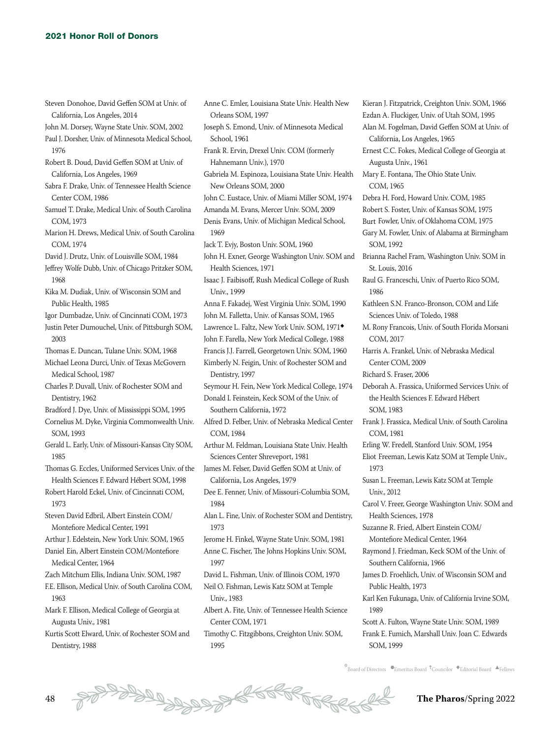Steven Donohoe, David Geffen SOM at Univ. of California, Los Angeles, 2014

John M. Dorsey, Wayne State Univ. SOM, 2002

Paul J. Dorsher, Univ. of Minnesota Medical School, 1976

Robert B. Doud, David Geffen SOM at Univ. of California, Los Angeles, 1969

Sabra F. Drake, Univ. of Tennessee Health Science Center COM, 1986

Samuel T. Drake, Medical Univ. of South Carolina COM, 1973

Marion H. Drews, Medical Univ. of South Carolina COM, 1974

David J. Drutz, Univ. of Louisville SOM, 1984

- Jeffrey Wolfe Dubb, Univ. of Chicago Pritzker SOM, 1968
- Kika M. Dudiak, Univ. of Wisconsin SOM and Public Health, 1985

Igor Dumbadze, Univ. of Cincinnati COM, 1973

Justin Peter Dumouchel, Univ. of Pittsburgh SOM, 2003

Thomas E. Duncan, Tulane Univ. SOM, 1968

- Michael Leona Durci, Univ. of Texas McGovern Medical School, 1987
- Charles P. Duvall, Univ. of Rochester SOM and Dentistry, 1962
- Bradford J. Dye, Univ. of Mississippi SOM, 1995
- Cornelius M. Dyke, Virginia Commonwealth Univ. SOM, 1993
- Gerald L. Early, Univ. of Missouri-Kansas City SOM, 1985
- Thomas G. Eccles, Uniformed Services Univ. of the Health Sciences F. Edward Hébert SOM, 1998
- Robert Harold Eckel, Univ. of Cincinnati COM, 1973
- Steven David Edbril, Albert Einstein COM/ Montefiore Medical Center, 1991
- Arthur J. Edelstein, New York Univ. SOM, 1965
- Daniel Ein, Albert Einstein COM/Montefiore Medical Center, 1964

Zach Mitchum Ellis, Indiana Univ. SOM, 1987

- F.E. Ellison, Medical Univ. of South Carolina COM, 1963
- Mark F. Ellison, Medical College of Georgia at Augusta Univ., 1981
- Kurtis Scott Elward, Univ. of Rochester SOM and Dentistry, 1988
- Anne C. Emler, Louisiana State Univ. Health New Orleans SOM, 1997 Joseph S. Emond, Univ. of Minnesota Medical School, 1961 Frank R. Ervin, Drexel Univ. COM (formerly Hahnemann Univ.), 1970 Gabriela M. Espinoza, Louisiana State Univ. Health New Orleans SOM, 2000 John C. Eustace, Univ. of Miami Miller SOM, 1974 Amanda M. Evans, Mercer Univ. SOM, 2009 Denis Evans, Univ. of Michigan Medical School, 1969 Jack T. Evjy, Boston Univ. SOM, 1960 John H. Exner, George Washington Univ. SOM and Health Sciences, 1971 Isaac J. Faibisoff, Rush Medical College of Rush Univ., 1999 Anna F. Fakadej, West Virginia Univ. SOM, 1990 John M. Falletta, Univ. of Kansas SOM, 1965 Lawrence L. Faltz, New York Univ. SOM, 1971◆ John F. Farella, New York Medical College, 1988 Francis J.J. Farrell, Georgetown Univ. SOM, 1960 Kimberly N. Feigin, Univ. of Rochester SOM and Dentistry, 1997 Seymour H. Fein, New York Medical College, 1974 Donald I. Feinstein, Keck SOM of the Univ. of Southern California, 1972 Alfred D. Felber, Univ. of Nebraska Medical Center COM, 1984 Arthur M. Feldman, Louisiana State Univ. Health Sciences Center Shreveport, 1981 James M. Felser, David Geffen SOM at Univ. of California, Los Angeles, 1979 Dee E. Fenner, Univ. of Missouri-Columbia SOM, 1984 Alan L. Fine, Univ. of Rochester SOM and Dentistry, 1973 Jerome H. Finkel, Wayne State Univ. SOM, 1981 Anne C. Fischer, The Johns Hopkins Univ. SOM, 1997 David L. Fishman, Univ. of Illinois COM, 1970 Neil O. Fishman, Lewis Katz SOM at Temple Univ., 1983 Albert A. Fite, Univ. of Tennessee Health Science Center COM, 1971 Timothy C. Fitzgibbons, Creighton Univ. SOM,
- 1995

Kieran J. Fitzpatrick, Creighton Univ. SOM, 1966 Ezdan A. Fluckiger, Univ. of Utah SOM, 1995 Alan M. Fogelman, David Geffen SOM at Univ. of California, Los Angeles, 1965 Ernest C.C. Fokes, Medical College of Georgia at Augusta Univ., 1961 Mary E. Fontana, The Ohio State Univ. COM, 1965 Debra H. Ford, Howard Univ. COM, 1985 Robert S. Foster, Univ. of Kansas SOM, 1975 Burt Fowler, Univ. of Oklahoma COM, 1975 Gary M. Fowler, Univ. of Alabama at Birmingham SOM, 1992 Brianna Rachel Fram, Washington Univ. SOM in St. Louis, 2016 Raul G. Franceschi, Univ. of Puerto Rico SOM, 1986 Kathleen S.N. Franco-Bronson, COM and Life Sciences Univ. of Toledo, 1988 M. Rony Francois, Univ. of South Florida Morsani COM, 2017 Harris A. Frankel, Univ. of Nebraska Medical Center COM, 2009 Richard S. Fraser, 2006 Deborah A. Frassica, Uniformed Services Univ. of the Health Sciences F. Edward Hébert SOM, 1983 Frank J. Frassica, Medical Univ. of South Carolina COM, 1981 Erling W. Fredell, Stanford Univ. SOM, 1954 Eliot Freeman, Lewis Katz SOM at Temple Univ., 1973 Susan L. Freeman, Lewis Katz SOM at Temple Univ., 2012 Carol V. Freer, George Washington Univ. SOM and Health Sciences, 1978 Suzanne R. Fried, Albert Einstein COM/ Montefiore Medical Center, 1964 Raymond J. Friedman, Keck SOM of the Univ. of Southern California, 1966 James D. Froehlich, Univ. of Wisconsin SOM and Public Health, 1973 Karl Ken Fukunaga, Univ. of California Irvine SOM, 1989 Scott A. Fulton, Wayne State Univ. SOM, 1989 Frank E. Fumich, Marshall Univ. Joan C. Edwards

SOM, 1999

 $*$  Board of Directors  $\bullet$  Emeritus Board  $\bullet$ Councilor  $\bullet$  Editorial Board  $\bullet$  Fellows

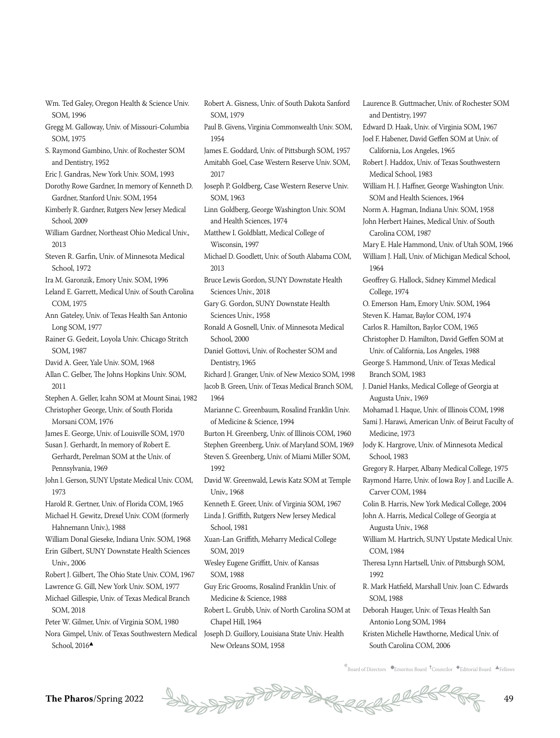- Wm. Ted Galey, Oregon Health & Science Univ. SOM, 1996
- Gregg M. Galloway, Univ. of Missouri-Columbia SOM, 1975
- S. Raymond Gambino, Univ. of Rochester SOM and Dentistry, 1952
- Eric J. Gandras, New York Univ. SOM, 1993
- Dorothy Rowe Gardner, In memory of Kenneth D. Gardner, Stanford Univ. SOM, 1954
- Kimberly R. Gardner, Rutgers New Jersey Medical School, 2009
- William Gardner, Northeast Ohio Medical Univ., 2013
- Steven R. Garfin, Univ. of Minnesota Medical School, 1972
- Ira M. Garonzik, Emory Univ. SOM, 1996
- Leland E. Garrett, Medical Univ. of South Carolina COM, 1975
- Ann Gateley, Univ. of Texas Health San Antonio Long SOM, 1977
- Rainer G. Gedeit, Loyola Univ. Chicago Stritch SOM, 1987
- David A. Geer, Yale Univ. SOM, 1968
- Allan C. Gelber, The Johns Hopkins Univ. SOM, 2011
- Stephen A. Geller, Icahn SOM at Mount Sinai, 1982 Christopher George, Univ. of South Florida
- Morsani COM, 1976 James E. George, Univ. of Louisville SOM, 1970
- Susan J. Gerhardt, In memory of Robert E. Gerhardt, Perelman SOM at the Univ. of Pennsylvania, 1969
- John I. Gerson, SUNY Upstate Medical Univ. COM, 1973
- Harold R. Gertner, Univ. of Florida COM, 1965 Michael H. Gewitz, Drexel Univ. COM (formerly
- Hahnemann Univ.), 1988 William Donal Gieseke, Indiana Univ. SOM, 1968
- Erin Gilbert, SUNY Downstate Health Sciences
- Univ., 2006
- Robert J. Gilbert, The Ohio State Univ. COM, 1967 Lawrence G. Gill, New York Univ. SOM, 1977
- Michael Gillespie, Univ. of Texas Medical Branch SOM, 2018
- Peter W. Gilmer, Univ. of Virginia SOM, 1980
- Nora Gimpel, Univ. of Texas Southwestern Medical School,  $2016\blacktriangle$
- Robert A. Gisness, Univ. of South Dakota Sanford SOM, 1979 Paul B. Givens, Virginia Commonwealth Univ. SOM, 1954 James E. Goddard, Univ. of Pittsburgh SOM, 1957 Amitabh Goel, Case Western Reserve Univ. SOM, 2017 Joseph P. Goldberg, Case Western Reserve Univ. SOM, 1963 Linn Goldberg, George Washington Univ. SOM and Health Sciences, 1974 Matthew I. Goldblatt, Medical College of Wisconsin, 1997 Michael D. Goodlett, Univ. of South Alabama COM, 2013 Bruce Lewis Gordon, SUNY Downstate Health Sciences Univ., 2018 Gary G. Gordon, SUNY Downstate Health Sciences Univ., 1958 Ronald A Gosnell, Univ. of Minnesota Medical School, 2000 Daniel Gottovi, Univ. of Rochester SOM and Dentistry, 1965 Richard J. Granger, Univ. of New Mexico SOM, 1998 Jacob B. Green, Univ. of Texas Medical Branch SOM, 1964 Marianne C. Greenbaum, Rosalind Franklin Univ. of Medicine & Science, 1994 Burton H. Greenberg, Univ. of Illinois COM, 1960 Stephen Greenberg, Univ. of Maryland SOM, 1969 Steven S. Greenberg, Univ. of Miami Miller SOM, 1992 David W. Greenwald, Lewis Katz SOM at Temple Univ., 1968 Kenneth E. Greer, Univ. of Virginia SOM, 1967 Linda J. Griffith, Rutgers New Jersey Medical School, 1981 Xuan-Lan Griffith, Meharry Medical College SOM, 2019 Wesley Eugene Griffitt, Univ. of Kansas SOM, 1988 Guy Eric Grooms, Rosalind Franklin Univ. of Medicine & Science, 1988
- Robert L. Grubb, Univ. of North Carolina SOM at Chapel Hill, 1964 Joseph D. Guillory, Louisiana State Univ. Health
- New Orleans SOM, 1958
- Laurence B. Guttmacher, Univ. of Rochester SOM and Dentistry, 1997 Edward D. Haak, Univ. of Virginia SOM, 1967 Joel F. Habener, David Geffen SOM at Univ. of California, Los Angeles, 1965 Robert J. Haddox, Univ. of Texas Southwestern Medical School, 1983 William H. J. Haffner, George Washington Univ. SOM and Health Sciences, 1964 Norm A. Hagman, Indiana Univ. SOM, 1958 John Herbert Haines, Medical Univ. of South Carolina COM, 1987 Mary E. Hale Hammond, Univ. of Utah SOM, 1966 William J. Hall, Univ. of Michigan Medical School, 1964 Geoffrey G. Hallock, Sidney Kimmel Medical College, 1974 O. Emerson Ham, Emory Univ. SOM, 1964 Steven K. Hamar, Baylor COM, 1974 Carlos R. Hamilton, Baylor COM, 1965 Christopher D. Hamilton, David Geffen SOM at Univ. of California, Los Angeles, 1988 George S. Hammond, Univ. of Texas Medical Branch SOM, 1983 J. Daniel Hanks, Medical College of Georgia at Augusta Univ., 1969 Mohamad I. Haque, Univ. of Illinois COM, 1998 Sami J. Harawi, American Univ. of Beirut Faculty of Medicine, 1973 Jody K. Hargrove, Univ. of Minnesota Medical School, 1983 Gregory R. Harper, Albany Medical College, 1975 Raymond Harre, Univ. of Iowa Roy J. and Lucille A. Carver COM, 1984 Colin B. Harris, New York Medical College, 2004 John A. Harris, Medical College of Georgia at Augusta Univ., 1968 William M. Hartrich, SUNY Upstate Medical Univ. COM, 1984 Theresa Lynn Hartsell, Univ. of Pittsburgh SOM, 1992 R. Mark Hatfield, Marshall Univ. Joan C. Edwards SOM, 1988 Deborah Hauger, Univ. of Texas Health San Antonio Long SOM, 1984 Kristen Michelle Hawthorne, Medical Univ. of
- $k$ Board of Directors  $\bullet$ Emeritus Board  $\ddagger$ Councilor  $\bullet$ Editorial Board  $\bullet$ Fellows

South Carolina COM, 2006

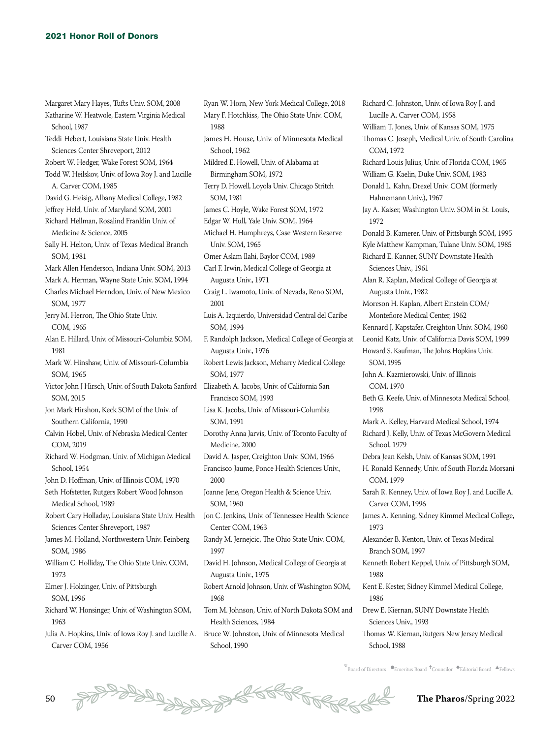Margaret Mary Hayes, Tufts Univ. SOM, 2008 Katharine W. Heatwole, Eastern Virginia Medical School, 1987 Teddi Hebert, Louisiana State Univ. Health Sciences Center Shreveport, 2012 Robert W. Hedger, Wake Forest SOM, 1964 Todd W. Heilskov, Univ. of Iowa Roy J. and Lucille A. Carver COM, 1985 David G. Heisig, Albany Medical College, 1982 Jeffrey Held, Univ. of Maryland SOM, 2001 Richard Hellman, Rosalind Franklin Univ. of Medicine & Science, 2005 Sally H. Helton, Univ. of Texas Medical Branch SOM, 1981 Mark Allen Henderson, Indiana Univ. SOM, 2013 Mark A. Herman, Wayne State Univ. SOM, 1994 Charles Michael Herndon, Univ. of New Mexico SOM, 1977 Jerry M. Herron, The Ohio State Univ. COM, 1965 Alan E. Hillard, Univ. of Missouri-Columbia SOM, 1981 Mark W. Hinshaw, Univ. of Missouri-Columbia SOM, 1965 Victor John J Hirsch, Univ. of South Dakota Sanford Elizabeth A. Jacobs, Univ. of California San SOM, 2015 Jon Mark Hirshon, Keck SOM of the Univ. of Southern California, 1990 Calvin Hobel, Univ. of Nebraska Medical Center COM, 2019 Richard W. Hodgman, Univ. of Michigan Medical School, 1954 John D. Hoffman, Univ. of Illinois COM, 1970 Seth Hofstetter, Rutgers Robert Wood Johnson Medical School, 1989 Robert Cary Holladay, Louisiana State Univ. Health Sciences Center Shreveport, 1987 James M. Holland, Northwestern Univ. Feinberg SOM, 1986 William C. Holliday, The Ohio State Univ. COM, 1973 Elmer J. Holzinger, Univ. of Pittsburgh SOM, 1996 Richard W. Honsinger, Univ. of Washington SOM, 1963

Carver COM, 1956

Ryan W. Horn, New York Medical College, 2018 Mary F. Hotchkiss, The Ohio State Univ. COM, 1988 James H. House, Univ. of Minnesota Medical School, 1962 Mildred E. Howell, Univ. of Alabama at Birmingham SOM, 1972 Terry D. Howell, Loyola Univ. Chicago Stritch SOM, 1981 James C. Hoyle, Wake Forest SOM, 1972 Edgar W. Hull, Yale Univ. SOM, 1964 Michael H. Humphreys, Case Western Reserve Univ. SOM, 1965 Omer Aslam Ilahi, Baylor COM, 1989 Carl F. Irwin, Medical College of Georgia at Augusta Univ., 1971 Craig L. Iwamoto, Univ. of Nevada, Reno SOM, 2001 Luis A. Izquierdo, Universidad Central del Caribe SOM, 1994 F. Randolph Jackson, Medical College of Georgia at Augusta Univ., 1976 Robert Lewis Jackson, Meharry Medical College SOM, 1977 Francisco SOM, 1993 Lisa K. Jacobs, Univ. of Missouri-Columbia SOM, 1991 Dorothy Anna Jarvis, Univ. of Toronto Faculty of Medicine, 2000 David A. Jasper, Creighton Univ. SOM, 1966 Francisco Jaume, Ponce Health Sciences Univ., 2000 Joanne Jene, Oregon Health & Science Univ. SOM, 1960 Jon C. Jenkins, Univ. of Tennessee Health Science Center COM, 1963 Randy M. Jernejcic, The Ohio State Univ. COM, 1997 David H. Johnson, Medical College of Georgia at Augusta Univ., 1975 Robert Arnold Johnson, Univ. of Washington SOM, 1968 Tom M. Johnson, Univ. of North Dakota SOM and Health Sciences, 1984

Julia A. Hopkins, Univ. of Iowa Roy J. and Lucille A. Bruce W. Johnston, Univ. of Minnesota Medical School, 1990

Richard C. Johnston, Univ. of Iowa Roy J. and Lucille A. Carver COM, 1958 William T. Jones, Univ. of Kansas SOM, 1975 Thomas C. Joseph, Medical Univ. of South Carolina COM, 1972 Richard Louis Julius, Univ. of Florida COM, 1965 William G. Kaelin, Duke Univ. SOM, 1983 Donald L. Kahn, Drexel Univ. COM (formerly Hahnemann Univ.), 1967 Jay A. Kaiser, Washington Univ. SOM in St. Louis, 1972 Donald B. Kamerer, Univ. of Pittsburgh SOM, 1995 Kyle Matthew Kampman, Tulane Univ. SOM, 1985 Richard E. Kanner, SUNY Downstate Health Sciences Univ., 1961 Alan R. Kaplan, Medical College of Georgia at Augusta Univ., 1982 Moreson H. Kaplan, Albert Einstein COM/ Montefiore Medical Center, 1962 Kennard J. Kapstafer, Creighton Univ. SOM, 1960 Leonid Katz, Univ. of California Davis SOM, 1999 Howard S. Kaufman, The Johns Hopkins Univ. SOM, 1995 John A. Kazmierowski, Univ. of Illinois COM, 1970 Beth G. Keefe, Univ. of Minnesota Medical School, 1998 Mark A. Kelley, Harvard Medical School, 1974 Richard J. Kelly, Univ. of Texas McGovern Medical School, 1979 Debra Jean Kelsh, Univ. of Kansas SOM, 1991 H. Ronald Kennedy, Univ. of South Florida Morsani COM, 1979 Sarah R. Kenney, Univ. of Iowa Roy J. and Lucille A. Carver COM, 1996 James A. Kenning, Sidney Kimmel Medical College, 1973 Alexander B. Kenton, Univ. of Texas Medical Branch SOM, 1997 Kenneth Robert Keppel, Univ. of Pittsburgh SOM, 1988 Kent E. Kester, Sidney Kimmel Medical College, 1986 Drew E. Kiernan, SUNY Downstate Health Sciences Univ., 1993 Thomas W. Kiernan, Rutgers New Jersey Medical School, 1988

 $\stackrel{*}{\text{\rm *}}$ Board of Directors  $\bullet$ Emeritus Board  $\stackrel{\text{\rm *}}{\text{\rm *}}$ Councilor  $\stackrel{\text{\rm *}}{\text{\rm *}}$ Editorial Board  $\stackrel{\text{\rm *}}{\text{\rm *}}$ Fellows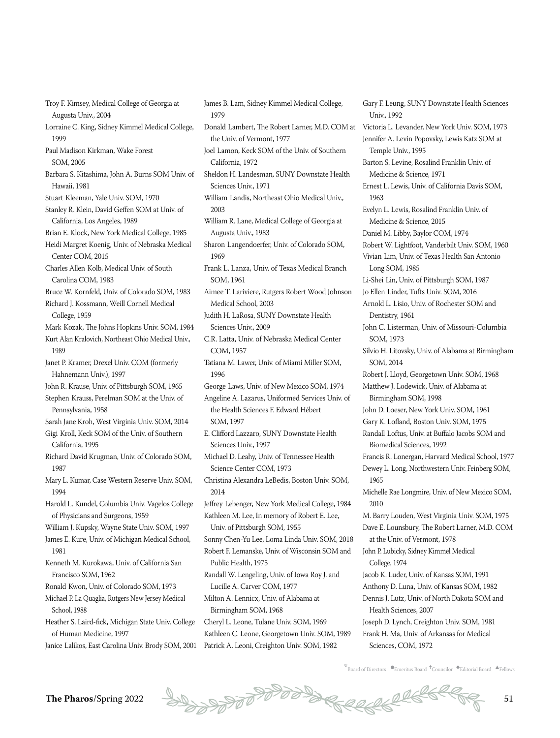Troy F. Kimsey, Medical College of Georgia at Augusta Univ., 2004

- Lorraine C. King, Sidney Kimmel Medical College, 1999
- Paul Madison Kirkman, Wake Forest SOM, 2005
- Barbara S. Kitashima, John A. Burns SOM Univ. of Hawaii, 1981
- Stuart Kleeman, Yale Univ. SOM, 1970 Stanley R. Klein, David Geffen SOM at Univ. of

California, Los Angeles, 1989 Brian E. Klock, New York Medical College, 1985

- Heidi Margret Koenig, Univ. of Nebraska Medical Center COM, 2015
- Charles Allen Kolb, Medical Univ. of South Carolina COM, 1983
- Bruce W. Kornfeld, Univ. of Colorado SOM, 1983 Richard J. Kossmann, Weill Cornell Medical
- College, 1959
- Mark Kozak, The Johns Hopkins Univ. SOM, 1984
- Kurt Alan Kralovich, Northeast Ohio Medical Univ.,
- 1989 Janet P. Kramer, Drexel Univ. COM (formerly

Hahnemann Univ.), 1997

John R. Krause, Univ. of Pittsburgh SOM, 1965

- Stephen Krauss, Perelman SOM at the Univ. of Pennsylvania, 1958
- Sarah Jane Kroh, West Virginia Univ. SOM, 2014
- Gigi Kroll, Keck SOM of the Univ. of Southern California, 1995
- Richard David Krugman, Univ. of Colorado SOM, 1987
- Mary L. Kumar, Case Western Reserve Univ. SOM, 1994

Harold L. Kundel, Columbia Univ. Vagelos College of Physicians and Surgeons, 1959

William J. Kupsky, Wayne State Univ. SOM, 1997

- James E. Kure, Univ. of Michigan Medical School, 1981
- Kenneth M. Kurokawa, Univ. of California San Francisco SOM, 1962
- Ronald Kwon, Univ. of Colorado SOM, 1973
- Michael P. La Quaglia, Rutgers New Jersey Medical School, 1988
- Heather S. Laird-fick, Michigan State Univ. College of Human Medicine, 1997
- Janice Lalikos, East Carolina Univ. Brody SOM, 2001 Patrick A. Leoni, Creighton Univ. SOM, 1982

James B. Lam, Sidney Kimmel Medical College, 1979

- Donald Lambert, The Robert Larner, M.D. COM at the Univ. of Vermont, 1977
- Joel Lamon, Keck SOM of the Univ. of Southern California, 1972
- Sheldon H. Landesman, SUNY Downstate Health Sciences Univ., 1971
- William Landis, Northeast Ohio Medical Univ., 2003
- William R. Lane, Medical College of Georgia at Augusta Univ., 1983
- Sharon Langendoerfer, Univ. of Colorado SOM, 1969
- Frank L. Lanza, Univ. of Texas Medical Branch SOM, 1961
- Aimee T. Lariviere, Rutgers Robert Wood Johnson Medical School, 2003
- Judith H. LaRosa, SUNY Downstate Health Sciences Univ., 2009
- C.R. Latta, Univ. of Nebraska Medical Center COM, 1957
- Tatiana M. Lawer, Univ. of Miami Miller SOM, 1996
- George Laws, Univ. of New Mexico SOM, 1974
- Angeline A. Lazarus, Uniformed Services Univ. of the Health Sciences F. Edward Hébert SOM, 1997
- E. Clifford Lazzaro, SUNY Downstate Health Sciences Univ., 1997
- Michael D. Leahy, Univ. of Tennessee Health Science Center COM, 1973
- Christina Alexandra LeBedis, Boston Univ. SOM, 2014
- Jeffrey Lebenger, New York Medical College, 1984 Kathleen M. Lee, In memory of Robert E. Lee, Univ. of Pittsburgh SOM, 1955
- Sonny Chen-Yu Lee, Loma Linda Univ. SOM, 2018
- Robert F. Lemanske, Univ. of Wisconsin SOM and Public Health, 1975
- Randall W. Lengeling, Univ. of Iowa Roy J. and Lucille A. Carver COM, 1977
- Milton A. Lennicx, Univ. of Alabama at Birmingham SOM, 1968
- Cheryl L. Leone, Tulane Univ. SOM, 1969 Kathleen C. Leone, Georgetown Univ. SOM, 1989

Gary F. Leung, SUNY Downstate Health Sciences Univ., 1992 Victoria L. Levander, New York Univ. SOM, 1973 Jennifer A. Levin Popovsky, Lewis Katz SOM at Temple Univ., 1995 Barton S. Levine, Rosalind Franklin Univ. of Medicine & Science, 1971 Ernest L. Lewis, Univ. of California Davis SOM, 1963 Evelyn L. Lewis, Rosalind Franklin Univ. of Medicine & Science, 2015 Daniel M. Libby, Baylor COM, 1974 Robert W. Lightfoot, Vanderbilt Univ. SOM, 1960 Vivian Lim, Univ. of Texas Health San Antonio Long SOM, 1985 Li-Shei Lin, Univ. of Pittsburgh SOM, 1987 Jo Ellen Linder, Tufts Univ. SOM, 2016 Arnold L. Lisio, Univ. of Rochester SOM and Dentistry, 1961 John C. Listerman, Univ. of Missouri-Columbia SOM, 1973 Silvio H. Litovsky, Univ. of Alabama at Birmingham SOM, 2014 Robert J. Lloyd, Georgetown Univ. SOM, 1968 Matthew J. Lodewick, Univ. of Alabama at Birmingham SOM, 1998 John D. Loeser, New York Univ. SOM, 1961 Gary K. Lofland, Boston Univ. SOM, 1975 Randall Loftus, Univ. at Buffalo Jacobs SOM and Biomedical Sciences, 1992 Francis R. Lonergan, Harvard Medical School, 1977 Dewey L. Long, Northwestern Univ. Feinberg SOM, 1965 Michelle Rae Longmire, Univ. of New Mexico SOM, 2010 M. Barry Louden, West Virginia Univ. SOM, 1975 Dave E. Lounsbury, The Robert Larner, M.D. COM at the Univ. of Vermont, 1978 John P. Lubicky, Sidney Kimmel Medical College, 1974 Jacob K. Luder, Univ. of Kansas SOM, 1991 Anthony D. Luna, Univ. of Kansas SOM, 1982 Dennis J. Lutz, Univ. of North Dakota SOM and Health Sciences, 2007 Joseph D. Lynch, Creighton Univ. SOM, 1981 Frank H. Ma, Univ. of Arkansas for Medical

 $k$ Board of Directors  $\bullet$ Emeritus Board  $\ddagger$ Councilor  $\bullet$ Editorial Board  $\bullet$ Fellows

Sciences, COM, 1972

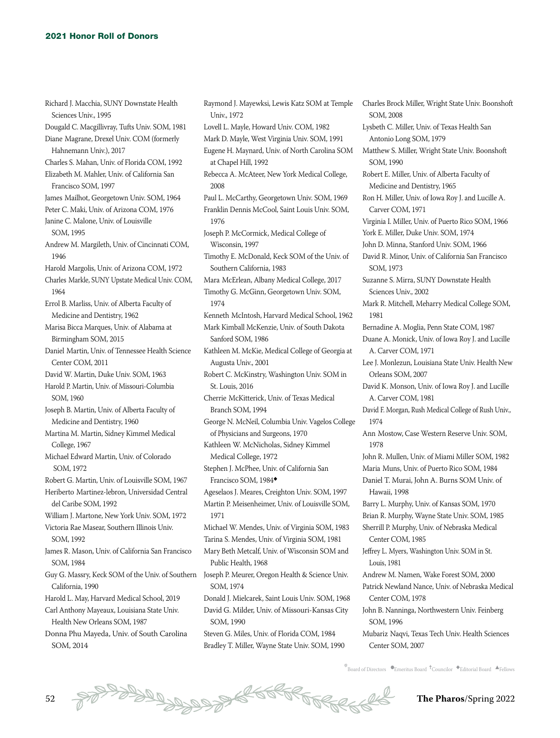Richard J. Macchia, SUNY Downstate Health Sciences Univ., 1995 Dougald C. Macgillivray, Tufts Univ. SOM, 1981 Diane Magrane, Drexel Univ. COM (formerly Hahnemann Univ.), 2017 Charles S. Mahan, Univ. of Florida COM, 1992 Elizabeth M. Mahler, Univ. of California San Francisco SOM, 1997 James Mailhot, Georgetown Univ. SOM, 1964 Peter C. Maki, Univ. of Arizona COM, 1976 Janine C. Malone, Univ. of Louisville SOM, 1995 Andrew M. Margileth, Univ. of Cincinnati COM, 1946 Harold Margolis, Univ. of Arizona COM, 1972 Charles Markle, SUNY Upstate Medical Univ. COM, 1964 Errol B. Marliss, Univ. of Alberta Faculty of Medicine and Dentistry, 1962 Marisa Bicca Marques, Univ. of Alabama at Birmingham SOM, 2015 Daniel Martin, Univ. of Tennessee Health Science Center COM, 2011 David W. Martin, Duke Univ. SOM, 1963 Harold P. Martin, Univ. of Missouri-Columbia SOM, 1960 Joseph B. Martin, Univ. of Alberta Faculty of Medicine and Dentistry, 1960 Martina M. Martin, Sidney Kimmel Medical College, 1967 Michael Edward Martin, Univ. of Colorado SOM, 1972 Robert G. Martin, Univ. of Louisville SOM, 1967 Heriberto Martinez-lebron, Universidad Central del Caribe SOM, 1992 William J. Martone, New York Univ. SOM, 1972 Victoria Rae Masear, Southern Illinois Univ. SOM, 1992 James R. Mason, Univ. of California San Francisco SOM, 1984 Guy G. Massry, Keck SOM of the Univ. of Southern Joseph P. Meurer, Oregon Health & Science Univ. California, 1990 Harold L. May, Harvard Medical School, 2019 Carl Anthony Mayeaux, Louisiana State Univ. Health New Orleans SOM, 1987

Donna Phu Mayeda, Univ. of South Carolina SOM, 2014

Raymond J. Mayewksi, Lewis Katz SOM at Temple Univ., 1972 Lovell L. Mayle, Howard Univ. COM, 1982 Mark D. Mayle, West Virginia Univ. SOM, 1991 Eugene H. Maynard, Univ. of North Carolina SOM at Chapel Hill, 1992 Rebecca A. McAteer, New York Medical College, 2008 Paul L. McCarthy, Georgetown Univ. SOM, 1969 Franklin Dennis McCool, Saint Louis Univ. SOM, 1976 Joseph P. McCormick, Medical College of Wisconsin, 1997 Timothy E. McDonald, Keck SOM of the Univ. of Southern California, 1983 Mara McErlean, Albany Medical College, 2017 Timothy G. McGinn, Georgetown Univ. SOM, 1974 Kenneth McIntosh, Harvard Medical School, 1962 Mark Kimball McKenzie, Univ. of South Dakota Sanford SOM, 1986 Kathleen M. McKie, Medical College of Georgia at Augusta Univ., 2001 Robert C. McKinstry, Washington Univ. SOM in St. Louis, 2016 Cherrie McKitterick, Univ. of Texas Medical Branch SOM, 1994 George N. McNeil, Columbia Univ. Vagelos College of Physicians and Surgeons, 1970 Kathleen W. McNicholas, Sidney Kimmel Medical College, 1972 Stephen J. McPhee, Univ. of California San Francisco SOM, 1984◆ Ageselaos J. Meares, Creighton Univ. SOM, 1997 Martin P. Meisenheimer, Univ. of Louisville SOM, 1971 Michael W. Mendes, Univ. of Virginia SOM, 1983 Tarina S. Mendes, Univ. of Virginia SOM, 1981 Mary Beth Metcalf, Univ. of Wisconsin SOM and Public Health, 1968 SOM, 1974 Donald J. Mielcarek, Saint Louis Univ. SOM, 1968 David G. Milder, Univ. of Missouri-Kansas City SOM, 1990 Steven G. Miles, Univ. of Florida COM, 1984

Bradley T. Miller, Wayne State Univ. SOM, 1990

Lysbeth C. Miller, Univ. of Texas Health San Antonio Long SOM, 1979 Matthew S. Miller, Wright State Univ. Boonshoft SOM, 1990 Robert E. Miller, Univ. of Alberta Faculty of Medicine and Dentistry, 1965 Ron H. Miller, Univ. of Iowa Roy J. and Lucille A. Carver COM, 1971 Virginia I. Miller, Univ. of Puerto Rico SOM, 1966 York E. Miller, Duke Univ. SOM, 1974 John D. Minna, Stanford Univ. SOM, 1966 David R. Minor, Univ. of California San Francisco SOM, 1973 Suzanne S. Mirra, SUNY Downstate Health Sciences Univ., 2002 Mark R. Mitchell, Meharry Medical College SOM, 1981 Bernadine A. Moglia, Penn State COM, 1987 Duane A. Monick, Univ. of Iowa Roy J. and Lucille A. Carver COM, 1971 Lee J. Monlezun, Louisiana State Univ. Health New Orleans SOM, 2007 David K. Monson, Univ. of Iowa Roy J. and Lucille A. Carver COM, 1981 David F. Morgan, Rush Medical College of Rush Univ., 1974 Ann Mostow, Case Western Reserve Univ. SOM, 1978 John R. Mullen, Univ. of Miami Miller SOM, 1982 Maria Muns, Univ. of Puerto Rico SOM, 1984 Daniel T. Murai, John A. Burns SOM Univ. of Hawaii, 1998 Barry L. Murphy, Univ. of Kansas SOM, 1970 Brian R. Murphy, Wayne State Univ. SOM, 1985 Sherrill P. Murphy, Univ. of Nebraska Medical Center COM, 1985 Jeffrey L. Myers, Washington Univ. SOM in St. Louis, 1981 Andrew M. Namen, Wake Forest SOM, 2000 Patrick Newland Nance, Univ. of Nebraska Medical Center COM, 1978 John B. Nanninga, Northwestern Univ. Feinberg SOM, 1996 Mubariz Naqvi, Texas Tech Univ. Health Sciences Center SOM, 2007

Charles Brock Miller, Wright State Univ. Boonshoft

SOM, 2008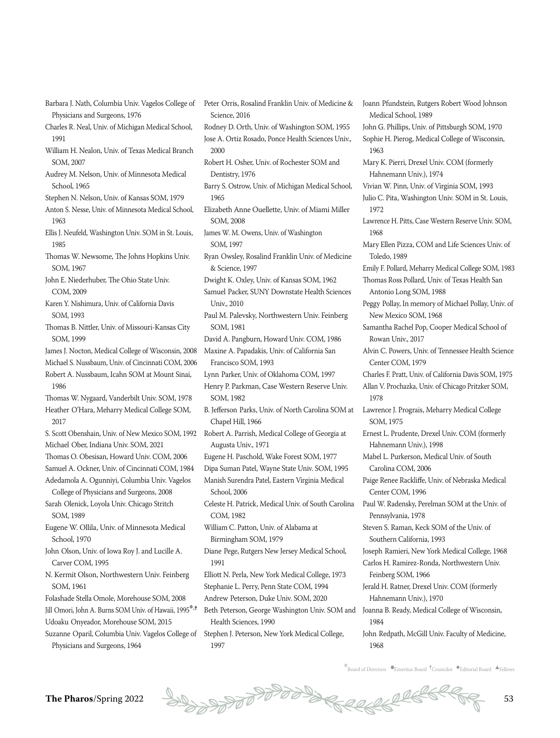- Barbara J. Nath, Columbia Univ. Vagelos College of Physicians and Surgeons, 1976
- Charles R. Neal, Univ. of Michigan Medical School, 1991
- William H. Nealon, Univ. of Texas Medical Branch SOM, 2007
- Audrey M. Nelson, Univ. of Minnesota Medical School, 1965
- Stephen N. Nelson, Univ. of Kansas SOM, 1979
- Anton S. Nesse, Univ. of Minnesota Medical School, 1963
- Ellis J. Neufeld, Washington Univ. SOM in St. Louis, 1985
- Thomas W. Newsome, The Johns Hopkins Univ. SOM, 1967
- John E. Niederhuber, The Ohio State Univ. COM, 2009
- Karen Y. Nishimura, Univ. of California Davis SOM, 1993
- Thomas B. Nittler, Univ. of Missouri-Kansas City SOM, 1999
- James J. Nocton, Medical College of Wisconsin, 2008
- Michael S. Nussbaum, Univ. of Cincinnati COM, 2006
- Robert A. Nussbaum, Icahn SOM at Mount Sinai, 1986
- Thomas W. Nygaard, Vanderbilt Univ. SOM, 1978 Heather O'Hara, Meharry Medical College SOM, 2017
- S. Scott Obenshain, Univ. of New Mexico SOM, 1992 Michael Ober, Indiana Univ. SOM, 2021
- Thomas O. Obesisan, Howard Univ. COM, 2006
- Samuel A. Ockner, Univ. of Cincinnati COM, 1984 Adedamola A. Ogunniyi, Columbia Univ. Vagelos
- College of Physicians and Surgeons, 2008 Sarah Olenick, Loyola Univ. Chicago Stritch SOM, 1989
- Eugene W. Ollila, Univ. of Minnesota Medical School, 1970
- John Olson, Univ. of Iowa Roy J. and Lucille A. Carver COM, 1995
- N. Kermit Olson, Northwestern Univ. Feinberg SOM, 1961
- Folashade Stella Omole, Morehouse SOM, 2008 Jill Omori, John A. Burns SOM Univ. of Hawaii, 1995<sup>\*,†</sup>
- Udoaku Onyeador, Morehouse SOM, 2015
- Suzanne Oparil, Columbia Univ. Vagelos College of Physicians and Surgeons, 1964
- Peter Orris, Rosalind Franklin Univ. of Medicine & Science, 2016
- Rodney D. Orth, Univ. of Washington SOM, 1955 Jose A. Ortiz Rosado, Ponce Health Sciences Univ., 2000
- Robert H. Osher, Univ. of Rochester SOM and Dentistry, 1976
- Barry S. Ostrow, Univ. of Michigan Medical School, 1965
- Elizabeth Anne Ouellette, Univ. of Miami Miller SOM, 2008
- James W. M. Owens, Univ. of Washington SOM, 1997
- Ryan Owsley, Rosalind Franklin Univ. of Medicine & Science, 1997
- Dwight K. Oxley, Univ. of Kansas SOM, 1962
- Samuel Packer, SUNY Downstate Health Sciences Univ., 2010
- Paul M. Palevsky, Northwestern Univ. Feinberg SOM, 1981
- David A. Pangburn, Howard Univ. COM, 1986
- Maxine A. Papadakis, Univ. of California San
- Francisco SOM, 1993
- Lynn Parker, Univ. of Oklahoma COM, 1997
- Henry P. Parkman, Case Western Reserve Univ. SOM, 1982
- B. Jefferson Parks, Univ. of North Carolina SOM at Chapel Hill, 1966
- Robert A. Parrish, Medical College of Georgia at Augusta Univ., 1971
- Eugene H. Paschold, Wake Forest SOM, 1977
- Dipa Suman Patel, Wayne State Univ. SOM, 1995
- Manish Surendra Patel, Eastern Virginia Medical School, 2006
- Celeste H. Patrick, Medical Univ. of South Carolina COM, 1982
- William C. Patton, Univ. of Alabama at Birmingham SOM, 1979
- Diane Pege, Rutgers New Jersey Medical School, 1991
- Elliott N. Perla, New York Medical College, 1973 Stephanie L. Perry, Penn State COM, 1994
- Andrew Peterson, Duke Univ. SOM, 2020
- Beth Peterson, George Washington Univ. SOM and Health Sciences, 1990
- Stephen J. Peterson, New York Medical College, 1997
- Medical School, 1989 John G. Phillips, Univ. of Pittsburgh SOM, 1970 Sophie H. Pierog, Medical College of Wisconsin, 1963 Mary K. Pierri, Drexel Univ. COM (formerly Hahnemann Univ.), 1974 Vivian W. Pinn, Univ. of Virginia SOM, 1993 Julio C. Pita, Washington Univ. SOM in St. Louis, 1972 Lawrence H. Pitts, Case Western Reserve Univ. SOM, 1968 Mary Ellen Pizza, COM and Life Sciences Univ. of Toledo, 1989 Emily F. Pollard, Meharry Medical College SOM, 1983 Thomas Ross Pollard, Univ. of Texas Health San Antonio Long SOM, 1988 Peggy Pollay, In memory of Michael Pollay, Univ. of New Mexico SOM, 1968 Samantha Rachel Pop, Cooper Medical School of Rowan Univ., 2017 Alvin C. Powers, Univ. of Tennessee Health Science Center COM, 1979 Charles F. Pratt, Univ. of California Davis SOM, 1975 Allan V. Prochazka, Univ. of Chicago Pritzker SOM, 1978 Lawrence J. Prograis, Meharry Medical College SOM, 1975 Ernest L. Prudente, Drexel Univ. COM (formerly Hahnemann Univ.), 1998 Mabel L. Purkerson, Medical Univ. of South Carolina COM, 2006 Paige Renee Rackliffe, Univ. of Nebraska Medical Center COM, 1996 Paul W. Radensky, Perelman SOM at the Univ. of Pennsylvania, 1978 Steven S. Raman, Keck SOM of the Univ. of Southern California, 1993 Joseph Ramieri, New York Medical College, 1968 Carlos H. Ramirez-Ronda, Northwestern Univ.

Joann Pfundstein, Rutgers Robert Wood Johnson

- Feinberg SOM, 1966 Jerald H. Ratner, Drexel Univ. COM (formerly Hahnemann Univ.), 1970
- Joanna B. Ready, Medical College of Wisconsin, 1984
- John Redpath, McGill Univ. Faculty of Medicine, 1968
- $k$ Board of Directors  $\bullet$ Emeritus Board  $\dagger$ Councilor  $\bullet$ Editorial Board  $\bullet$ Fellows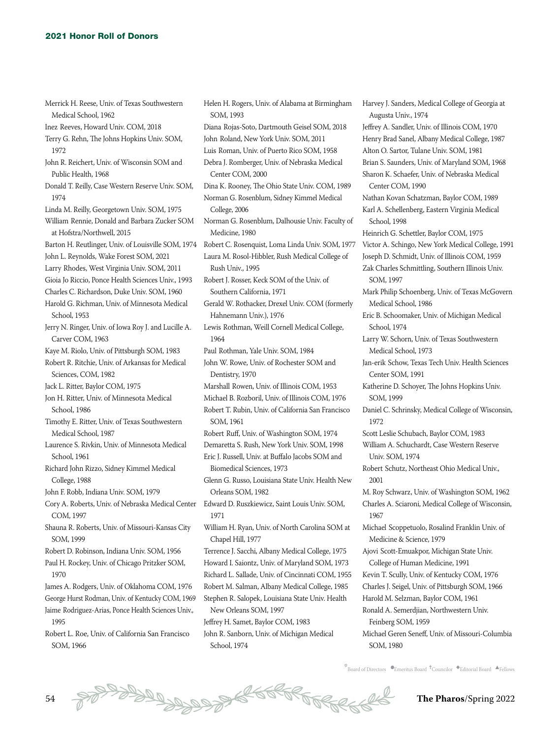Merrick H. Reese, Univ. of Texas Southwestern Medical School, 1962 Inez Reeves, Howard Univ. COM, 2018 Terry G. Rehn, The Johns Hopkins Univ. SOM, 1972 John R. Reichert, Univ. of Wisconsin SOM and Public Health, 1968 Donald T. Reilly, Case Western Reserve Univ. SOM, 1974 Linda M. Reilly, Georgetown Univ. SOM, 1975 William Rennie, Donald and Barbara Zucker SOM at Hofstra/Northwell, 2015 Barton H. Reutlinger, Univ. of Louisville SOM, 1974 John L. Reynolds, Wake Forest SOM, 2021 Larry Rhodes, West Virginia Univ. SOM, 2011 Gioia Jo Riccio, Ponce Health Sciences Univ., 1993 Charles C. Richardson, Duke Univ. SOM, 1960 Harold G. Richman, Univ. of Minnesota Medical School, 1953 Jerry N. Ringer, Univ. of Iowa Roy J. and Lucille A. Carver COM, 1963 Kaye M. Riolo, Univ. of Pittsburgh SOM, 1983 Robert R. Ritchie, Univ. of Arkansas for Medical Sciences, COM, 1982 Jack L. Ritter, Baylor COM, 1975 Jon H. Ritter, Univ. of Minnesota Medical School, 1986 Timothy E. Ritter, Univ. of Texas Southwestern Medical School, 1987 Laurence S. Rivkin, Univ. of Minnesota Medical School, 1961 Richard John Rizzo, Sidney Kimmel Medical College, 1988 John F. Robb, Indiana Univ. SOM, 1979 Cory A. Roberts, Univ. of Nebraska Medical Center COM, 1997 Shauna R. Roberts, Univ. of Missouri-Kansas City SOM, 1999 Robert D. Robinson, Indiana Univ. SOM, 1956 Paul H. Rockey, Univ. of Chicago Pritzker SOM, 1970 James A. Rodgers, Univ. of Oklahoma COM, 1976 George Hurst Rodman, Univ. of Kentucky COM, 1969 Jaime Rodriguez-Arias, Ponce Health Sciences Univ., 1995

Robert L. Roe, Univ. of California San Francisco SOM, 1966

Helen H. Rogers, Univ. of Alabama at Birmingham SOM, 1993 Diana Rojas-Soto, Dartmouth Geisel SOM, 2018 John Roland, New York Univ. SOM, 2011 Luis Roman, Univ. of Puerto Rico SOM, 1958 Debra J. Romberger, Univ. of Nebraska Medical Center COM, 2000 Dina K. Rooney, The Ohio State Univ. COM, 1989 Norman G. Rosenblum, Sidney Kimmel Medical College, 2006 Norman G. Rosenblum, Dalhousie Univ. Faculty of Medicine, 1980 Robert C. Rosenquist, Loma Linda Univ. SOM, 1977 Laura M. Rosol-Hibbler, Rush Medical College of Rush Univ., 1995 Robert J. Rosser, Keck SOM of the Univ. of Southern California, 1971 Gerald W. Rothacker, Drexel Univ. COM (formerly Hahnemann Univ.), 1976 Lewis Rothman, Weill Cornell Medical College, 1964 Paul Rothman, Yale Univ. SOM, 1984 John W. Rowe, Univ. of Rochester SOM and Dentistry, 1970 Marshall Rowen, Univ. of Illinois COM, 1953 Michael B. Rozboril, Univ. of Illinois COM, 1976 Robert T. Rubin, Univ. of California San Francisco SOM, 1961 Robert Ruff, Univ. of Washington SOM, 1974 Demaretta S. Rush, New York Univ. SOM, 1998 Eric J. Russell, Univ. at Buffalo Jacobs SOM and Biomedical Sciences, 1973 Glenn G. Russo, Louisiana State Univ. Health New Orleans SOM, 1982 Edward D. Ruszkiewicz, Saint Louis Univ. SOM, 1971 William H. Ryan, Univ. of North Carolina SOM at Chapel Hill, 1977 Terrence J. Sacchi, Albany Medical College, 1975 Howard I. Saiontz, Univ. of Maryland SOM, 1973 Richard L. Sallade, Univ. of Cincinnati COM, 1955 Robert M. Salman, Albany Medical College, 1985 Stephen R. Salopek, Louisiana State Univ. Health New Orleans SOM, 1997 Jeffrey H. Samet, Baylor COM, 1983 John R. Sanborn, Univ. of Michigan Medical

School, 1974

Harvey J. Sanders, Medical College of Georgia at Augusta Univ., 1974 Jeffrey A. Sandler, Univ. of Illinois COM, 1970 Henry Brad Sanel, Albany Medical College, 1987 Alton O. Sartor, Tulane Univ. SOM, 1981 Brian S. Saunders, Univ. of Maryland SOM, 1968 Sharon K. Schaefer, Univ. of Nebraska Medical Center COM, 1990 Nathan Kovan Schatzman, Baylor COM, 1989 Karl A. Schellenberg, Eastern Virginia Medical School, 1998 Heinrich G. Schettler, Baylor COM, 1975 Victor A. Schingo, New York Medical College, 1991 Joseph D. Schmidt, Univ. of Illinois COM, 1959 Zak Charles Schmittling, Southern Illinois Univ. SOM, 1997 Mark Philip Schoenberg, Univ. of Texas McGovern Medical School, 1986 Eric B. Schoomaker, Univ. of Michigan Medical School, 1974 Larry W. Schorn, Univ. of Texas Southwestern Medical School, 1973 Jan-erik Schow, Texas Tech Univ. Health Sciences Center SOM, 1991 Katherine D. Schoyer, The Johns Hopkins Univ. SOM, 1999 Daniel C. Schrinsky, Medical College of Wisconsin, 1972 Scott Leslie Schubach, Baylor COM, 1983 William A. Schuchardt, Case Western Reserve Univ. SOM, 1974 Robert Schutz, Northeast Ohio Medical Univ., 2001 M. Roy Schwarz, Univ. of Washington SOM, 1962 Charles A. Sciaroni, Medical College of Wisconsin, 1967 Michael Scoppetuolo, Rosalind Franklin Univ. of Medicine & Science, 1979 Ajovi Scott-Emuakpor, Michigan State Univ. College of Human Medicine, 1991 Kevin T. Scully, Univ. of Kentucky COM, 1976 Charles J. Seigel, Univ. of Pittsburgh SOM, 1966 Harold M. Selzman, Baylor COM, 1961 Ronald A. Semerdjian, Northwestern Univ. Feinberg SOM, 1959 Michael Geren Seneff, Univ. of Missouri-Columbia SOM, 1980

 $\stackrel{*}{\text{\rm *}}$ Board of Directors  $\bullet$ Emeritus Board  $\stackrel{\text{\rm *}}{\text{\rm *}}$ Councilor  $\stackrel{\text{\rm *}}{\text{\rm *}}$ Editorial Board  $\stackrel{\text{\rm *}}{\text{\rm *}}$ Fellows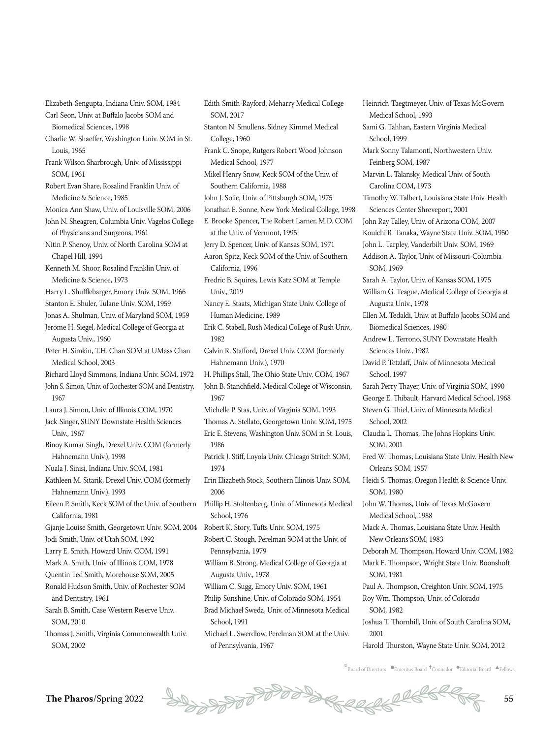Elizabeth Sengupta, Indiana Univ. SOM, 1984 Carl Seon, Univ. at Buffalo Jacobs SOM and

Biomedical Sciences, 1998 Charlie W. Shaeffer, Washington Univ. SOM in St. Louis, 1965

Frank Wilson Sharbrough, Univ. of Mississippi SOM, 1961

Robert Evan Share, Rosalind Franklin Univ. of Medicine & Science, 1985

Monica Ann Shaw, Univ. of Louisville SOM, 2006 John N. Sheagren, Columbia Univ. Vagelos College of Physicians and Surgeons, 1961

Nitin P. Shenoy, Univ. of North Carolina SOM at Chapel Hill, 1994

Kenneth M. Shoor, Rosalind Franklin Univ. of Medicine & Science, 1973

Harry L. Shufflebarger, Emory Univ. SOM, 1966

Stanton E. Shuler, Tulane Univ. SOM, 1959

Jonas A. Shulman, Univ. of Maryland SOM, 1959

Jerome H. Siegel, Medical College of Georgia at Augusta Univ., 1960

Peter H. Simkin, T.H. Chan SOM at UMass Chan Medical School, 2003

Richard Lloyd Simmons, Indiana Univ. SOM, 1972

John S. Simon, Univ. of Rochester SOM and Dentistry, 1967

Laura J. Simon, Univ. of Illinois COM, 1970

Jack Singer, SUNY Downstate Health Sciences Univ., 1967

Binoy Kumar Singh, Drexel Univ. COM (formerly Hahnemann Univ.), 1998

Nuala J. Sinisi, Indiana Univ. SOM, 1981

Kathleen M. Sitarik, Drexel Univ. COM (formerly Hahnemann Univ.), 1993

Eileen P. Smith, Keck SOM of the Univ. of Southern California, 1981

Gjanje Louise Smith, Georgetown Univ. SOM, 2004 Jodi Smith, Univ. of Utah SOM, 1992

Larry E. Smith, Howard Univ. COM, 1991

Mark A. Smith, Univ. of Illinois COM, 1978

Quentin Ted Smith, Morehouse SOM, 2005

Ronald Hudson Smith, Univ. of Rochester SOM and Dentistry, 1961

Sarah B. Smith, Case Western Reserve Univ. SOM, 2010

Thomas J. Smith, Virginia Commonwealth Univ. SOM, 2002

SOM, 2017 Stanton N. Smullens, Sidney Kimmel Medical College, 1960 Frank C. Snope, Rutgers Robert Wood Johnson Medical School, 1977 Mikel Henry Snow, Keck SOM of the Univ. of Southern California, 1988 John J. Solic, Univ. of Pittsburgh SOM, 1975 Jonathan E. Sonne, New York Medical College, 1998 E. Brooke Spencer, The Robert Larner, M.D. COM at the Univ. of Vermont, 1995 Jerry D. Spencer, Univ. of Kansas SOM, 1971 Aaron Spitz, Keck SOM of the Univ. of Southern California, 1996 Fredric B. Squires, Lewis Katz SOM at Temple Univ., 2019 Nancy E. Staats, Michigan State Univ. College of Human Medicine, 1989 Erik C. Stabell, Rush Medical College of Rush Univ., 1982 Calvin R. Stafford, Drexel Univ. COM (formerly Hahnemann Univ.), 1970 H. Phillips Stall, The Ohio State Univ. COM, 1967 John B. Stanchfield, Medical College of Wisconsin, 1967 Michelle P. Stas, Univ. of Virginia SOM, 1993 Thomas A. Stellato, Georgetown Univ. SOM, 1975 Eric E. Stevens, Washington Univ. SOM in St. Louis, 1986 Patrick J. Stiff, Loyola Univ. Chicago Stritch SOM, 1974 Erin Elizabeth Stock, Southern Illinois Univ. SOM, 2006 Phillip H. Stoltenberg, Univ. of Minnesota Medical

Edith Smith-Rayford, Meharry Medical College

School, 1976

Robert K. Story, Tufts Univ. SOM, 1975

Robert C. Stough, Perelman SOM at the Univ. of Pennsylvania, 1979

William B. Strong, Medical College of Georgia at Augusta Univ., 1978

William C. Sugg, Emory Univ. SOM, 1961

Philip Sunshine, Univ. of Colorado SOM, 1954

Brad Michael Sweda, Univ. of Minnesota Medical School, 1991

Michael L. Swerdlow, Perelman SOM at the Univ. of Pennsylvania, 1967

Heinrich Taegtmeyer, Univ. of Texas McGovern Medical School, 1993 Sami G. Tahhan, Eastern Virginia Medical School, 1999 Mark Sonny Talamonti, Northwestern Univ. Feinberg SOM, 1987 Marvin L. Talansky, Medical Univ. of South Carolina COM, 1973 Timothy W. Talbert, Louisiana State Univ. Health Sciences Center Shreveport, 2001 John Ray Talley, Univ. of Arizona COM, 2007 Kouichi R. Tanaka, Wayne State Univ. SOM, 1950 John L. Tarpley, Vanderbilt Univ. SOM, 1969 Addison A. Taylor, Univ. of Missouri-Columbia SOM, 1969 Sarah A. Taylor, Univ. of Kansas SOM, 1975 William G. Teague, Medical College of Georgia at Augusta Univ., 1978 Ellen M. Tedaldi, Univ. at Buffalo Jacobs SOM and Biomedical Sciences, 1980 Andrew L. Terrono, SUNY Downstate Health Sciences Univ., 1982 David P. Tetzlaff, Univ. of Minnesota Medical School, 1997 Sarah Perry Thayer, Univ. of Virginia SOM, 1990 George E. Thibault, Harvard Medical School, 1968 Steven G. Thiel, Univ. of Minnesota Medical School, 2002 Claudia L. Thomas, The Johns Hopkins Univ. SOM, 2001 Fred W. Thomas, Louisiana State Univ. Health New Orleans SOM, 1957 Heidi S. Thomas, Oregon Health & Science Univ. SOM, 1980 John W. Thomas, Univ. of Texas McGovern Medical School, 1988 Mack A. Thomas, Louisiana State Univ. Health New Orleans SOM, 1983 Deborah M. Thompson, Howard Univ. COM, 1982 Mark E. Thompson, Wright State Univ. Boonshoft SOM, 1981 Paul A. Thompson, Creighton Univ. SOM, 1975 Roy Wm. Thompson, Univ. of Colorado

SOM, 1982

Joshua T. Thornhill, Univ. of South Carolina SOM, 2001

Harold Thurston, Wayne State Univ. SOM, 2012

 $\overline{\mathbb{F}}$ Board of Directors  $\bullet$ Emeritus Board  $\overline{\bullet}$ Councilor  $\bullet$ Editorial Board  $\overline{\bullet}$ Fellows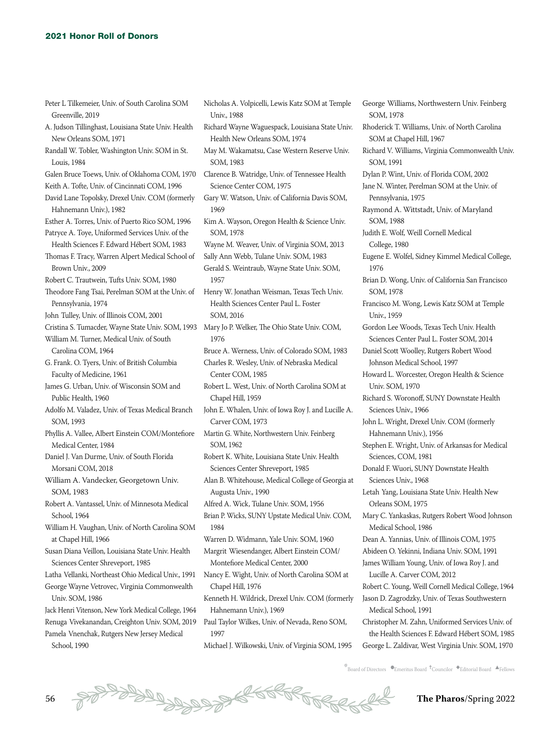| Peter L Tilkemeier, Univ. of South Carolina SOM<br>Greenville, 2019          | Nic<br>U  |
|------------------------------------------------------------------------------|-----------|
| A. Judson Tillinghast, Louisiana State Univ. Health<br>New Orleans SOM, 1971 | Ricl<br>F |
| Randall W. Tobler, Washington Univ. SOM in St.<br>Louis, 1984                | Ma<br>S   |
| Galen Bruce Toews, Univ. of Oklahoma COM, 1970                               | Cla       |
| Keith A. Tofte, Univ. of Cincinnati COM, 1996                                | S         |
| David Lane Topolsky, Drexel Univ. COM (formerly                              | Gar       |
| Hahnemann Univ.), 1982                                                       | 1         |
| Esther A. Torres, Univ. of Puerto Rico SOM, 1996                             | Kin       |
| Patryce A. Toye, Uniformed Services Univ. of the                             | S         |
| Health Sciences F. Edward Hébert SOM, 1983                                   | Wa        |
| Thomas F. Tracy, Warren Alpert Medical School of                             | Sall      |
| Brown Univ., 2009                                                            | Ger       |
| Robert C. Trautwein, Tufts Univ. SOM, 1980                                   | ŀ         |
| Theodore Fang Tsai, Perelman SOM at the Univ. of                             | Her       |
| Pennsylvania, 1974                                                           | F         |
| John Tulley, Univ. of Illinois COM, 2001                                     | S         |
| Cristina S. Tumacder, Wayne State Univ. SOM, 1993                            | Ma        |
| William M. Turner, Medical Univ. of South                                    | 1         |
| Carolina COM, 1964                                                           | Bru       |
| G. Frank. O. Tyers, Univ. of British Columbia                                | Cha       |
| Faculty of Medicine, 1961                                                    | C         |
| James G. Urban, Univ. of Wisconsin SOM and                                   | Rob       |
| Public Health, 1960                                                          | C         |
| Adolfo M. Valadez, Univ. of Texas Medical Branch                             | Joh       |
| SOM, 1993                                                                    | C         |
| Phyllis A. Vallee, Albert Einstein COM/Montefiore<br>Medical Center, 1984    | Mai<br>S  |
| Daniel J. Van Durme, Univ. of South Florida                                  | Rob       |
| Morsani COM, 2018                                                            | S         |
| William A. Vandecker, Georgetown Univ.                                       | Ala       |
| SOM, 1983                                                                    | Α         |
| Robert A. Vantassel, Univ. of Minnesota Medical                              | Alfı      |
| School, 1964                                                                 | Bria      |
| William H. Vaughan, Univ. of North Carolina SOM                              | ŀ         |
| at Chapel Hill, 1966                                                         | Wa        |
| Susan Diana Veillon, Louisiana State Univ. Health                            | Ma        |
| Sciences Center Shreveport, 1985                                             | Λ         |
| Latha Vellanki, Northeast Ohio Medical Univ., 1991                           | Nar       |
| George Wayne Vetrovec, Virginia Commonwealth                                 | C         |
| Univ. SOM, 1986                                                              | Ker       |
| Jack Henri Vitenson, New York Medical College, 1964                          | F         |
| Renuga Vivekanandan, Creighton Univ. SOM, 2019                               | Pau       |

Pamela Vnenchak, Rutgers New Jersey Medical School, 1990

holas A. Volpicelli, Lewis Katz SOM at Temple Jniv., 1988 hard Wayne Waguespack, Louisiana State Univ. Health New Orleans SOM, 1974 v M. Wakamatsu, Case Western Reserve Univ. OM, 1983 rence B. Watridge, Univ. of Tennessee Health cience Center COM, 1975 ry W. Watson, Univ. of California Davis SOM, 1969 n A. Wayson, Oregon Health & Science Univ. OM, 1978 yne M. Weaver, Univ. of Virginia SOM, 2013 y Ann Webb, Tulane Univ. SOM, 1983 rald S. Weintraub, Wayne State Univ. SOM, 957 nry W. Jonathan Weisman, Texas Tech Univ. Health Sciences Center Paul L. Foster SOM, 2016 ry Jo P. Welker, The Ohio State Univ. COM, 1976 Bruce A. Werness, Univ. of Colorado SOM, 1983 arles R. Wesley, Univ. of Nebraska Medical Center COM, 1985 bert L. West, Univ. of North Carolina SOM at Chapel Hill, 1959 n E. Whalen, Univ. of Iowa Roy J. and Lucille A. Carver COM, 1973 rtin G. White, Northwestern Univ. Feinberg OM, 1962 bert K. White, Louisiana State Univ. Health ciences Center Shreveport, 1985 n B. Whitehouse, Medical College of Georgia at Augusta Univ., 1990 red A. Wick, Tulane Univ. SOM, 1956 an P. Wicks, SUNY Upstate Medical Univ. COM, 1984 rren D. Widmann, Yale Univ. SOM, 1960 rgrit Wiesendanger, Albert Einstein COM/ Montefiore Medical Center, 2000 ncy E. Wight, Univ. of North Carolina SOM at Chapel Hill, 1976 nneth H. Wildrick, Drexel Univ. COM (formerly Hahnemann Univ.), 1969 Il Taylor Wilkes, Univ. of Nevada, Reno SOM, 1997

Michael J. Wilkowski, Univ. of Virginia SOM, 1995

George Williams, Northwestern Univ. Feinberg SOM, 1978 Rhoderick T. Williams, Univ. of North Carolina SOM at Chapel Hill, 1967 Richard V. Williams, Virginia Commonwealth Univ. SOM, 1991 Dylan P. Wint, Univ. of Florida COM, 2002 Jane N. Winter, Perelman SOM at the Univ. of Pennsylvania, 1975 Raymond A. Wittstadt, Univ. of Maryland SOM, 1988 Judith E. Wolf, Weill Cornell Medical College, 1980 Eugene E. Wolfel, Sidney Kimmel Medical College, 1976 Brian D. Wong, Univ. of California San Francisco SOM, 1978 Francisco M. Wong, Lewis Katz SOM at Temple Univ. 1959 Gordon Lee Woods, Texas Tech Univ. Health Sciences Center Paul L. Foster SOM, 2014 Daniel Scott Woolley, Rutgers Robert Wood Johnson Medical School, 1997 Howard L. Worcester, Oregon Health & Science Univ. SOM, 1970 Richard S. Woronoff, SUNY Downstate Health Sciences Univ., 1966 John L. Wright, Drexel Univ. COM (formerly Hahnemann Univ.), 1956 Stephen E. Wright, Univ. of Arkansas for Medical Sciences, COM, 1981 Donald F. Wuori, SUNY Downstate Health Sciences Univ., 1968 Letah Yang, Louisiana State Univ. Health New Orleans SOM, 1975 Mary C. Yankaskas, Rutgers Robert Wood Johnson Medical School, 1986 Dean A. Yannias, Univ. of Illinois COM, 1975 Abideen O. Yekinni, Indiana Univ. SOM, 1991 James William Young, Univ. of Iowa Roy J. and Lucille A. Carver COM, 2012 Robert C. Young, Weill Cornell Medical College, 1964 Jason D. Zagrodzky, Univ. of Texas Southwestern Medical School, 1991 Christopher M. Zahn, Uniformed Services Univ. of the Health Sciences F. Edward Hébert SOM, 1985 George L. Zaldivar, West Virginia Univ. SOM, 1970

 $\overline{E}_{\text{B}$  board of Directors  $\bullet$ Emeritus Board  $\overline{E}_{\text{C}^{\text{B}}}$   $\bullet$ Editorial Board  $\overline{E}_{\text{F}^{\text{B}}}$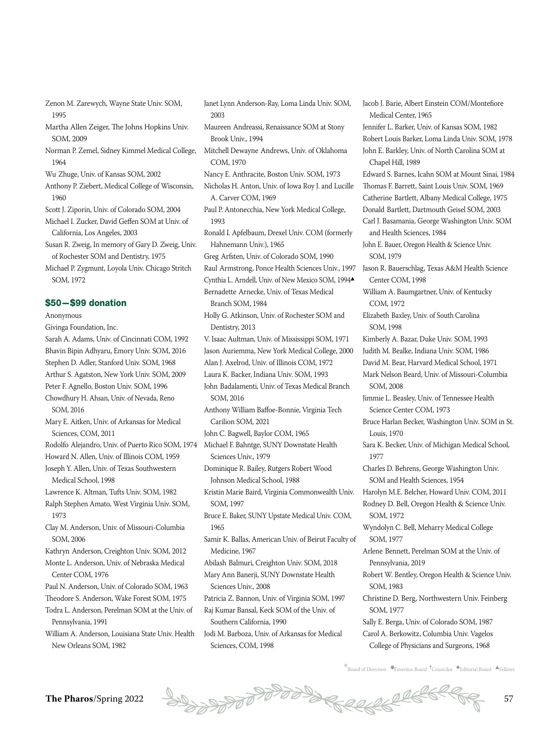Zenon M. Zarewych, Wayne State Univ. SOM, 1995

Martha Allen Zeiger, The Johns Hopkins Univ. SOM, 2009

Norman P. Zemel, Sidney Kimmel Medical College, 1964

Wu Zhuge, Univ. of Kansas SOM, 2002

- Anthony P. Ziebert, Medical College of Wisconsin, 1960
- Scott J. Ziporin, Univ. of Colorado SOM, 2004
- Michael I. Zucker, David Geffen SOM at Univ. of California, Los Angeles, 2003

Susan R. Zweig, In memory of Gary D. Zweig, Univ. of Rochester SOM and Dentistry, 1975

Michael P. Zygmunt, Loyola Univ. Chicago Stritch SOM, 1972

#### \$50—\$99 donation

Anonymous

Givinga Foundation, Inc.

Sarah A. Adams, Univ. of Cincinnati COM, 1992 Bhavin Bipin Adhyaru, Emory Univ. SOM, 2016 Stephen D. Adler, Stanford Univ. SOM, 1968 Arthur S. Agatston, New York Univ. SOM, 2009

Peter F. Agnello, Boston Univ. SOM, 1996

Chowdhury H. Ahsan, Univ. of Nevada, Reno SOM, 2016

Mary E. Aitken, Univ. of Arkansas for Medical Sciences, COM, 2011

Rodolfo Alejandro, Univ. of Puerto Rico SOM, 1974

Howard N. Allen, Univ. of Illinois COM, 1959 Joseph Y. Allen, Univ. of Texas Southwestern Medical School, 1998

Lawrence K. Altman, Tufts Univ. SOM, 1982

Ralph Stephen Amato, West Virginia Univ. SOM, 1973

Clay M. Anderson, Univ. of Missouri-Columbia SOM, 2006

Kathryn Anderson, Creighton Univ. SOM, 2012 Monte L. Anderson, Univ. of Nebraska Medical Center COM, 1976

Paul N. Anderson, Univ. of Colorado SOM, 1963

Theodore S. Anderson, Wake Forest SOM, 1975 Todra L. Anderson, Perelman SOM at the Univ. of Pennsylvania, 1991

William A. Anderson, Louisiana State Univ. Health New Orleans SOM, 1982

Janet Lynn Anderson-Ray, Loma Linda Univ. SOM, 2003

- Maureen Andreassi, Renaissance SOM at Stony Brook Univ., 1994
- Mitchell Dewayne Andrews, Univ. of Oklahoma COM, 1970 Nancy E. Anthracite, Boston Univ. SOM, 1973
- Nicholas H. Anton, Univ. of Iowa Roy J. and Lucille A. Carver COM, 1969
- Paul P. Antonecchia, New York Medical College, 1993
- Ronald I. Apfelbaum, Drexel Univ. COM (formerly Hahnemann Univ.), 1965
- Greg Arfsten, Univ. of Colorado SOM, 1990 Raul Armstrong, Ponce Health Sciences Univ., 1997
- Cynthia L. Arndell, Univ. of New Mexico SOM, 1994-Bernadette Arnecke, Univ. of Texas Medical
- Branch SOM, 1984
- Holly G. Atkinson, Univ. of Rochester SOM and Dentistry, 2013
- V. Isaac Aultman, Univ. of Mississippi SOM, 1971 Jason Auriemma, New York Medical College, 2000
- Alan J. Axelrod, Univ. of Illinois COM, 1972
- Laura K. Backer, Indiana Univ. SOM, 1993
- John Badalamenti, Univ. of Texas Medical Branch SOM, 2016
- Anthony William Baffoe-Bonnie, Virginia Tech Carilion SOM, 2021
- John C. Bagwell, Baylor COM, 1965
- Michael F. Bahntge, SUNY Downstate Health Sciences Univ., 1979
- Dominique R. Bailey, Rutgers Robert Wood Johnson Medical School, 1988
- Kristin Marie Baird, Virginia Commonwealth Univ. SOM, 1997
- Bruce E. Baker, SUNY Upstate Medical Univ. COM, 1965
- Samir K. Ballas, American Univ. of Beirut Faculty of Medicine, 1967
- Abilash Balmuri, Creighton Univ. SOM, 2018 Mary Ann Banerji, SUNY Downstate Health Sciences Univ., 2008
- Patricia Z. Bannon, Univ. of Virginia SOM, 1997 Raj Kumar Bansal, Keck SOM of the Univ. of
	- Southern California, 1990
- Jodi M. Barboza, Univ. of Arkansas for Medical Sciences, COM, 1998

Jacob J. Barie, Albert Einstein COM/Montefiore Medical Center, 1965 Jennifer L. Barker, Univ. of Kansas SOM, 1982 Robert Louis Barker, Loma Linda Univ. SOM, 1978 John E. Barkley, Univ. of North Carolina SOM at Chapel Hill, 1989 Edward S. Barnes, Icahn SOM at Mount Sinai, 1984 Thomas F. Barrett, Saint Louis Univ. SOM, 1969 Catherine Bartlett, Albany Medical College, 1975 Donald Bartlett, Dartmouth Geisel SOM, 2003 Carl J. Basamania, George Washington Univ. SOM and Health Sciences, 1984 John E. Bauer, Oregon Health & Science Univ. SOM, 1979 Jason R. Bauerschlag, Texas A&M Health Science Center COM, 1998 William A. Baumgartner, Univ. of Kentucky COM, 1972 Elizabeth Baxley, Univ. of South Carolina SOM, 1998 Kimberly A. Bazar, Duke Univ. SOM, 1993 Judith M. Bealke, Indiana Univ. SOM, 1986 David M. Bear, Harvard Medical School, 1971 Mark Nelson Beard, Univ. of Missouri-Columbia SOM, 2008 Jimmie L. Beasley, Univ. of Tennessee Health Science Center COM, 1973 Bruce Harlan Becker, Washington Univ. SOM in St. Louis, 1970 Sara K. Becker, Univ. of Michigan Medical School, 1977 Charles D. Behrens, George Washington Univ. SOM and Health Sciences, 1954 Harolyn M.E. Belcher, Howard Univ. COM, 2011 Rodney D. Bell, Oregon Health & Science Univ. SOM, 1972 Wyndolyn C. Bell, Meharry Medical College SOM, 1977 Arlene Bennett, Perelman SOM at the Univ. of Pennsylvania, 2019 Robert W. Bentley, Oregon Health & Science Univ. SOM, 1983 Christine D. Berg, Northwestern Univ. Feinberg SOM, 1977 Sally E. Berga, Univ. of Colorado SOM, 1987 Carol A. Berkowitz, Columbia Univ. Vagelos

 $\overline{\mathbb{F}}$ Board of Directors  $\bullet$ Emeritus Board  $\overline{\bullet}$ Councilor  $\bullet$ Editorial Board  $\overline{\bullet}$ Fellows

College of Physicians and Surgeons, 1968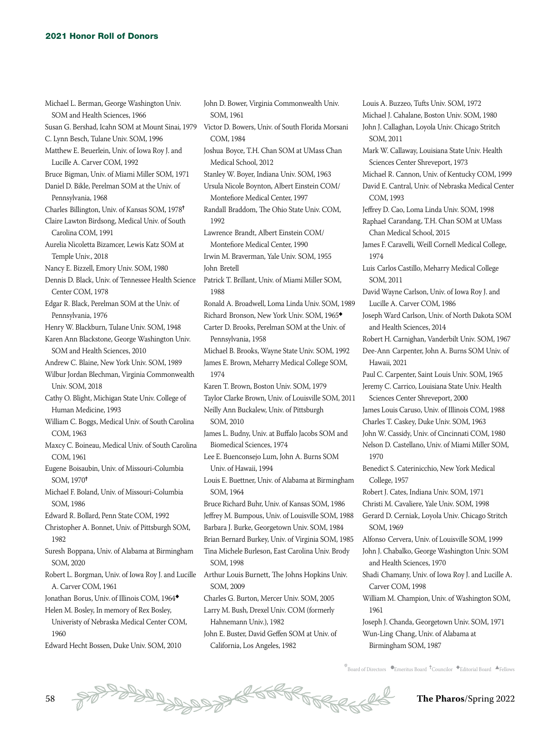Michael L. Berman, George Washington Univ. SOM and Health Sciences, 1966 Susan G. Bershad, Icahn SOM at Mount Sinai, 1979 Victor D. Bowers, Univ. of South Florida Morsani C. Lynn Besch, Tulane Univ. SOM, 1996 Matthew E. Beuerlein, Univ. of Iowa Roy J. and Lucille A. Carver COM, 1992 Bruce Bigman, Univ. of Miami Miller SOM, 1971 Daniel D. Bikle, Perelman SOM at the Univ. of Pennsylvania, 1968 Charles Billington, Univ. of Kansas SOM, 1978<sup>=</sup> Claire Lawton Birdsong, Medical Univ. of South Carolina COM, 1991 Aurelia Nicoletta Bizamcer, Lewis Katz SOM at Temple Univ., 2018 Nancy E. Bizzell, Emory Univ. SOM, 1980 Dennis D. Black, Univ. of Tennessee Health Science Center COM, 1978 Edgar R. Black, Perelman SOM at the Univ. of Pennsylvania, 1976 Henry W. Blackburn, Tulane Univ. SOM, 1948 Karen Ann Blackstone, George Washington Univ. SOM and Health Sciences, 2010 Andrew C. Blaine, New York Univ. SOM, 1989 Wilbur Jordan Blechman, Virginia Commonwealth Univ. SOM, 2018 Cathy O. Blight, Michigan State Univ. College of Human Medicine, 1993 William C. Boggs, Medical Univ. of South Carolina COM, 1963 Maxcy C. Boineau, Medical Univ. of South Carolina COM, 1961 Eugene Boisaubin, Univ. of Missouri-Columbia SOM, 1970<sup>=</sup> Michael F. Boland, Univ. of Missouri-Columbia SOM, 1986 Edward R. Bollard, Penn State COM, 1992 Christopher A. Bonnet, Univ. of Pittsburgh SOM, 1982 Suresh Boppana, Univ. of Alabama at Birmingham SOM, 2020 Robert L. Borgman, Univ. of Iowa Roy J. and Lucille Arthur Louis Burnett, The Johns Hopkins Univ. A. Carver COM, 1961 Jonathan Borus, Univ. of Illinois COM, 1964◆ Helen M. Bosley, In memory of Rex Bosley, Univeristy of Nebraska Medical Center COM,

1960

Edward Hecht Bossen, Duke Univ. SOM, 2010

John D. Bower, Virginia Commonwealth Univ. SOM, 1961 COM, 1984 Joshua Boyce, T.H. Chan SOM at UMass Chan Medical School, 2012 Stanley W. Boyer, Indiana Univ. SOM, 1963 Ursula Nicole Boynton, Albert Einstein COM/ Montefiore Medical Center, 1997 Randall Braddom, The Ohio State Univ. COM, 1992 Lawrence Brandt, Albert Einstein COM/ Montefiore Medical Center, 1990 Irwin M. Braverman, Yale Univ. SOM, 1955 John Bretell Patrick T. Brillant, Univ. of Miami Miller SOM, 1988 Ronald A. Broadwell, Loma Linda Univ. SOM, 1989 Richard Bronson, New York Univ. SOM, 1965◆ Carter D. Brooks, Perelman SOM at the Univ. of Pennsylvania, 1958 Michael B. Brooks, Wayne State Univ. SOM, 1992 James E. Brown, Meharry Medical College SOM, 1974 Karen T. Brown, Boston Univ. SOM, 1979 Taylor Clarke Brown, Univ. of Louisville SOM, 2011 Neilly Ann Buckalew, Univ. of Pittsburgh SOM, 2010 James L. Budny, Univ. at Buffalo Jacobs SOM and Biomedical Sciences, 1974 Lee E. Buenconsejo Lum, John A. Burns SOM Univ. of Hawaii, 1994 Louis E. Buettner, Univ. of Alabama at Birmingham SOM, 1964 Bruce Richard Buhr, Univ. of Kansas SOM, 1986 Jeffrey M. Bumpous, Univ. of Louisville SOM, 1988 Barbara J. Burke, Georgetown Univ. SOM, 1984 Brian Bernard Burkey, Univ. of Virginia SOM, 1985 Tina Michele Burleson, East Carolina Univ. Brody SOM, 1998 SOM, 2009 Charles G. Burton, Mercer Univ. SOM, 2005 Larry M. Bush, Drexel Univ. COM (formerly Hahnemann Univ.), 1982

John E. Buster, David Geffen SOM at Univ. of California, Los Angeles, 1982

Louis A. Buzzeo, Tufts Univ. SOM, 1972 Michael J. Cahalane, Boston Univ. SOM, 1980 John J. Callaghan, Loyola Univ. Chicago Stritch SOM, 2011 Mark W. Callaway, Louisiana State Univ. Health Sciences Center Shreveport, 1973 Michael R. Cannon, Univ. of Kentucky COM, 1999 David E. Cantral, Univ. of Nebraska Medical Center COM, 1993 Jeffrey D. Cao, Loma Linda Univ. SOM, 1998 Raphael Carandang, T.H. Chan SOM at UMass Chan Medical School, 2015 James F. Caravelli, Weill Cornell Medical College, 1974 Luis Carlos Castillo, Meharry Medical College SOM, 2011 David Wayne Carlson, Univ. of Iowa Roy J. and Lucille A. Carver COM, 1986 Joseph Ward Carlson, Univ. of North Dakota SOM and Health Sciences, 2014 Robert H. Carnighan, Vanderbilt Univ. SOM, 1967 Dee-Ann Carpenter, John A. Burns SOM Univ. of Hawaii, 2021 Paul C. Carpenter, Saint Louis Univ. SOM, 1965 Jeremy C. Carrico, Louisiana State Univ. Health Sciences Center Shreveport, 2000 James Louis Caruso, Univ. of Illinois COM, 1988 Charles T. Caskey, Duke Univ. SOM, 1963 John W. Cassidy, Univ. of Cincinnati COM, 1980 Nelson D. Castellano, Univ. of Miami Miller SOM, 1970 Benedict S. Caterinicchio, New York Medical College, 1957 Robert J. Cates, Indiana Univ. SOM, 1971 Christi M. Cavaliere, Yale Univ. SOM, 1998 Gerard D. Cerniak, Loyola Univ. Chicago Stritch SOM, 1969 Alfonso Cervera, Univ. of Louisville SOM, 1999 John J. Chabalko, George Washington Univ. SOM and Health Sciences, 1970 Shadi Chamany, Univ. of Iowa Roy J. and Lucille A. Carver COM, 1998 William M. Champion, Univ. of Washington SOM, 1961 Joseph J. Chanda, Georgetown Univ. SOM, 1971 Wun-Ling Chang, Univ. of Alabama at Birmingham SOM, 1987

 $\stackrel{*}{\text{\rm *}}$ Board of Directors  $\bullet$ Emeritus Board  $\stackrel{\text{\rm *}}{\text{\rm *}}$ Councilor  $\stackrel{\text{\rm *}}{\text{\rm *}}$ Editorial Board  $\stackrel{\text{\rm *}}{\text{\rm *}}$ Fellows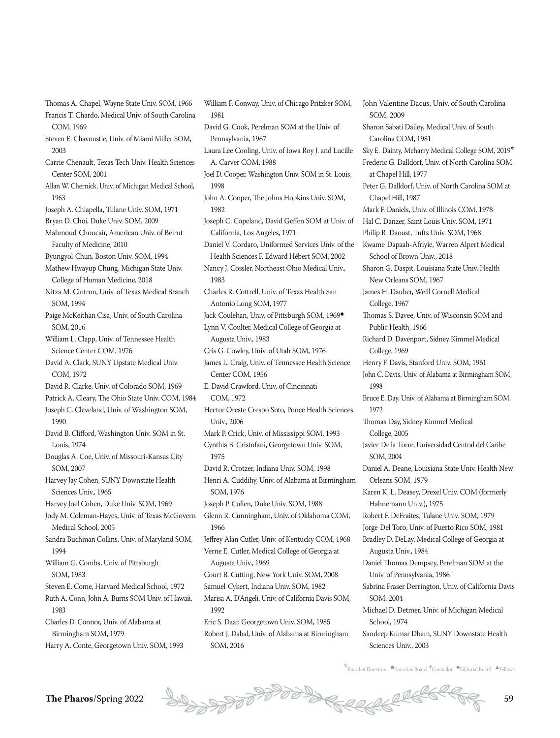- Thomas A. Chapel, Wayne State Univ. SOM, 1966 Francis T. Chardo, Medical Univ. of South Carolina COM, 1969
- Steven E. Chavoustie, Univ. of Miami Miller SOM, 2003
- Carrie Chenault, Texas Tech Univ. Health Sciences Center SOM, 2001
- Allan W. Chernick, Univ. of Michigan Medical School, 1963
- Joseph A. Chiapella, Tulane Univ. SOM, 1971
- Bryan D. Choi, Duke Univ. SOM, 2009
- Mahmoud Choucair, American Univ. of Beirut Faculty of Medicine, 2010
- Byungyol Chun, Boston Univ. SOM, 1994
- Mathew Hwayup Chung, Michigan State Univ. College of Human Medicine, 2018
- Nitza M. Cintron, Univ. of Texas Medical Branch SOM, 1994
- Paige McKeithan Cisa, Univ. of South Carolina SOM, 2016
- William L. Clapp, Univ. of Tennessee Health Science Center COM, 1976
- David A. Clark, SUNY Upstate Medical Univ. COM, 1972
- David R. Clarke, Univ. of Colorado SOM, 1969
- Patrick A. Cleary, The Ohio State Univ. COM, 1984
- Joseph C. Cleveland, Univ. of Washington SOM, 1990
- David B. Clifford, Washington Univ. SOM in St. Louis, 1974
- Douglas A. Coe, Univ. of Missouri-Kansas City SOM, 2007
- Harvey Jay Cohen, SUNY Downstate Health Sciences Univ., 1965
- Harvey Joel Cohen, Duke Univ. SOM, 1969
- Jody M. Coleman-Hayes, Univ. of Texas McGovern Medical School, 2005
- Sandra Buchman Collins, Univ. of Maryland SOM, 1994
- William G. Combs, Univ. of Pittsburgh SOM, 1983
- Steven E. Come, Harvard Medical School, 1972
- Ruth A. Conn, John A. Burns SOM Univ. of Hawaii, 1983
- Charles D. Connor, Univ. of Alabama at Birmingham SOM, 1979
- Harry A. Conte, Georgetown Univ. SOM, 1993
- David G. Cook, Perelman SOM at the Univ. of Pennsylvania, 1967 Laura Lee Cooling, Univ. of Iowa Roy J. and Lucille A. Carver COM, 1988 Joel D. Cooper, Washington Univ. SOM in St. Louis, 1998 John A. Cooper, The Johns Hopkins Univ. SOM, 1982 Joseph C. Copeland, David Geffen SOM at Univ. of California, Los Angeles, 1971 Daniel V. Cordaro, Uniformed Services Univ. of the Health Sciences F. Edward Hébert SOM, 2002 Nancy J. Cossler, Northeast Ohio Medical Univ., 1983 Charles R. Cottrell, Univ. of Texas Health San Antonio Long SOM, 1977 Jack Coulehan, Univ. of Pittsburgh SOM, 1969◆ Lynn V. Coulter, Medical College of Georgia at Augusta Univ., 1983 Cris G. Cowley, Univ. of Utah SOM, 1976 James L. Craig, Univ. of Tennessee Health Science Center COM, 1956 E. David Crawford, Univ. of Cincinnati COM, 1972 Hector Oreste Crespo Soto, Ponce Health Sciences Univ., 2006 Mark P. Crick, Univ. of Mississippi SOM, 1993 Cynthia B. Cristofani, Georgetown Univ. SOM, 1975 David R. Crotzer, Indiana Univ. SOM, 1998 Henri A. Cuddihy, Univ. of Alabama at Birmingham SOM, 1976 Joseph P. Cullen, Duke Univ. SOM, 1988 Glenn R. Cunningham, Univ. of Oklahoma COM, 1966 Jeffrey Alan Cutler, Univ. of Kentucky COM, 1968 Verne E. Cutler, Medical College of Georgia at Augusta Univ., 1969 Court B. Cutting, New York Univ. SOM, 2008 Samuel Cykert, Indiana Univ. SOM, 1982

William F. Conway, Univ. of Chicago Pritzker SOM,

1981

- Marisa A. D'Angeli, Univ. of California Davis SOM, 1992
- Eric S. Daar, Georgetown Univ. SOM, 1985 Robert J. Dabal, Univ. of Alabama at Birmingham SOM, 2016

John Valentine Dacus, Univ. of South Carolina SOM, 2009 Sharon Sabati Dailey, Medical Univ. of South Carolina COM, 1981 Sky E. Dainty, Meharry Medical College SOM, 2019\* Frederic G. Dalldorf, Univ. of North Carolina SOM at Chapel Hill, 1977 Peter G. Dalldorf, Univ. of North Carolina SOM at Chapel Hill, 1987 Mark F. Daniels, Univ. of Illinois COM, 1978 Hal C. Danzer, Saint Louis Univ. SOM, 1971 Philip R. Daoust, Tufts Univ. SOM, 1968 Kwame Dapaah-Afriyie, Warren Alpert Medical School of Brown Univ., 2018 Sharon G. Daspit, Louisiana State Univ. Health New Orleans SOM, 1967 James H. Dauber, Weill Cornell Medical College, 1967 Thomas S. Davee, Univ. of Wisconsin SOM and Public Health, 1966 Richard D. Davenport, Sidney Kimmel Medical College, 1969 Henry F. Davis, Stanford Univ. SOM, 1961 John C. Davis, Univ. of Alabama at Birmingham SOM, 1998 Bruce E. Day, Univ. of Alabama at Birmingham SOM, 1972 Thomas Day, Sidney Kimmel Medical College, 2005 Javier De la Torre, Universidad Central del Caribe SOM, 2004 Daniel A. Deane, Louisiana State Univ. Health New Orleans SOM, 1979 Karen K. L. Deasey, Drexel Univ. COM (formerly Hahnemann Univ.), 1975 Robert F. DeFraites, Tulane Univ. SOM, 1979 Jorge Del Toro, Univ. of Puerto Rico SOM, 1981 Bradley D. DeLay, Medical College of Georgia at Augusta Univ., 1984 Daniel Thomas Dempsey, Perelman SOM at the Univ. of Pennsylvania, 1986 Sabrina Fraser Derrington, Univ. of California Davis SOM, 2004 Michael D. Detmer, Univ. of Michigan Medical School, 1974 Sandeep Kumar Dham, SUNY Downstate Health

Sciences Univ., 2003

 $\stackrel{*}{\text{B}oard}$  of Directors  $\bullet$ Emeritus Board  $\stackrel{\text{4}}{\text{C}oard}$   $\bullet$ Editorial Board  $\stackrel{\text{4}}{\text{A}rell}$ ows

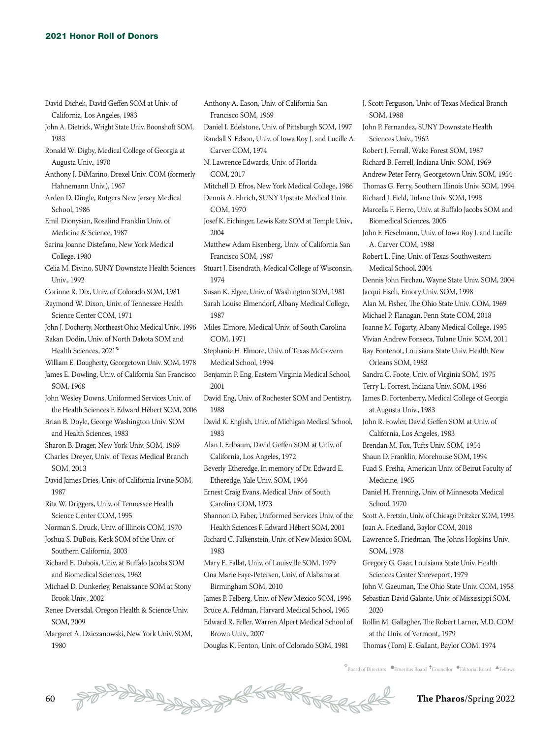David Dichek, David Geffen SOM at Univ. of

California, Los Angeles, 1983

Augusta Univ., 1970

School, 1986

College, 1980

Univ. 1992

SOM, 1968

SOM, 2013

1987

Hahnemann Univ.), 1967

Medicine & Science, 1987

Science Center COM, 1971

Health Sciences, 2021\*

and Health Sciences, 1983

Science Center COM, 1995

Southern California, 2003

Renee Dversdal, Oregon Health & Science Univ.

Margaret A. Dziezanowski, New York Univ. SOM,

Brook Univ., 2002

SOM, 2009

1980

1983

John A. Dietrick, Wright State Univ. Boonshoft SOM, Ronald W. Digby, Medical College of Georgia at Anthony J. DiMarino, Drexel Univ. COM (formerly Arden D. Dingle, Rutgers New Jersey Medical Emil Dionysian, Rosalind Franklin Univ. of Sarina Joanne Distefano, New York Medical Celia M. Divino, SUNY Downstate Health Sciences Corinne R. Dix, Univ. of Colorado SOM, 1981 Raymond W. Dixon, Univ. of Tennessee Health John J. Docherty, Northeast Ohio Medical Univ., 1996 Rakan Dodin, Univ. of North Dakota SOM and William E. Dougherty, Georgetown Univ. SOM, 1978 James E. Dowling, Univ. of California San Francisco John Wesley Downs, Uniformed Services Univ. of the Health Sciences F. Edward Hébert SOM, 2006 Brian B. Doyle, George Washington Univ. SOM Sharon B. Drager, New York Univ. SOM, 1969 Charles Dreyer, Univ. of Texas Medical Branch David James Dries, Univ. of California Irvine SOM, Rita W. Driggers, Univ. of Tennessee Health Norman S. Druck, Univ. of Illinois COM, 1970 Joshua S. DuBois, Keck SOM of the Univ. of Richard E. Dubois, Univ. at Buffalo Jacobs SOM and Biomedical Sciences, 1963 Michael D. Dunkerley, Renaissance SOM at Stony Daniel I. Edelstone, Univ. of Pittsburgh SOM, 1997 Randall S. Edson, Univ. of Iowa Roy J. and Lucille A. Carver COM, 1974 N. Lawrence Edwards, Univ. of Florida COM, 2017 Mitchell D. Efros, New York Medical College, 1986 Dennis A. Ehrich, SUNY Upstate Medical Univ. COM, 1970 Josef K. Eichinger, Lewis Katz SOM at Temple Univ., 2004 Matthew Adam Eisenberg, Univ. of California San Francisco SOM, 1987 Stuart J. Eisendrath, Medical College of Wisconsin, 1974 Susan K. Elgee, Univ. of Washington SOM, 1981 Sarah Louise Elmendorf, Albany Medical College, 1987 Miles Elmore, Medical Univ. of South Carolina COM, 1971 Stephanie H. Elmore, Univ. of Texas McGovern Medical School, 1994 Benjamin P. Eng, Eastern Virginia Medical School, 2001 David Eng, Univ. of Rochester SOM and Dentistry, 1988 David K. English, Univ. of Michigan Medical School, 1983 Alan I. Erlbaum, David Geffen SOM at Univ. of California, Los Angeles, 1972 Beverly Etheredge, In memory of Dr. Edward E. Etheredge, Yale Univ. SOM, 1964 Ernest Craig Evans, Medical Univ. of South Carolina COM, 1973 Shannon D. Faber, Uniformed Services Univ. of the Health Sciences F. Edward Hébert SOM, 2001 Richard C. Falkenstein, Univ. of New Mexico SOM, 1983 Mary E. Fallat, Univ. of Louisville SOM, 1979 Ona Marie Faye-Petersen, Univ. of Alabama at Birmingham SOM, 2010

Anthony A. Eason, Univ. of California San

Francisco SOM, 1969

James P. Felberg, Univ. of New Mexico SOM, 1996 Bruce A. Feldman, Harvard Medical School, 1965 Edward R. Feller, Warren Alpert Medical School of Brown Univ., 2007

Douglas K. Fenton, Univ. of Colorado SOM, 1981

J. Scott Ferguson, Univ. of Texas Medical Branch SOM, 1988 John P. Fernandez, SUNY Downstate Health Sciences Univ., 1962 Robert J. Ferrall, Wake Forest SOM, 1987 Richard B. Ferrell, Indiana Univ. SOM, 1969 Andrew Peter Ferry, Georgetown Univ. SOM, 1954 Thomas G. Ferry, Southern Illinois Univ. SOM, 1994 Richard J. Field, Tulane Univ. SOM, 1998 Marcella F. Fierro, Univ. at Buffalo Jacobs SOM and Biomedical Sciences, 2005 John F. Fieselmann, Univ. of Iowa Roy J. and Lucille A. Carver COM, 1988 Robert L. Fine, Univ. of Texas Southwestern Medical School, 2004 Dennis John Firchau, Wayne State Univ. SOM, 2004 Jacqui Fisch, Emory Univ. SOM, 1998 Alan M. Fisher, The Ohio State Univ. COM, 1969 Michael P. Flanagan, Penn State COM, 2018 Joanne M. Fogarty, Albany Medical College, 1995 Vivian Andrew Fonseca, Tulane Univ. SOM, 2011 Ray Fontenot, Louisiana State Univ. Health New Orleans SOM, 1983 Sandra C. Foote, Univ. of Virginia SOM, 1975 Terry L. Forrest, Indiana Univ. SOM, 1986 James D. Fortenberry, Medical College of Georgia at Augusta Univ., 1983 John R. Fowler, David Geffen SOM at Univ. of California, Los Angeles, 1983 Brendan M. Fox, Tufts Univ. SOM, 1954 Shaun D. Franklin, Morehouse SOM, 1994 Fuad S. Freiha, American Univ. of Beirut Faculty of Medicine, 1965 Daniel H. Frenning, Univ. of Minnesota Medical School, 1970 Scott A. Fretzin, Univ. of Chicago Pritzker SOM, 1993 Joan A. Friedland, Baylor COM, 2018 Lawrence S. Friedman, The Johns Hopkins Univ. SOM, 1978 Gregory G. Gaar, Louisiana State Univ. Health Sciences Center Shreveport, 1979 John V. Gaeuman, The Ohio State Univ. COM, 1958 Sebastian David Galante, Univ. of Mississippi SOM, 2020 Rollin M. Gallagher, The Robert Larner, M.D. COM at the Univ. of Vermont, 1979 Thomas (Tom) E. Gallant, Baylor COM, 1974

 $\stackrel{*}{\text{B}oard}$  of Directors  $\bullet$ Emeritus Board  $\stackrel{\text{4}}{\text{C}oard}$   $\bullet$ Editorial Board  $\stackrel{\text{4}}{\text{A}rell}$ ows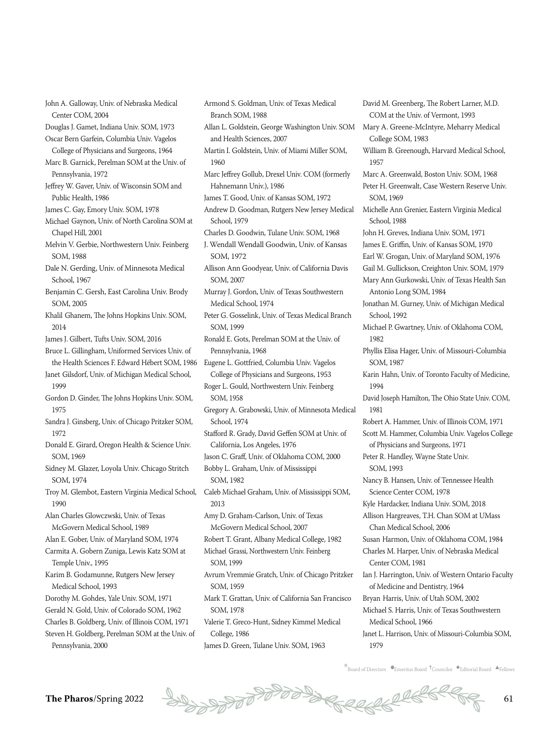**The Pharos**/Spring 2022  $\frac{1}{2}$   $\frac{1}{2}$   $\frac{1}{2}$   $\frac{1}{2}$   $\frac{1}{2}$   $\frac{1}{2}$   $\frac{1}{2}$   $\frac{1}{2}$   $\frac{1}{2}$   $\frac{1}{2}$   $\frac{1}{2}$   $\frac{1}{2}$   $\frac{1}{2}$   $\frac{1}{2}$   $\frac{1}{2}$   $\frac{1}{2}$   $\frac{1}{2}$   $\frac{1}{2}$   $\frac{1}{2}$   $\frac{1}{$ Gordon D. Ginder, The Johns Hopkins Univ. SOM, Sandra J. Ginsberg, Univ. of Chicago Pritzker SOM, Donald E. Girard, Oregon Health & Science Univ. SOM, 1969 Sidney M. Glazer, Loyola Univ. Chicago Stritch SOM, 1974 Troy M. Glembot, Eastern Virginia Medical School, Alan Charles Glowczwski, Univ. of Texas McGovern Medical School, 1989 Alan E. Gober, Univ. of Maryland SOM, 1974 Carmita A. Gobern Zuniga, Lewis Katz SOM at Temple Univ., 1995 Karim B. Godamunne, Rutgers New Jersey Medical School, 1993 Dorothy M. Gohdes, Yale Univ. SOM, 1971 Gerald N. Gold, Univ. of Colorado SOM, 1962 Charles B. Goldberg, Univ. of Illinois COM, 1971 Steven H. Goldberg, Perelman SOM at the Univ. of Pennsylvania, 2000 2013 James D. Green, Tulane Univ. SOM, 1963

John A. Galloway, Univ. of Nebraska Medical

Douglas J. Gamet, Indiana Univ. SOM, 1973 Oscar Bern Garfein, Columbia Univ. Vagelos College of Physicians and Surgeons, 1964 Marc B. Garnick, Perelman SOM at the Univ. of

Jeffrey W. Gaver, Univ. of Wisconsin SOM and

Michael Gaynon, Univ. of North Carolina SOM at

Melvin V. Gerbie, Northwestern Univ. Feinberg

Dale N. Gerding, Univ. of Minnesota Medical

Benjamin C. Gersh, East Carolina Univ. Brody

Khalil Ghanem, The Johns Hopkins Univ. SOM,

Janet Gilsdorf, Univ. of Michigan Medical School,

James J. Gilbert, Tufts Univ. SOM, 2016 Bruce L. Gillingham, Uniformed Services Univ. of

James C. Gay, Emory Univ. SOM, 1978

Center COM, 2004

Pennsylvania, 1972

Public Health, 1986

Chapel Hill, 2001

SOM, 1988

School, 1967

SOM, 2005

2014

1999

1975

1972

1990

the Health Sciences F. Edward Hébert SOM, 1986 Armond S. Goldman, Univ. of Texas Medical Branch SOM, 1988 Allan L. Goldstein, George Washington Univ. SOM and Health Sciences, 2007 Martin I. Goldstein, Univ. of Miami Miller SOM, 1960 Marc Jeffrey Gollub, Drexel Univ. COM (formerly Hahnemann Univ.), 1986 James T. Good, Univ. of Kansas SOM, 1972 Andrew D. Goodman, Rutgers New Jersey Medical School, 1979 Charles D. Goodwin, Tulane Univ. SOM, 1968 J. Wendall Wendall Goodwin, Univ. of Kansas SOM, 1972 Allison Ann Goodyear, Univ. of California Davis SOM, 2007 Murray J. Gordon, Univ. of Texas Southwestern Medical School, 1974 Peter G. Gosselink, Univ. of Texas Medical Branch SOM, 1999 Ronald E. Gots, Perelman SOM at the Univ. of Pennsylvania, 1968 Eugene L. Gottfried, Columbia Univ. Vagelos College of Physicians and Surgeons, 1953 Roger L. Gould, Northwestern Univ. Feinberg SOM, 1958 Gregory A. Grabowski, Univ. of Minnesota Medical School, 1974 Stafford R. Grady, David Geffen SOM at Univ. of California, Los Angeles, 1976 Jason C. Graff, Univ. of Oklahoma COM, 2000 Bobby L. Graham, Univ. of Mississippi SOM, 1982 Caleb Michael Graham, Univ. of Mississippi SOM, Amy D. Graham-Carlson, Univ. of Texas McGovern Medical School, 2007 Robert T. Grant, Albany Medical College, 1982 Michael Grassi, Northwestern Univ. Feinberg SOM, 1999 Avrum Vremmie Gratch, Univ. of Chicago Pritzker SOM, 1959 Mark T. Grattan, Univ. of California San Francisco SOM, 1978 Valerie T. Greco-Hunt, Sidney Kimmel Medical College, 1986

COM at the Univ. of Vermont, 1993 Mary A. Greene-McIntyre, Meharry Medical College SOM, 1983 William B. Greenough, Harvard Medical School, 1957 Marc A. Greenwald, Boston Univ. SOM, 1968 Peter H. Greenwalt, Case Western Reserve Univ. SOM, 1969 Michelle Ann Grenier, Eastern Virginia Medical School, 1988 John H. Greves, Indiana Univ. SOM, 1971 James E. Griffin, Univ. of Kansas SOM, 1970 Earl W. Grogan, Univ. of Maryland SOM, 1976 Gail M. Gullickson, Creighton Univ. SOM, 1979 Mary Ann Gurkowski, Univ. of Texas Health San Antonio Long SOM, 1984 Jonathan M. Gurney, Univ. of Michigan Medical School, 1992 Michael P. Gwartney, Univ. of Oklahoma COM, 1982 Phyllis Elisa Hager, Univ. of Missouri-Columbia SOM, 1987 Karin Hahn, Univ. of Toronto Faculty of Medicine, 1994 David Joseph Hamilton, The Ohio State Univ. COM, 1981 Robert A. Hammer, Univ. of Illinois COM, 1971 Scott M. Hammer, Columbia Univ. Vagelos College of Physicians and Surgeons, 1971 Peter R. Handley, Wayne State Univ. SOM, 1993 Nancy B. Hansen, Univ. of Tennessee Health Science Center COM, 1978 Kyle Hardacker, Indiana Univ. SOM, 2018 Allison Hargreaves, T.H. Chan SOM at UMass Chan Medical School, 2006 Susan Harmon, Univ. of Oklahoma COM, 1984 Charles M. Harper, Univ. of Nebraska Medical Center COM, 1981 Ian J. Harrington, Univ. of Western Ontario Faculty of Medicine and Dentistry, 1964 Bryan Harris, Univ. of Utah SOM, 2002 Michael S. Harris, Univ. of Texas Southwestern Medical School, 1966 Janet L. Harrison, Univ. of Missouri-Columbia SOM, 1979

David M. Greenberg, The Robert Larner, M.D.

 $\overline{E}$ Board of Directors  $\overline{E}$ Emeritus Board  $\overline{E}$ Councilor  $\overline{E}$ Editorial Board  $\overline{E}$ Fellows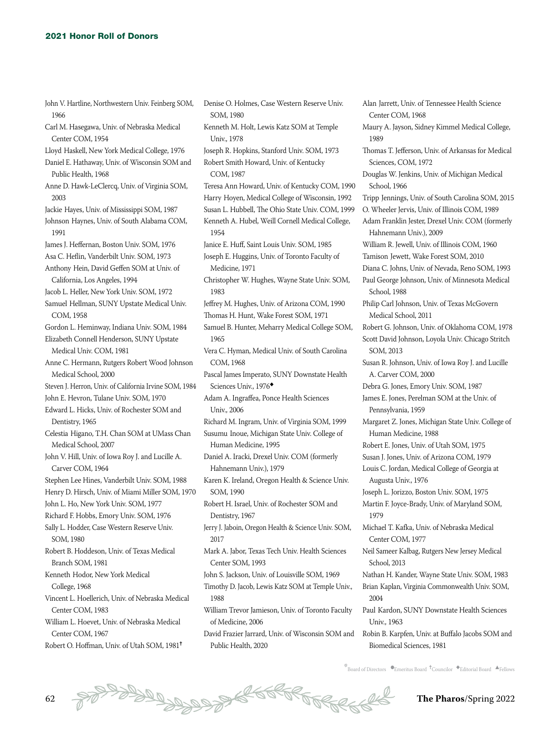John V. Hartline, Northwestern Univ. Feinberg SOM,

| 1966                                                                 |
|----------------------------------------------------------------------|
| Carl M. Hasegawa, Univ. of Nebraska Medical                          |
| Center COM, 1954                                                     |
| Lloyd Haskell, New York Medical College, 1976                        |
| Daniel E. Hathaway, Univ. of Wisconsin SOM and                       |
| Public Health, 1968                                                  |
| Anne D. Hawk-LeClercq, Univ. of Virginia SOM,<br>2003                |
| Jackie Hayes, Univ. of Mississippi SOM, 1987                         |
| Johnson Haynes, Univ. of South Alabama COM,<br>1991                  |
| James J. Heffernan, Boston Univ. SOM, 1976                           |
| Asa C. Heflin, Vanderbilt Univ. SOM, 1973                            |
| Anthony Hein, David Geffen SOM at Univ. of                           |
| California, Los Angeles, 1994                                        |
| Jacob L. Heller, New York Univ. SOM, 1972                            |
| Samuel Hellman, SUNY Upstate Medical Univ.<br>COM, 1958              |
| Gordon L. Heminway, Indiana Univ. SOM, 1984                          |
| Elizabeth Connell Henderson, SUNY Upstate                            |
| Medical Univ. COM, 1981                                              |
| Anne C. Hermann, Rutgers Robert Wood Johnson<br>Medical School, 2000 |
| Steven J. Herron, Univ. of California Irvine SOM, 1984               |
| John E. Hevron, Tulane Univ. SOM, 1970                               |
| Edward L. Hicks, Univ. of Rochester SOM and                          |
| Dentistry, 1965                                                      |
| Celestia Higano, T.H. Chan SOM at UMass Chan                         |
| Medical School, 2007                                                 |
| John V. Hill, Univ. of Iowa Roy J. and Lucille A.                    |
| Carver COM, 1964                                                     |
| Stephen Lee Hines, Vanderbilt Univ. SOM, 1988                        |
| Henry D. Hirsch, Univ. of Miami Miller SOM, 1970                     |
| John L. Ho, New York Univ. SOM, 1977                                 |
| Richard F. Hobbs, Emory Univ. SOM, 1976                              |
| Sally L. Hodder, Case Western Reserve Univ.<br>SOM, 1980             |
| Robert B. Hoddeson, Univ. of Texas Medical                           |
| Branch SOM, 1981                                                     |
| Kenneth Hodor, New York Medical                                      |
| College, 1968                                                        |
| Vincent L. Hoellerich, Univ. of Nebraska Medical                     |
| Center COM, 1983                                                     |
| William L. Hoevet, Univ. of Nebraska Medical                         |
| Center COM, 1967                                                     |
| Robert O. Hoffman, Univ. of Utah SOM, 1981 <sup>†</sup>              |

Denise O. Holmes, Case Western Reserve Univ. SOM, 1980 Kenneth M. Holt, Lewis Katz SOM at Temple Univ., 1978 Joseph R. Hopkins, Stanford Univ. SOM, 1973 Robert Smith Howard, Univ. of Kentucky COM, 1987 Teresa Ann Howard, Univ. of Kentucky COM, 1990 Harry Hoyen, Medical College of Wisconsin, 1992 Susan L. Hubbell, The Ohio State Univ. COM, 1999 Kenneth A. Hubel, Weill Cornell Medical College, 1954 Janice E. Huff, Saint Louis Univ. SOM, 1985 Joseph E. Huggins, Univ. of Toronto Faculty of Medicine, 1971 Christopher W. Hughes, Wayne State Univ. SOM, 1983 Jeffrey M. Hughes, Univ. of Arizona COM, 1990 Thomas H. Hunt, Wake Forest SOM, 1971 Samuel B. Hunter, Meharry Medical College SOM, 1965 Vera C. Hyman, Medical Univ. of South Carolina COM, 1968 Pascal James Imperato, SUNY Downstate Health Sciences Univ., 1976◆ Adam A. Ingraffea, Ponce Health Sciences Univ., 2006 Richard M. Ingram, Univ. of Virginia SOM, 1999 Susumu Inoue, Michigan State Univ. College of Human Medicine, 1995 Daniel A. Iracki, Drexel Univ. COM (formerly Hahnemann Univ.), 1979 Karen K. Ireland, Oregon Health & Science Univ. SOM, 1990 Robert H. Israel, Univ. of Rochester SOM and Dentistry, 1967 Jerry J. Jaboin, Oregon Health & Science Univ. SOM, 2017 Mark A. Jabor, Texas Tech Univ. Health Sciences Center SOM, 1993 John S. Jackson, Univ. of Louisville SOM, 1969 Timothy D. Jacob, Lewis Katz SOM at Temple Univ., 1988 William Trevor Jamieson, Univ. of Toronto Faculty of Medicine, 2006 David Frazier Jarrard, Univ. of Wisconsin SOM and Public Health, 2020

Alan Jarrett, Univ. of Tennessee Health Science Center COM, 1968 Maury A. Jayson, Sidney Kimmel Medical College, 1989 Thomas T. Jefferson, Univ. of Arkansas for Medical Sciences, COM, 1972 Douglas W. Jenkins, Univ. of Michigan Medical School, 1966 Tripp Jennings, Univ. of South Carolina SOM, 2015 O. Wheeler Jervis, Univ. of Illinois COM, 1989 Adam Franklin Jester, Drexel Univ. COM (formerly Hahnemann Univ.), 2009 William R. Jewell, Univ. of Illinois COM, 1960 Tamison Jewett, Wake Forest SOM, 2010 Diana C. Johns, Univ. of Nevada, Reno SOM, 1993 Paul George Johnson, Univ. of Minnesota Medical School, 1988 Philip Carl Johnson, Univ. of Texas McGovern Medical School, 2011 Robert G. Johnson, Univ. of Oklahoma COM, 1978 Scott David Johnson, Loyola Univ. Chicago Stritch SOM, 2013 Susan R. Johnson, Univ. of Iowa Roy J. and Lucille A. Carver COM, 2000 Debra G. Jones, Emory Univ. SOM, 1987 James E. Jones, Perelman SOM at the Univ. of Pennsylvania, 1959 Margaret Z. Jones, Michigan State Univ. College of Human Medicine, 1988 Robert E. Jones, Univ. of Utah SOM, 1975 Susan J. Jones, Univ. of Arizona COM, 1979 Louis C. Jordan, Medical College of Georgia at Augusta Univ., 1976 Joseph L. Jorizzo, Boston Univ. SOM, 1975 Martin F. Joyce-Brady, Univ. of Maryland SOM, 1979 Michael T. Kafka, Univ. of Nebraska Medical Center COM, 1977 Neil Sameer Kalbag, Rutgers New Jersey Medical School, 2013 Nathan H. Kander, Wayne State Univ. SOM, 1983 Brian Kaplan, Virginia Commonwealth Univ. SOM, 2004 Paul Kardon, SUNY Downstate Health Sciences Univ., 1963 Robin B. Karpfen, Univ. at Buffalo Jacobs SOM and Biomedical Sciences, 1981

 $\stackrel{*}{\text{\rm *}}$ Board of Directors  $\bullet$ Emeritus Board  $\stackrel{\text{\rm *}}{\text{\rm *}}$ Councilor  $\stackrel{\text{\rm *}}{\text{\rm *}}$ Editorial Board  $\stackrel{\text{\rm *}}{\text{\rm *}}$ Fellows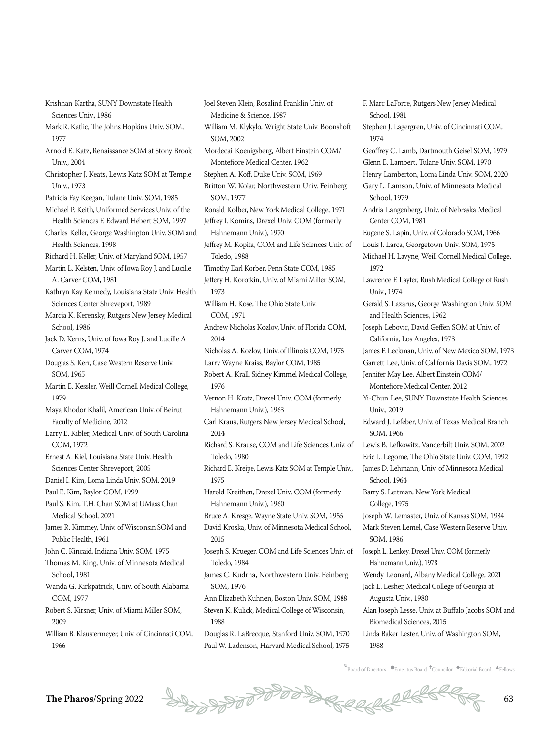Krishnan Kartha, SUNY Downstate Health Sciences Univ., 1986

- Mark R. Katlic, The Johns Hopkins Univ. SOM, 1977
- Arnold E. Katz, Renaissance SOM at Stony Brook Univ., 2004
- Christopher J. Keats, Lewis Katz SOM at Temple Univ., 1973
- Patricia Fay Keegan, Tulane Univ. SOM, 1985 Michael P. Keith, Uniformed Services Univ. of the
- Health Sciences F. Edward Hébert SOM, 1997 Charles Keller, George Washington Univ. SOM and
- Health Sciences, 1998
- Richard H. Keller, Univ. of Maryland SOM, 1957
- Martin L. Kelsten, Univ. of Iowa Roy J. and Lucille A. Carver COM, 1981
- Kathryn Kay Kennedy, Louisiana State Univ. Health Sciences Center Shreveport, 1989
- Marcia K. Kerensky, Rutgers New Jersey Medical School, 1986
- Jack D. Kerns, Univ. of Iowa Roy J. and Lucille A. Carver COM, 1974
- Douglas S. Kerr, Case Western Reserve Univ. SOM, 1965
- Martin E. Kessler, Weill Cornell Medical College, 1979
- Maya Khodor Khalil, American Univ. of Beirut Faculty of Medicine, 2012
- Larry E. Kibler, Medical Univ. of South Carolina COM, 1972
- Ernest A. Kiel, Louisiana State Univ. Health Sciences Center Shreveport, 2005
- Daniel I. Kim, Loma Linda Univ. SOM, 2019
- Paul E. Kim, Baylor COM, 1999
- Paul S. Kim, T.H. Chan SOM at UMass Chan Medical School, 2021
- James R. Kimmey, Univ. of Wisconsin SOM and Public Health, 1961
- John C. Kincaid, Indiana Univ. SOM, 1975
- Thomas M. King, Univ. of Minnesota Medical School, 1981
- Wanda G. Kirkpatrick, Univ. of South Alabama COM, 1977
- Robert S. Kirsner, Univ. of Miami Miller SOM, 2009
- William B. Klaustermeyer, Univ. of Cincinnati COM, 1966

Joel Steven Klein, Rosalind Franklin Univ. of Medicine & Science, 1987 William M. Klykylo, Wright State Univ. Boonshoft SOM, 2002 Mordecai Koenigsberg, Albert Einstein COM/ Montefiore Medical Center, 1962 Stephen A. Koff, Duke Univ. SOM, 1969 Britton W. Kolar, Northwestern Univ. Feinberg SOM, 1977 Ronald Kolber, New York Medical College, 1971 Jeffrey I. Komins, Drexel Univ. COM (formerly Hahnemann Univ.), 1970 Jeffrey M. Kopita, COM and Life Sciences Univ. of Toledo, 1988 Timothy Earl Korber, Penn State COM, 1985 Jeffery H. Korotkin, Univ. of Miami Miller SOM, 1973 William H. Kose, The Ohio State Univ. COM, 1971 Andrew Nicholas Kozlov, Univ. of Florida COM, 2014 Nicholas A. Kozlov, Univ. of Illinois COM, 1975 Larry Wayne Kraiss, Baylor COM, 1985 Robert A. Krall, Sidney Kimmel Medical College, 1976 Vernon H. Kratz, Drexel Univ. COM (formerly Hahnemann Univ.), 1963 Carl Kraus, Rutgers New Jersey Medical School, 2014 Richard S. Krause, COM and Life Sciences Univ. of Toledo, 1980 Richard E. Kreipe, Lewis Katz SOM at Temple Univ., 1975 Harold Kreithen, Drexel Univ. COM (formerly Hahnemann Univ.), 1960 Bruce A. Kresge, Wayne State Univ. SOM, 1955 David Kroska, Univ. of Minnesota Medical School, 2015 Joseph S. Krueger, COM and Life Sciences Univ. of Toledo, 1984 James C. Kudrna, Northwestern Univ. Feinberg SOM, 1976 Ann Elizabeth Kuhnen, Boston Univ. SOM, 1988 Steven K. Kulick, Medical College of Wisconsin, 1988

Douglas R. LaBrecque, Stanford Univ. SOM, 1970 Paul W. Ladenson, Harvard Medical School, 1975

F. Marc LaForce, Rutgers New Jersey Medical School, 1981 Stephen J. Lagergren, Univ. of Cincinnati COM, 1974 Geoffrey C. Lamb, Dartmouth Geisel SOM, 1979 Glenn E. Lambert, Tulane Univ. SOM, 1970 Henry Lamberton, Loma Linda Univ. SOM, 2020 Gary L. Lamson, Univ. of Minnesota Medical School, 1979 Andria Langenberg, Univ. of Nebraska Medical Center COM, 1981 Eugene S. Lapin, Univ. of Colorado SOM, 1966 Louis J. Larca, Georgetown Univ. SOM, 1975 Michael H. Lavyne, Weill Cornell Medical College, 1972 Lawrence F. Layfer, Rush Medical College of Rush Univ., 1974 Gerald S. Lazarus, George Washington Univ. SOM and Health Sciences, 1962 Joseph Lebovic, David Geffen SOM at Univ. of California, Los Angeles, 1973 James F. Leckman, Univ. of New Mexico SOM, 1973 Garrett Lee, Univ. of California Davis SOM, 1972 Jennifer May Lee, Albert Einstein COM/ Montefiore Medical Center, 2012 Yi-Chun Lee, SUNY Downstate Health Sciences Univ., 2019 Edward J. Lefeber, Univ. of Texas Medical Branch SOM, 1966 Lewis B. Lefkowitz, Vanderbilt Univ. SOM, 2002 Eric L. Legome, The Ohio State Univ. COM, 1992 James D. Lehmann, Univ. of Minnesota Medical School, 1964 Barry S. Leitman, New York Medical College, 1975 Joseph W. Lemaster, Univ. of Kansas SOM, 1984 Mark Steven Lemel, Case Western Reserve Univ. SOM, 1986 Joseph L. Lenkey, Drexel Univ. COM (formerly Hahnemann Univ.), 1978 Wendy Leonard, Albany Medical College, 2021 Jack L. Lesher, Medical College of Georgia at Augusta Univ., 1980 Alan Joseph Lesse, Univ. at Buffalo Jacobs SOM and Biomedical Sciences, 2015

Linda Baker Lester, Univ. of Washington SOM, 1988

 $^*$ Board of Directors  $\bullet$ Emeritus Board  $\dag$ Councilor  $\bullet$ Editorial Board  $\bullet$ Fellows

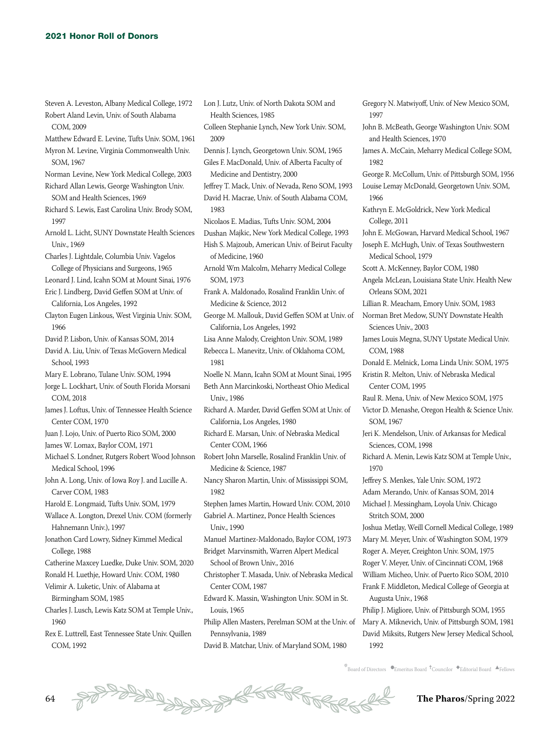Steven A. Leveston, Albany Medical College, 1972 Robert Aland Levin, Univ. of South Alabama

- COM, 2009 Matthew Edward E. Levine, Tufts Univ. SOM, 1961 Myron M. Levine, Virginia Commonwealth Univ. SOM, 1967 Norman Levine, New York Medical College, 2003 Richard Allan Lewis, George Washington Univ. SOM and Health Sciences, 1969 Richard S. Lewis, East Carolina Univ. Brody SOM, 1997 Arnold L. Licht, SUNY Downstate Health Sciences Univ., 1969 Charles J. Lightdale, Columbia Univ. Vagelos College of Physicians and Surgeons, 1965 Leonard J. Lind, Icahn SOM at Mount Sinai, 1976 Eric J. Lindberg, David Geffen SOM at Univ. of California, Los Angeles, 1992 Clayton Eugen Linkous, West Virginia Univ. SOM, 1966 David P. Lisbon, Univ. of Kansas SOM, 2014 David A. Liu, Univ. of Texas McGovern Medical School, 1993 Mary E. Lobrano, Tulane Univ. SOM, 1994 Jorge L. Lockhart, Univ. of South Florida Morsani COM, 2018 James J. Loftus, Univ. of Tennessee Health Science Center COM, 1970 Juan J. Lojo, Univ. of Puerto Rico SOM, 2000 James W. Lomax, Baylor COM, 1971 Michael S. Londner, Rutgers Robert Wood Johnson Medical School, 1996 John A. Long, Univ. of Iowa Roy J. and Lucille A. Carver COM, 1983 Harold E. Longmaid, Tufts Univ. SOM, 1979 Wallace A. Longton, Drexel Univ. COM (formerly Hahnemann Univ.), 1997 Jonathon Card Lowry, Sidney Kimmel Medical College, 1988 Catherine Maxcey Luedke, Duke Univ. SOM, 2020 Ronald H. Luethje, Howard Univ. COM, 1980 Velimir A. Luketic, Univ. of Alabama at Birmingham SOM, 1985 Charles J. Lusch, Lewis Katz SOM at Temple Univ., 1960 Rex E. Luttrell, East Tennessee State Univ. Quillen COM, 1992
- Lon J. Lutz, Univ. of North Dakota SOM and Health Sciences, 1985 Colleen Stephanie Lynch, New York Univ. SOM, 2009 Dennis J. Lynch, Georgetown Univ. SOM, 1965 Giles F. MacDonald, Univ. of Alberta Faculty of Medicine and Dentistry, 2000 Jeffrey T. Mack, Univ. of Nevada, Reno SOM, 1993 David H. Macrae, Univ. of South Alabama COM, 1983 Nicolaos E. Madias, Tufts Univ. SOM, 2004 Dushan Majkic, New York Medical College, 1993 Hish S. Majzoub, American Univ. of Beirut Faculty of Medicine, 1960 Arnold Wm Malcolm, Meharry Medical College SOM, 1973 Frank A. Maldonado, Rosalind Franklin Univ. of Medicine & Science, 2012 George M. Mallouk, David Geffen SOM at Univ. of California, Los Angeles, 1992 Lisa Anne Malody, Creighton Univ. SOM, 1989 Rebecca L. Manevitz, Univ. of Oklahoma COM, 1981 Noelle N. Mann, Icahn SOM at Mount Sinai, 1995 Beth Ann Marcinkoski, Northeast Ohio Medical Univ., 1986 Richard A. Marder, David Geffen SOM at Univ. of California, Los Angeles, 1980 Richard E. Marsan, Univ. of Nebraska Medical Center COM, 1966 Robert John Marselle, Rosalind Franklin Univ. of Medicine & Science, 1987 Nancy Sharon Martin, Univ. of Mississippi SOM, 1982 Stephen James Martin, Howard Univ. COM, 2010 Gabriel A. Martinez, Ponce Health Sciences Univ., 1990 Manuel Martinez-Maldonado, Baylor COM, 1973 Bridget Marvinsmith, Warren Alpert Medical School of Brown Univ., 2016 Christopher T. Masada, Univ. of Nebraska Medical Center COM, 1987 Edward K. Massin, Washington Univ. SOM in St. Louis, 1965 Philip Allen Masters, Perelman SOM at the Univ. of Pennsylvania, 1989 David B. Matchar, Univ. of Maryland SOM, 1980

1997 John B. McBeath, George Washington Univ. SOM and Health Sciences, 1970 James A. McCain, Meharry Medical College SOM, 1982 George R. McCollum, Univ. of Pittsburgh SOM, 1956 Louise Lemay McDonald, Georgetown Univ. SOM, 1966 Kathryn E. McGoldrick, New York Medical College, 2011 John E. McGowan, Harvard Medical School, 1967 Joseph E. McHugh, Univ. of Texas Southwestern Medical School, 1979 Scott A. McKenney, Baylor COM, 1980 Angela McLean, Louisiana State Univ. Health New Orleans SOM, 2021 Lillian R. Meacham, Emory Univ. SOM, 1983 Norman Bret Medow, SUNY Downstate Health Sciences Univ., 2003 James Louis Megna, SUNY Upstate Medical Univ. COM, 1988 Donald E. Melnick, Loma Linda Univ. SOM, 1975 Kristin R. Melton, Univ. of Nebraska Medical Center COM, 1995 Raul R. Mena, Univ. of New Mexico SOM, 1975 Victor D. Menashe, Oregon Health & Science Univ. SOM, 1967 Jeri K. Mendelson, Univ. of Arkansas for Medical Sciences, COM, 1998 Richard A. Menin, Lewis Katz SOM at Temple Univ., 1970 Jeffrey S. Menkes, Yale Univ. SOM, 1972 Adam Merando, Univ. of Kansas SOM, 2014 Michael J. Messingham, Loyola Univ. Chicago Stritch SOM, 2000 Joshua Metlay, Weill Cornell Medical College, 1989 Mary M. Meyer, Univ. of Washington SOM, 1979 Roger A. Meyer, Creighton Univ. SOM, 1975 Roger V. Meyer, Univ. of Cincinnati COM, 1968 William Micheo, Univ. of Puerto Rico SOM, 2010 Frank F. Middleton, Medical College of Georgia at Augusta Univ., 1968 Philip J. Migliore, Univ. of Pittsburgh SOM, 1955 Mary A. Miknevich, Univ. of Pittsburgh SOM, 1981 David Miksits, Rutgers New Jersey Medical School,

Gregory N. Matwiyoff, Univ. of New Mexico SOM,

 $\stackrel{*}{\text{B}oard}$  of Directors  $\bullet$ Emeritus Board  $\stackrel{\text{4}}{\text{C}oard}$   $\bullet$ Editorial Board  $\stackrel{\text{4}}{\text{A}rell}$ ows

1992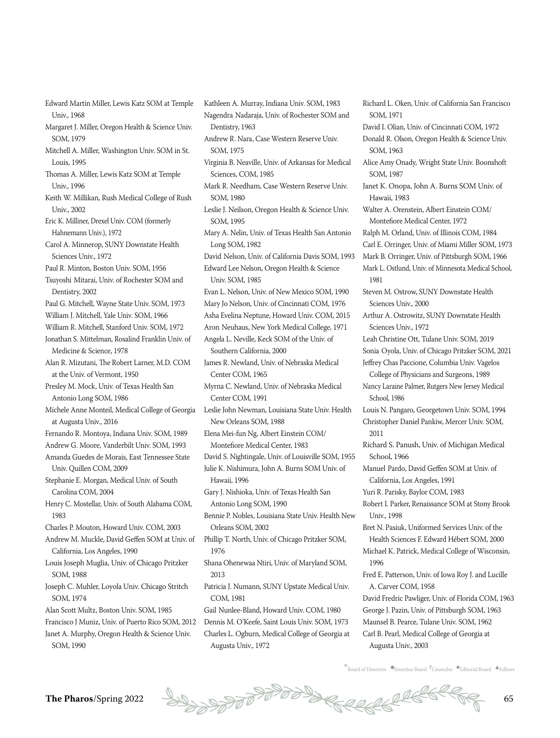- Edward Martin Miller, Lewis Katz SOM at Temple Univ., 1968
- Margaret J. Miller, Oregon Health & Science Univ. SOM, 1979
- Mitchell A. Miller, Washington Univ. SOM in St. Louis, 1995
- Thomas A. Miller, Lewis Katz SOM at Temple Univ., 1996
- Keith W. Millikan, Rush Medical College of Rush Univ., 2002
- Eric K. Milliner, Drexel Univ. COM (formerly Hahnemann Univ.), 1972
- Carol A. Minnerop, SUNY Downstate Health Sciences Univ., 1972

Paul R. Minton, Boston Univ. SOM, 1956

- Tsuyoshi Mitarai, Univ. of Rochester SOM and Dentistry, 2002
- Paul G. Mitchell, Wayne State Univ. SOM, 1973
- William J. Mitchell, Yale Univ. SOM, 1966
- William R. Mitchell, Stanford Univ. SOM, 1972
- Jonathan S. Mittelman, Rosalind Franklin Univ. of Medicine & Science, 1978
- Alan R. Mizutani, The Robert Larner, M.D. COM at the Univ. of Vermont, 1950

Presley M. Mock, Univ. of Texas Health San Antonio Long SOM, 1986

Michele Anne Monteil, Medical College of Georgia at Augusta Univ., 2016

- Fernando R. Montoya, Indiana Univ. SOM, 1989
- Andrew G. Moore, Vanderbilt Univ. SOM, 1993
- Amanda Guedes de Morais, East Tennessee State Univ. Quillen COM, 2009

Stephanie E. Morgan, Medical Univ. of South Carolina COM, 2004

Henry C. Mostellar, Univ. of South Alabama COM, 1983

Charles P. Mouton, Howard Univ. COM, 2003

- Andrew M. Muckle, David Geffen SOM at Univ. of California, Los Angeles, 1990
- Louis Joseph Muglia, Univ. of Chicago Pritzker SOM, 1988
- Joseph C. Muhler, Loyola Univ. Chicago Stritch SOM, 1974
- Alan Scott Multz, Boston Univ. SOM, 1985
- Francisco J Muniz, Univ. of Puerto Rico SOM, 2012
- Janet A. Murphy, Oregon Health & Science Univ. SOM, 1990
- Kathleen A. Murray, Indiana Univ. SOM, 1983 Nagendra Nadaraja, Univ. of Rochester SOM and Dentistry, 1963 Andrew R. Nara, Case Western Reserve Univ. SOM, 1975 Virginia B. Neaville, Univ. of Arkansas for Medical Sciences, COM, 1985 Mark R. Needham, Case Western Reserve Univ. SOM, 1980 Leslie J. Neilson, Oregon Health & Science Univ. SOM, 1995 Mary A. Nelin, Univ. of Texas Health San Antonio Long SOM, 1982 David Nelson, Univ. of California Davis SOM, 1993 Edward Lee Nelson, Oregon Health & Science Univ. SOM, 1985 Evan L. Nelson, Univ. of New Mexico SOM, 1990 Mary Jo Nelson, Univ. of Cincinnati COM, 1976 Asha Evelina Neptune, Howard Univ. COM, 2015 Aron Neuhaus, New York Medical College, 1971 Angela L. Neville, Keck SOM of the Univ. of Southern California, 2000 James R. Newland, Univ. of Nebraska Medical Center COM, 1965 Myrna C. Newland, Univ. of Nebraska Medical Center COM, 1991 Leslie John Newman, Louisiana State Univ. Health New Orleans SOM, 1988 Elena Mei-fun Ng, Albert Einstein COM/ Montefiore Medical Center, 1983 David S. Nightingale, Univ. of Louisville SOM, 1955 Julie K. Nishimura, John A. Burns SOM Univ. of Hawaii, 1996 Gary J. Nishioka, Univ. of Texas Health San Antonio Long SOM, 1990 Bennie P. Nobles, Louisiana State Univ. Health New Orleans SOM, 2002 Phillip T. North, Univ. of Chicago Pritzker SOM, 1976 Shana Ohenewaa Ntiri, Univ. of Maryland SOM, 2013 Patricia J. Numann, SUNY Upstate Medical Univ. COM, 1981 Gail Nunlee-Bland, Howard Univ. COM, 1980 Dennis M. O'Keefe, Saint Louis Univ. SOM, 1973
- Charles L. Ogburn, Medical College of Georgia at Augusta Univ., 1972

Richard L. Oken, Univ. of California San Francisco SOM, 1971 David I. Olian, Univ. of Cincinnati COM, 1972 Donald R. Olson, Oregon Health & Science Univ. SOM, 1963 Alice Amy Onady, Wright State Univ. Boonshoft SOM, 1987 Janet K. Onopa, John A. Burns SOM Univ. of Hawaii, 1983 Walter A. Orenstein, Albert Einstein COM/ Montefiore Medical Center, 1972 Ralph M. Orland, Univ. of Illinois COM, 1984 Carl E. Orringer, Univ. of Miami Miller SOM, 1973 Mark B. Orringer, Univ. of Pittsburgh SOM, 1966 Mark L. Ostlund, Univ. of Minnesota Medical School, 1981 Steven M. Ostrow, SUNY Downstate Health Sciences Univ., 2000 Arthur A. Ostrowitz, SUNY Downstate Health Sciences Univ., 1972 Leah Christine Ott, Tulane Univ. SOM, 2019 Sonia Oyola, Univ. of Chicago Pritzker SOM, 2021 Jeffrey Chas Paccione, Columbia Univ. Vagelos College of Physicians and Surgeons, 1989 Nancy Laraine Palmer, Rutgers New Jersey Medical School, 1986 Louis N. Pangaro, Georgetown Univ. SOM, 1994 Christopher Daniel Pankiw, Mercer Univ. SOM, 2011 Richard S. Panush, Univ. of Michigan Medical School, 1966 Manuel Pardo, David Geffen SOM at Univ. of California, Los Angeles, 1991 Yuri R. Parisky, Baylor COM, 1983 Robert I. Parker, Renaissance SOM at Stony Brook Univ., 1998 Bret N. Pasiuk, Uniformed Services Univ. of the Health Sciences F. Edward Hébert SOM, 2000 Michael K. Patrick, Medical College of Wisconsin, 1996 Fred E. Patterson, Univ. of Iowa Roy J. and Lucille A. Carver COM, 1958 David Fredric Pawliger, Univ. of Florida COM, 1963 George J. Pazin, Univ. of Pittsburgh SOM, 1963 Maunsel B. Pearce, Tulane Univ. SOM, 1962 Carl B. Pearl, Medical College of Georgia at

Augusta Univ., 2003

 $k$ Board of Directors  $\bullet$ Emeritus Board  $\dagger$ Councilor  $\bullet$ Editorial Board  $\bullet$ Fellows

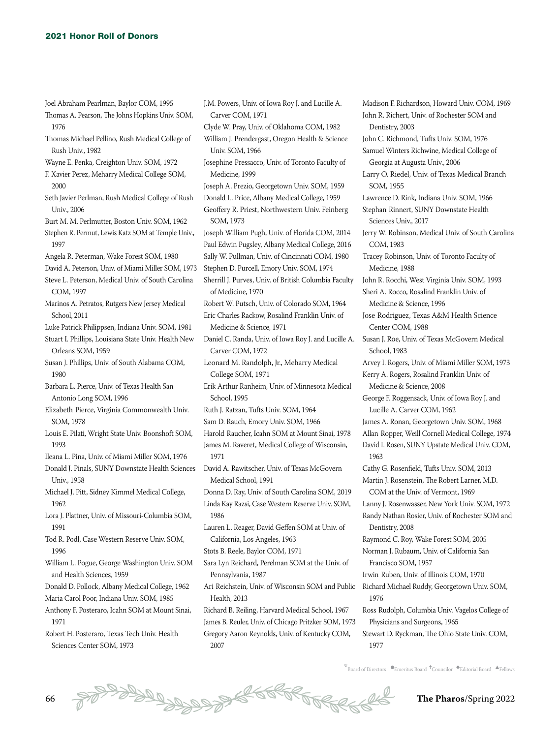- Joel Abraham Pearlman, Baylor COM, 1995 Thomas A. Pearson, The Johns Hopkins Univ. SOM, 1976
- Thomas Michael Pellino, Rush Medical College of Rush Univ., 1982
- Wayne E. Penka, Creighton Univ. SOM, 1972
- F. Xavier Perez, Meharry Medical College SOM, 2000
- Seth Javier Perlman, Rush Medical College of Rush Univ., 2006
- Burt M. M. Perlmutter, Boston Univ. SOM, 1962
- Stephen R. Permut, Lewis Katz SOM at Temple Univ., 1997
- Angela R. Peterman, Wake Forest SOM, 1980
- David A. Peterson, Univ. of Miami Miller SOM, 1973
- Steve L. Peterson, Medical Univ. of South Carolina COM, 1997
- Marinos A. Petratos, Rutgers New Jersey Medical School, 2011
- Luke Patrick Philippsen, Indiana Univ. SOM, 1981
- Stuart I. Phillips, Louisiana State Univ. Health New Orleans SOM, 1959
- Susan J. Phillips, Univ. of South Alabama COM, 1980
- Barbara L. Pierce, Univ. of Texas Health San Antonio Long SOM, 1996
- Elizabeth Pierce, Virginia Commonwealth Univ. SOM, 1978
- Louis E. Pilati, Wright State Univ. Boonshoft SOM, 1993
- Ileana L. Pina, Univ. of Miami Miller SOM, 1976
- Donald J. Pinals, SUNY Downstate Health Sciences David A. Rawitscher, Univ. of Texas McGovern Univ., 1958
- Michael J. Pitt, Sidney Kimmel Medical College, 1962
- Lora J. Plattner, Univ. of Missouri-Columbia SOM, 1991
- Tod R. Podl, Case Western Reserve Univ. SOM, 1996
- William L. Pogue, George Washington Univ. SOM and Health Sciences, 1959
- Donald D. Pollock, Albany Medical College, 1962
- Maria Carol Poor, Indiana Univ. SOM, 1985 Anthony F. Posteraro, Icahn SOM at Mount Sinai,
- 1971
- Robert H. Posteraro, Texas Tech Univ. Health Sciences Center SOM, 1973
- J.M. Powers, Univ. of Iowa Roy J. and Lucille A. Carver COM, 1971
- Clyde W. Pray, Univ. of Oklahoma COM, 1982 William J. Prendergast, Oregon Health & Science Univ. SOM, 1966
- Josephine Pressacco, Univ. of Toronto Faculty of Medicine, 1999
- Joseph A. Prezio, Georgetown Univ. SOM, 1959

Donald L. Price, Albany Medical College, 1959 Geoffery R. Priest, Northwestern Univ. Feinberg SOM, 1973

- Joseph William Pugh, Univ. of Florida COM, 2014 Paul Edwin Pugsley, Albany Medical College, 2016 Sally W. Pullman, Univ. of Cincinnati COM, 1980
- Stephen D. Purcell, Emory Univ. SOM, 1974
- Sherrill J. Purves, Univ. of British Columbia Faculty
- of Medicine, 1970
- Robert W. Putsch, Univ. of Colorado SOM, 1964 Eric Charles Rackow, Rosalind Franklin Univ. of Medicine & Science, 1971

Daniel C. Randa, Univ. of Iowa Roy J. and Lucille A. Carver COM, 1972

- Leonard M. Randolph, Jr., Meharry Medical College SOM, 1971
- Erik Arthur Ranheim, Univ. of Minnesota Medical School, 1995
- Ruth J. Ratzan, Tufts Univ. SOM, 1964
- Sam D. Rauch, Emory Univ. SOM, 1966
- Harold Raucher, Icahn SOM at Mount Sinai, 1978 James M. Raveret, Medical College of Wisconsin, 1971
- Medical School, 1991
- Donna D. Ray, Univ. of South Carolina SOM, 2019 Linda Kay Razsi, Case Western Reserve Univ. SOM,
	- 1986
- Lauren L. Reager, David Geffen SOM at Univ. of California, Los Angeles, 1963
- Stots B. Reele, Baylor COM, 1971
- Sara Lyn Reichard, Perelman SOM at the Univ. of Pennsylvania, 1987
- Ari Reichstein, Univ. of Wisconsin SOM and Public Health, 2013
- Richard B. Reiling, Harvard Medical School, 1967 James B. Reuler, Univ. of Chicago Pritzker SOM, 1973 Gregory Aaron Reynolds, Univ. of Kentucky COM, 2007

Madison F. Richardson, Howard Univ. COM, 1969 John R. Richert, Univ. of Rochester SOM and Dentistry, 2003 John C. Richmond, Tufts Univ. SOM, 1976 Samuel Winters Richwine, Medical College of Georgia at Augusta Univ., 2006 Larry O. Riedel, Univ. of Texas Medical Branch SOM, 1955 Lawrence D. Rink, Indiana Univ. SOM, 1966 Stephan Rinnert, SUNY Downstate Health Sciences Univ., 2017 Jerry W. Robinson, Medical Univ. of South Carolina COM, 1983 Tracey Robinson, Univ. of Toronto Faculty of Medicine, 1988 John R. Rocchi, West Virginia Univ. SOM, 1993 Sheri A. Rocco, Rosalind Franklin Univ. of Medicine & Science, 1996 Jose Rodriguez, Texas A&M Health Science Center COM, 1988 Susan J. Roe, Univ. of Texas McGovern Medical School, 1983 Arvey I. Rogers, Univ. of Miami Miller SOM, 1973 Kerry A. Rogers, Rosalind Franklin Univ. of Medicine & Science, 2008 George F. Roggensack, Univ. of Iowa Roy J. and Lucille A. Carver COM, 1962 James A. Ronan, Georgetown Univ. SOM, 1968 Allan Ropper, Weill Cornell Medical College, 1974 David I. Rosen, SUNY Upstate Medical Univ. COM, 1963 Cathy G. Rosenfield, Tufts Univ. SOM, 2013 Martin J. Rosenstein, The Robert Larner, M.D. COM at the Univ. of Vermont, 1969 Lanny J. Rosenwasser, New York Univ. SOM, 1972 Randy Nathan Rosier, Univ. of Rochester SOM and Dentistry, 2008 Raymond C. Roy, Wake Forest SOM, 2005 Norman J. Rubaum, Univ. of California San Francisco SOM, 1957 Irwin Ruben, Univ. of Illinois COM, 1970 Richard Michael Ruddy, Georgetown Univ. SOM, 1976 Ross Rudolph, Columbia Univ. Vagelos College of Physicians and Surgeons, 1965 Stewart D. Ryckman, The Ohio State Univ. COM,

1977

 $\stackrel{*}{\text{\rm *}}$ Board of Directors  $\bullet$ Emeritus Board  $\stackrel{\text{\rm *}}{\text{\rm *}}$ Councilor  $\stackrel{\text{\rm *}}{\text{\rm *}}$ Editorial Board  $\stackrel{\text{\rm *}}{\text{\rm *}}$ Fellows

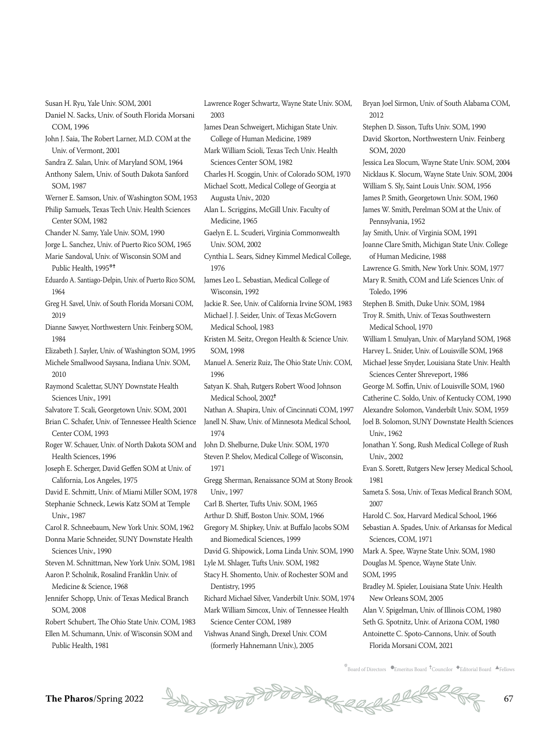Susan H. Ryu, Yale Univ. SOM, 2001

- Daniel N. Sacks, Univ. of South Florida Morsani COM, 1996
- John J. Saia, The Robert Larner, M.D. COM at the Univ. of Vermont, 2001
- Sandra Z. Salan, Univ. of Maryland SOM, 1964 Anthony Salem, Univ. of South Dakota Sanford SOM, 1987
- Werner E. Samson, Univ. of Washington SOM, 1953 Philip Samuels, Texas Tech Univ. Health Sciences Center SOM, 1982
- Chander N. Samy, Yale Univ. SOM, 1990
- Jorge L. Sanchez, Univ. of Puerto Rico SOM, 1965 Marie Sandoval, Univ. of Wisconsin SOM and
- Public Health, 1995\*<sup>+</sup>
- Eduardo A. Santiago-Delpin, Univ. of Puerto Rico SOM, 1964
- Greg H. Savel, Univ. of South Florida Morsani COM, 2019
- Dianne Sawyer, Northwestern Univ. Feinberg SOM, 1984
- Elizabeth J. Sayler, Univ. of Washington SOM, 1995
- Michele Smallwood Saysana, Indiana Univ. SOM, 2010
- Raymond Scalettar, SUNY Downstate Health Sciences Univ., 1991
- Salvatore T. Scali, Georgetown Univ. SOM, 2001
- Brian C. Schafer, Univ. of Tennessee Health Science Center COM, 1993
- Roger W. Schauer, Univ. of North Dakota SOM and Health Sciences, 1996
- Joseph E. Scherger, David Geffen SOM at Univ. of California, Los Angeles, 1975
- David E. Schmitt, Univ. of Miami Miller SOM, 1978
- Stephanie Schneck, Lewis Katz SOM at Temple Univ., 1987
- Carol R. Schneebaum, New York Univ. SOM, 1962 Donna Marie Schneider, SUNY Downstate Health Sciences Univ., 1990
- Steven M. Schnittman, New York Univ. SOM, 1981 Aaron P. Scholnik, Rosalind Franklin Univ. of
- Medicine & Science, 1968
- Jennifer Schopp, Univ. of Texas Medical Branch SOM, 2008
- Robert Schubert, The Ohio State Univ. COM, 1983
- Ellen M. Schumann, Univ. of Wisconsin SOM and Public Health, 1981
- Lawrence Roger Schwartz, Wayne State Univ. SOM, 2003
- James Dean Schweigert, Michigan State Univ. College of Human Medicine, 1989
- Mark William Scioli, Texas Tech Univ. Health Sciences Center SOM, 1982
- Charles H. Scoggin, Univ. of Colorado SOM, 1970
- Michael Scott, Medical College of Georgia at Augusta Univ., 2020
- Alan L. Scriggins, McGill Univ. Faculty of Medicine, 1965
- Gaelyn E. L. Scuderi, Virginia Commonwealth Univ. SOM, 2002
- Cynthia L. Sears, Sidney Kimmel Medical College, 1976
- James Leo L. Sebastian, Medical College of Wisconsin, 1992
- Jackie R. See, Univ. of California Irvine SOM, 1983 Michael J. J. Seider, Univ. of Texas McGovern Medical School, 1983
- Kristen M. Seitz, Oregon Health & Science Univ. SOM, 1998
- Manuel A. Seneriz Ruiz, The Ohio State Univ. COM, 1996
- Satyan K. Shah, Rutgers Robert Wood Johnson Medical School, 2002<sup>†</sup>
- Nathan A. Shapira, Univ. of Cincinnati COM, 1997 Janell N. Shaw, Univ. of Minnesota Medical School, 1974
- John D. Shelburne, Duke Univ. SOM, 1970 Steven P. Shelov, Medical College of Wisconsin, 1971
- Gregg Sherman, Renaissance SOM at Stony Brook Univ., 1997
- Carl B. Sherter, Tufts Univ. SOM, 1965
- Arthur D. Shiff, Boston Univ. SOM, 1966
- Gregory M. Shipkey, Univ. at Buffalo Jacobs SOM and Biomedical Sciences, 1999
- David G. Shipowick, Loma Linda Univ. SOM, 1990
- Lyle M. Shlager, Tufts Univ. SOM, 1982
- Stacy H. Shomento, Univ. of Rochester SOM and Dentistry, 1995
- Richard Michael Silver, Vanderbilt Univ. SOM, 1974 Mark William Simcox, Univ. of Tennessee Health Science Center COM, 1989
- 
- Vishwas Anand Singh, Drexel Univ. COM (formerly Hahnemann Univ.), 2005

Bryan Joel Sirmon, Univ. of South Alabama COM, 2012 Stephen D. Sisson, Tufts Univ. SOM, 1990 David Skorton, Northwestern Univ. Feinberg SOM, 2020 Jessica Lea Slocum, Wayne State Univ. SOM, 2004 Nicklaus K. Slocum, Wayne State Univ. SOM, 2004 William S. Sly, Saint Louis Univ. SOM, 1956 James P. Smith, Georgetown Univ. SOM, 1960 James W. Smith, Perelman SOM at the Univ. of Pennsylvania, 1952 Jay Smith, Univ. of Virginia SOM, 1991 Joanne Clare Smith, Michigan State Univ. College of Human Medicine, 1988 Lawrence G. Smith, New York Univ. SOM, 1977 Mary R. Smith, COM and Life Sciences Univ. of Toledo, 1996 Stephen B. Smith, Duke Univ. SOM, 1984 Troy R. Smith, Univ. of Texas Southwestern Medical School, 1970 William I. Smulyan, Univ. of Maryland SOM, 1968 Harvey L. Snider, Univ. of Louisville SOM, 1968 Michael Jesse Snyder, Louisiana State Univ. Health Sciences Center Shreveport, 1986 George M. Soffin, Univ. of Louisville SOM, 1960 Catherine C. Soldo, Univ. of Kentucky COM, 1990 Alexandre Solomon, Vanderbilt Univ. SOM, 1959 Joel B. Solomon, SUNY Downstate Health Sciences Univ., 1962 Jonathan Y. Song, Rush Medical College of Rush Univ., 2002 Evan S. Sorett, Rutgers New Jersey Medical School, 1981 Sameta S. Sosa, Univ. of Texas Medical Branch SOM, 2007 Harold C. Sox, Harvard Medical School, 1966

- Sebastian A. Spades, Univ. of Arkansas for Medical Sciences, COM, 1971
- Mark A. Spee, Wayne State Univ. SOM, 1980 Douglas M. Spence, Wayne State Univ. SOM, 1995
- Bradley M. Spieler, Louisiana State Univ. Health New Orleans SOM, 2005
- Alan V. Spigelman, Univ. of Illinois COM, 1980 Seth G. Spotnitz, Univ. of Arizona COM, 1980 Antoinette C. Spoto-Cannons, Univ. of South Florida Morsani COM, 2021



 $k$ Board of Directors  $\bullet$ Emeritus Board  $\dagger$ Councilor  $\bullet$ Editorial Board  $\bullet$ Fellows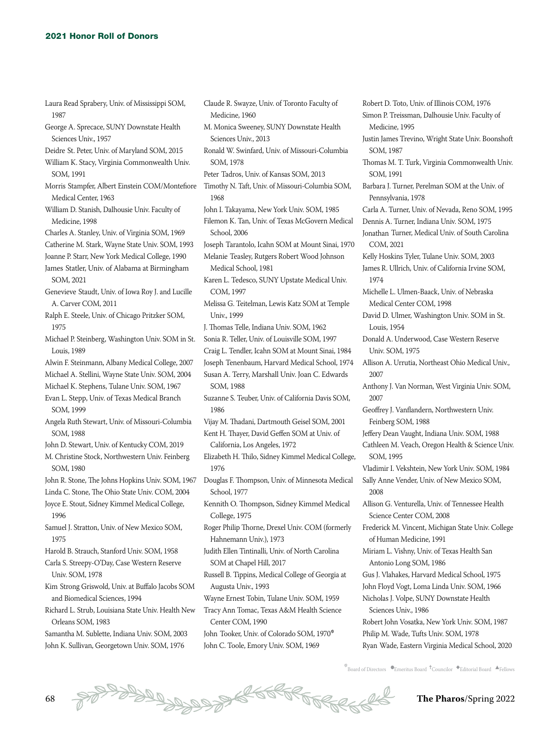- Laura Read Sprabery, Univ. of Mississippi SOM, 1987
- George A. Sprecace, SUNY Downstate Health Sciences Univ., 1957
- Deidre St. Peter, Univ. of Maryland SOM, 2015
- William K. Stacy, Virginia Commonwealth Univ. SOM, 1991
- Morris Stampfer, Albert Einstein COM/Montefiore Medical Center, 1963
- William D. Stanish, Dalhousie Univ. Faculty of Medicine, 1998
- Charles A. Stanley, Univ. of Virginia SOM, 1969
- Catherine M. Stark, Wayne State Univ. SOM, 1993
- Joanne P. Starr, New York Medical College, 1990
- James Statler, Univ. of Alabama at Birmingham SOM, 2021
- Genevieve Staudt, Univ. of Iowa Roy J. and Lucille A. Carver COM, 2011
- Ralph E. Steele, Univ. of Chicago Pritzker SOM, 1975
- Michael P. Steinberg, Washington Univ. SOM in St. Louis, 1989
- Alwin F. Steinmann, Albany Medical College, 2007
- Michael A. Stellini, Wayne State Univ. SOM, 2004
- Michael K. Stephens, Tulane Univ. SOM, 1967
- Evan L. Stepp, Univ. of Texas Medical Branch SOM, 1999
- Angela Ruth Stewart, Univ. of Missouri-Columbia SOM, 1988
- John D. Stewart, Univ. of Kentucky COM, 2019
- M. Christine Stock, Northwestern Univ. Feinberg SOM, 1980
- John R. Stone, The Johns Hopkins Univ. SOM, 1967
- Linda C. Stone, The Ohio State Univ. COM, 2004
- Joyce E. Stout, Sidney Kimmel Medical College, 1996
- Samuel J. Stratton, Univ. of New Mexico SOM, 1975
- Harold B. Strauch, Stanford Univ. SOM, 1958
- Carla S. Streepy-O'Day, Case Western Reserve Univ. SOM, 1978
- Kim Strong Griswold, Univ. at Buffalo Jacobs SOM and Biomedical Sciences, 1994
- Richard L. Strub, Louisiana State Univ. Health New Orleans SOM, 1983
- Samantha M. Sublette, Indiana Univ. SOM, 2003 John K. Sullivan, Georgetown Univ. SOM, 1976
- Claude R. Swayze, Univ. of Toronto Faculty of Medicine, 1960
- M. Monica Sweeney, SUNY Downstate Health Sciences Univ., 2013
- Ronald W. Swinfard, Univ. of Missouri-Columbia SOM, 1978
- Peter Tadros, Univ. of Kansas SOM, 2013
- Timothy N. Taft, Univ. of Missouri-Columbia SOM, 1968
- John I. Takayama, New York Univ. SOM, 1985
- Filemon K. Tan, Univ. of Texas McGovern Medical School, 2006
- Joseph Tarantolo, Icahn SOM at Mount Sinai, 1970 Melanie Teasley, Rutgers Robert Wood Johnson
- Medical School, 1981
- 
- Karen L. Tedesco, SUNY Upstate Medical Univ. COM, 1997
- Melissa G. Teitelman, Lewis Katz SOM at Temple Univ., 1999
- J. Thomas Telle, Indiana Univ. SOM, 1962 Sonia R. Teller, Univ. of Louisville SOM, 1997
- Craig L. Tendler, Icahn SOM at Mount Sinai, 1984
- Joseph Tenenbaum, Harvard Medical School, 1974
- Susan A. Terry, Marshall Univ. Joan C. Edwards SOM, 1988
- Suzanne S. Teuber, Univ. of California Davis SOM, 1986
- Vijay M. Thadani, Dartmouth Geisel SOM, 2001 Kent H. Thayer, David Geffen SOM at Univ. of
- California, Los Angeles, 1972
- Elizabeth H. Thilo, Sidney Kimmel Medical College, 1976
- Douglas F. Thompson, Univ. of Minnesota Medical School, 1977
- Kennith O. Thompson, Sidney Kimmel Medical College, 1975
- Roger Philip Thorne, Drexel Univ. COM (formerly Hahnemann Univ.), 1973
- Judith Ellen Tintinalli, Univ. of North Carolina SOM at Chapel Hill, 2017
- Russell B. Tippins, Medical College of Georgia at Augusta Univ., 1993
- Wayne Ernest Tobin, Tulane Univ. SOM, 1959
- Tracy Ann Tomac, Texas A&M Health Science Center COM, 1990
- John Tooker, Univ. of Colorado SOM, 1970\* John C. Toole, Emory Univ. SOM, 1969

Robert D. Toto, Univ. of Illinois COM, 1976 Simon P. Treissman, Dalhousie Univ. Faculty of Medicine, 1995 Justin James Trevino, Wright State Univ. Boonshoft SOM, 1987 Thomas M. T. Turk, Virginia Commonwealth Univ. SOM, 1991 Barbara J. Turner, Perelman SOM at the Univ. of Pennsylvania, 1978 Carla A. Turner, Univ. of Nevada, Reno SOM, 1995 Dennis A. Turner, Indiana Univ. SOM, 1975 Jonathan Turner, Medical Univ. of South Carolina COM, 2021 Kelly Hoskins Tyler, Tulane Univ. SOM, 2003 James R. Ullrich, Univ. of California Irvine SOM, 1974 Michelle L. Ulmen-Baack, Univ. of Nebraska Medical Center COM, 1998 David D. Ulmer, Washington Univ. SOM in St. Louis, 1954 Donald A. Underwood, Case Western Reserve Univ. SOM, 1975 Allison A. Urrutia, Northeast Ohio Medical Univ., 2007 Anthony J. Van Norman, West Virginia Univ. SOM, 2007 Geoffrey J. Vanflandern, Northwestern Univ. Feinberg SOM, 1988 Jeffery Dean Vaught, Indiana Univ. SOM, 1988 Cathleen M. Veach, Oregon Health & Science Univ. SOM, 1995 Vladimir I. Vekshtein, New York Univ. SOM, 1984 Sally Anne Vender, Univ. of New Mexico SOM, 2008 Allison G. Venturella, Univ. of Tennessee Health Science Center COM, 2008 Frederick M. Vincent, Michigan State Univ. College of Human Medicine, 1991 Miriam L. Vishny, Univ. of Texas Health San Antonio Long SOM, 1986 Gus J. Vlahakes, Harvard Medical School, 1975 John Floyd Vogt, Loma Linda Univ. SOM, 1966 Nicholas J. Volpe, SUNY Downstate Health Sciences Univ., 1986 Robert John Vosatka, New York Univ. SOM, 1987 Philip M. Wade, Tufts Univ. SOM, 1978

- Ryan Wade, Eastern Virginia Medical School, 2020
- $\stackrel{*}{\text{\rm *}}$ Board of Directors  $\bullet$ Emeritus Board  $\stackrel{\text{\rm *}}{\text{\rm *}}$ Councilor  $\stackrel{\text{\rm *}}{\text{\rm *}}$ Editorial Board  $\stackrel{\text{\rm *}}{\text{\rm *}}$ Fellows

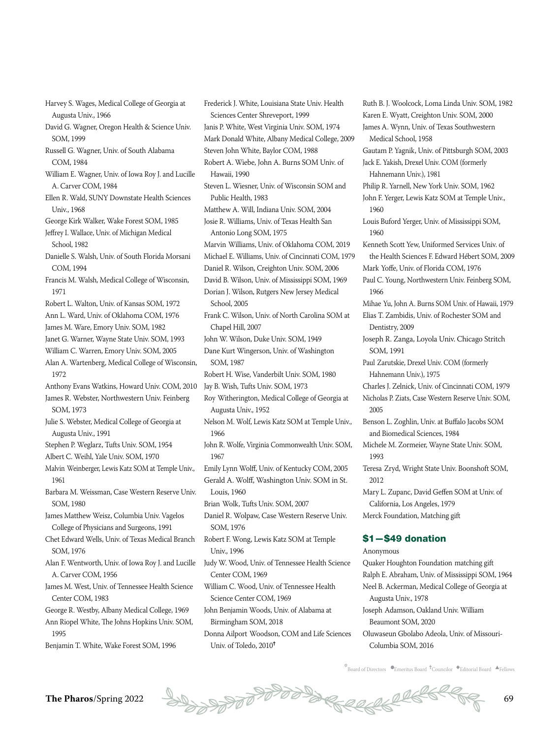Harvey S. Wages, Medical College of Georgia at Augusta Univ., 1966

David G. Wagner, Oregon Health & Science Univ. SOM, 1999

Russell G. Wagner, Univ. of South Alabama COM, 1984

William E. Wagner, Univ. of Iowa Roy J. and Lucille A. Carver COM, 1984

Ellen R. Wald, SUNY Downstate Health Sciences Univ. 1968

George Kirk Walker, Wake Forest SOM, 1985

Jeffrey I. Wallace, Univ. of Michigan Medical School, 1982

Danielle S. Walsh, Univ. of South Florida Morsani COM, 1994

Francis M. Walsh, Medical College of Wisconsin, 1971

Robert L. Walton, Univ. of Kansas SOM, 1972

Ann L. Ward, Univ. of Oklahoma COM, 1976

James M. Ware, Emory Univ. SOM, 1982

Janet G. Warner, Wayne State Univ. SOM, 1993

William C. Warren, Emory Univ. SOM, 2005 Alan A. Wartenberg, Medical College of Wisconsin, 1972

Anthony Evans Watkins, Howard Univ. COM, 2010 James R. Webster, Northwestern Univ. Feinberg SOM, 1973

Julie S. Webster, Medical College of Georgia at Augusta Univ., 1991

Stephen P. Weglarz, Tufts Univ. SOM, 1954

Albert C. Weihl, Yale Univ. SOM, 1970

Malvin Weinberger, Lewis Katz SOM at Temple Univ., 1961

Barbara M. Weissman, Case Western Reserve Univ. SOM, 1980

James Matthew Weisz, Columbia Univ. Vagelos College of Physicians and Surgeons, 1991

Chet Edward Wells, Univ. of Texas Medical Branch SOM, 1976

Alan F. Wentworth, Univ. of Iowa Roy J. and Lucille A. Carver COM, 1956

James M. West, Univ. of Tennessee Health Science Center COM, 1983

George R. Westby, Albany Medical College, 1969 Ann Riopel White, The Johns Hopkins Univ. SOM, 1995

Benjamin T. White, Wake Forest SOM, 1996

Frederick J. White, Louisiana State Univ. Health Sciences Center Shreveport, 1999 Janis P. White, West Virginia Univ. SOM, 1974 Mark Donald White, Albany Medical College, 2009 Steven John White, Baylor COM, 1988 Robert A. Wiebe, John A. Burns SOM Univ. of Hawaii, 1990 Steven L. Wiesner, Univ. of Wisconsin SOM and Public Health, 1983 Matthew A. Will, Indiana Univ. SOM, 2004 Josie R. Williams, Univ. of Texas Health San Antonio Long SOM, 1975 Marvin Williams, Univ. of Oklahoma COM, 2019 Michael E. Williams, Univ. of Cincinnati COM, 1979 Daniel R. Wilson, Creighton Univ. SOM, 2006 David B. Wilson, Univ. of Mississippi SOM, 1969 Dorian J. Wilson, Rutgers New Jersey Medical School, 2005 Frank C. Wilson, Univ. of North Carolina SOM at Chapel Hill, 2007 John W. Wilson, Duke Univ. SOM, 1949 Dane Kurt Wingerson, Univ. of Washington SOM, 1987 Robert H. Wise, Vanderbilt Univ. SOM, 1980 Jay B. Wish, Tufts Univ. SOM, 1973 Roy Witherington, Medical College of Georgia at Augusta Univ., 1952 Nelson M. Wolf, Lewis Katz SOM at Temple Univ., 1966 John R. Wolfe, Virginia Commonwealth Univ. SOM, 1967 Emily Lynn Wolff, Univ. of Kentucky COM, 2005 Gerald A. Wolff, Washington Univ. SOM in St. Louis, 1960 Brian Wolk, Tufts Univ. SOM, 2007 Daniel R. Wolpaw, Case Western Reserve Univ. SOM, 1976 Robert F. Wong, Lewis Katz SOM at Temple Univ., 1996 Judy W. Wood, Univ. of Tennessee Health Science Center COM, 1969 William C. Wood, Univ. of Tennessee Health Science Center COM, 1969 John Benjamin Woods, Univ. of Alabama at Birmingham SOM, 2018

Donna Ailport Woodson, COM and Life Sciences Univ. of Toledo, 2010<sup>+</sup>

Ruth B. J. Woolcock, Loma Linda Univ. SOM, 1982 Karen E. Wyatt, Creighton Univ. SOM, 2000 James A. Wynn, Univ. of Texas Southwestern Medical School, 1958 Gautam P. Yagnik, Univ. of Pittsburgh SOM, 2003 Jack E. Yakish, Drexel Univ. COM (formerly Hahnemann Univ.), 1981 Philip R. Yarnell, New York Univ. SOM, 1962 John F. Yerger, Lewis Katz SOM at Temple Univ., 1960 Louis Buford Yerger, Univ. of Mississippi SOM, 1960 Kenneth Scott Yew, Uniformed Services Univ. of the Health Sciences F. Edward Hébert SOM, 2009 Mark Yoffe, Univ. of Florida COM, 1976 Paul C. Young, Northwestern Univ. Feinberg SOM, 1966 Mihae Yu, John A. Burns SOM Univ. of Hawaii, 1979 Elias T. Zambidis, Univ. of Rochester SOM and Dentistry, 2009 Joseph R. Zanga, Loyola Univ. Chicago Stritch SOM, 1991 Paul Zarutskie, Drexel Univ. COM (formerly Hahnemann Univ.), 1975 Charles J. Zelnick, Univ. of Cincinnati COM, 1979 Nicholas P. Ziats, Case Western Reserve Univ. SOM, 2005 Benson L. Zoghlin, Univ. at Buffalo Jacobs SOM and Biomedical Sciences, 1984 Michele M. Zormeier, Wayne State Univ. SOM, 1993 Teresa Zryd, Wright State Univ. Boonshoft SOM, 2012 Mary L. Zupanc, David Geffen SOM at Univ. of California, Los Angeles, 1979 Merck Foundation, Matching gift

### \$1—\$49 donation

Anonymous

Quaker Houghton Foundation matching gift Ralph E. Abraham, Univ. of Mississippi SOM, 1964 Neel B. Ackerman, Medical College of Georgia at Augusta Univ., 1978 Joseph Adamson, Oakland Univ. William Beaumont SOM, 2020 Oluwaseun Gbolabo Adeola, Univ. of Missouri-Columbia SOM, 2016

 $\overline{\mathbb{F}}$ Board of Directors  $\bullet$ Emeritus Board  $\overline{\bullet}$ Councilor  $\bullet$ Editorial Board  $\overline{\bullet}$ Fellows

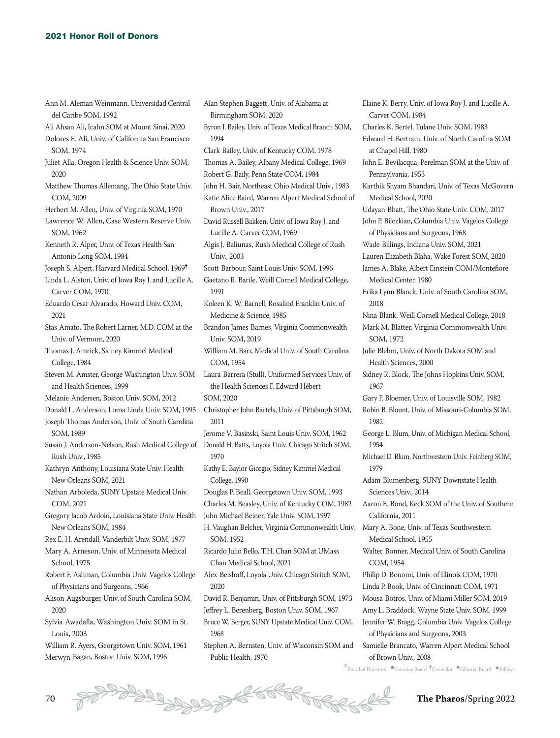| Ann M. Aleman Weinmann, Universidad Central<br>del Caribe SOM, 1992 |
|---------------------------------------------------------------------|
| Ali Ahsan Ali, Icahn SOM at Mount Sinai, 2020                       |
| Dolores E. Ali, Univ. of California San Francisco                   |
|                                                                     |
| SOM, 1974                                                           |
| Juliet Alla, Oregon Health & Science Univ. SOM,                     |
| 2020                                                                |
| Matthew Thomas Allemang, The Ohio State Univ.                       |
| COM, 2009                                                           |
| Herbert M. Allen, Univ. of Virginia SOM, 1970                       |
| Lawrence W. Allen, Case Western Reserve Univ.                       |
| SOM, 1962                                                           |
| Kenneth R. Alper, Univ. of Texas Health San                         |
| Antonio Long SOM, 1984                                              |
| Joseph S. Alpert, Harvard Medical School, 1969†                     |
| Linda L. Alston, Univ. of Iowa Roy J. and Lucille A.                |
| Carver COM, 1970                                                    |
| Eduardo Cesar Alvarado, Howard Univ. COM,                           |
| 2021                                                                |
| Stas Amato, The Robert Larner, M.D. COM at the                      |
| Univ. of Vermont, 2020                                              |
| Thomas J. Amrick, Sidney Kimmel Medical                             |
| College, 1984                                                       |
| Steven M. Amster, George Washington Univ. SOM                       |
| and Health Sciences, 1999                                           |
| Melanie Andersen, Boston Univ. SOM, 2012                            |
| Donald L. Anderson, Loma Linda Univ. SOM, 1995                      |
| Joseph Thomas Anderson, Univ. of South Carolina                     |
|                                                                     |
| SOM, 1989                                                           |
| Susan J. Anderson-Nelson, Rush Medical College of                   |
| Rush Univ., 1985                                                    |
| Kathryn Anthony, Louisiana State Univ. Health                       |
| New Orleans SOM, 2021                                               |
| Nathan Arboleda, SUNY Upstate Medical Univ.                         |
| COM, 2021                                                           |
| Gregory Jacob Ardoin, Louisiana State Univ. Health                  |
| New Orleans SOM, 1984                                               |
| Rex E. H. Arendall, Vanderbilt Univ. SOM, 1977                      |
| Mary A. Arneson, Univ. of Minnesota Medical                         |
| School, 1975                                                        |
| Robert F. Ashman, Columbia Univ. Vagelos College                    |
| of Physicians and Surgeons, 1966                                    |
| Alison Augsburger, Univ. of South Carolina SOM,                     |
| 2020                                                                |
| Sylvia Awadalla, Washington Univ. SOM in St.                        |
| Louis, 2003                                                         |
| William R. Ayers, Georgetown Univ. SOM, 1961                        |
|                                                                     |

Merwyn Bagan, Boston Univ. SOM, 1996

Alan Stephen Baggett, Univ. of Alabama at Birmingham SOM, 2020 Byron J. Bailey, Univ. of Texas Medical Branch SOM, 1994 Clark Bailey, Univ. of Kentucky COM, 1978 Thomas A. Bailey, Albany Medical College, 1969 Robert G. Baily, Penn State COM, 1984 John H. Bair, Northeast Ohio Medical Univ., 1983 Katie Alice Baird, Warren Alpert Medical School of Brown Univ., 2017 David Russell Bakken, Univ. of Iowa Roy J. and Lucille A. Carver COM, 1969 Algis J. Baliunas, Rush Medical College of Rush Univ. 2003 Scott Barbour, Saint Louis Univ. SOM, 1996 Gaetano R. Barile, Weill Cornell Medical College, 1991 Koleen K. W. Barnell, Rosalind Franklin Univ. of Medicine & Science, 1985 Brandon James Barnes, Virginia Commonwealth Univ. SOM, 2019 William M. Barr, Medical Univ. of South Carolina COM, 1954 Laura Barrera (Stull), Uniformed Services Univ. of the Health Sciences F. Edward Hébert SOM, 2020 Christopher John Bartels, Univ. of Pittsburgh SOM, 2011 Jerome V. Basinski, Saint Louis Univ. SOM, 1962 Donald H. Batts, Loyola Univ. Chicago Stritch SOM, 1970 Kathy E. Baylor Giorgio, Sidney Kimmel Medical College, 1990 Douglas P. Beall, Georgetown Univ. SOM, 1993 Charles M. Beasley, Univ. of Kentucky COM, 1982 John Michael Beiner, Yale Univ. SOM, 1997 H. Vaughan Belcher, Virginia Commonwealth Univ. SOM, 1952 Ricardo Julio Bello, T.H. Chan SOM at UMass Chan Medical School, 2021 Alex Belshoff, Loyola Univ. Chicago Stritch SOM, 2020 David R. Benjamin, Univ. of Pittsburgh SOM, 1973 Jeffrey L. Berenberg, Boston Univ. SOM, 1967 Bruce W. Berger, SUNY Upstate Medical Univ. COM, 1968 Stephen A. Bernsten, Univ. of Wisconsin SOM and Public Health, 1970 Elaine K. Berry, Univ. of Iowa Roy J. and Lucille A.

Carver COM, 1984 Charles K. Bertel, Tulane Univ. SOM, 1983 Edward H. Bertram, Univ. of North Carolina SOM at Chapel Hill, 1980 John E. Bevilacqua, Perelman SOM at the Univ. of Pennsylvania, 1953 Karthik Shyam Bhandari, Univ. of Texas McGovern Medical School, 2020 Udayan Bhatt, The Ohio State Univ. COM, 2017 John P. Bilezkian, Columbia Univ. Vagelos College of Physicians and Surgeons, 1968 Wade Billings, Indiana Univ. SOM, 2021 Lauren Elizabeth Blaha, Wake Forest SOM, 2020 James A. Blake, Albert Einstein COM/Montefiore Medical Center, 1980 Erika Lynn Blanck, Univ. of South Carolina SOM, 2018 Nina Blank, Weill Cornell Medical College, 2018 Mark M. Blatter, Virginia Commonwealth Univ. SOM, 1972 Julie Blehm, Univ. of North Dakota SOM and Health Sciences, 2000 Sidney R. Block, The Johns Hopkins Univ. SOM, 1967 Gary F. Bloemer, Univ. of Louisville SOM, 1982 Robin B. Blount, Univ. of Missouri-Columbia SOM, 1982 George L. Blum, Univ. of Michigan Medical School, 1954 Michael D. Blum, Northwestern Univ. Feinberg SOM, 1979 Adam Blumenberg, SUNY Downstate Health Sciences Univ., 2014 Aaron E. Bond, Keck SOM of the Univ. of Southern California, 2011 Mary A. Bone, Univ. of Texas Southwestern Medical School, 1955 Walter Bonner, Medical Univ. of South Carolina COM, 1954 Philip D. Bonomi, Univ. of Illinois COM, 1970 Linda P. Book, Univ. of Cincinnati COM, 1971 Mousa Botros, Univ. of Miami Miller SOM, 2019 Amy L. Braddock, Wayne State Univ. SOM, 1999 Jennifer W. Bragg, Columbia Univ. Vagelos College of Physicians and Surgeons, 2003 Samielle Brancato, Warren Alpert Medical School of Brown Univ., 2008

 $k$ Board of Directors  $\bullet$ Emeritus Board  $\dagger$ Councilor  $\bullet$ Editorial Board  $\bullet$ Fellows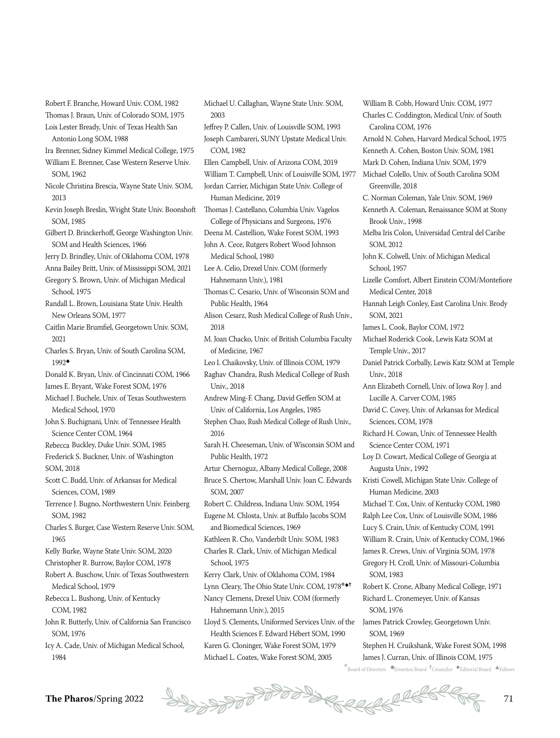Robert F. Branche, Howard Univ. COM, 1982 Thomas J. Braun, Univ. of Colorado SOM, 1975

- Lois Lester Bready, Univ. of Texas Health San Antonio Long SOM, 1988
- Ira Brenner, Sidney Kimmel Medical College, 1975
- William E. Brenner, Case Western Reserve Univ. SOM, 1962
- Nicole Christina Brescia, Wayne State Univ. SOM, 2013
- Kevin Joseph Breslin, Wright State Univ. Boonshoft SOM, 1985
- Gilbert D. Brinckerhoff, George Washington Univ. SOM and Health Sciences, 1966
- Jerry D. Brindley, Univ. of Oklahoma COM, 1978
- Anna Bailey Britt, Univ. of Mississippi SOM, 2021 Gregory S. Brown, Univ. of Michigan Medical
- School, 1975
- Randall L. Brown, Louisiana State Univ. Health New Orleans SOM, 1977
- Caitlin Marie Brumfiel, Georgetown Univ. SOM, 2021
- Charles S. Bryan, Univ. of South Carolina SOM, 1992◆
- Donald K. Bryan, Univ. of Cincinnati COM, 1966

James E. Bryant, Wake Forest SOM, 1976

- Michael J. Buchele, Univ. of Texas Southwestern Medical School, 1970
- John S. Buchignani, Univ. of Tennessee Health Science Center COM, 1964
- Rebecca Buckley, Duke Univ. SOM, 1985
- Frederick S. Buckner, Univ. of Washington SOM, 2018
- Scott C. Budd, Univ. of Arkansas for Medical Sciences, COM, 1989
- Terrence J. Bugno, Northwestern Univ. Feinberg SOM, 1982
- Charles S. Burger, Case Western Reserve Univ. SOM, 1965
- Kelly Burke, Wayne State Univ. SOM, 2020
- Christopher R. Burrow, Baylor COM, 1978
- Robert A. Buschow, Univ. of Texas Southwestern Medical School, 1979
- Rebecca L. Bushong, Univ. of Kentucky COM, 1982
- John R. Butterly, Univ. of California San Francisco SOM, 1976
- Icy A. Cade, Univ. of Michigan Medical School, 1984

Michael U. Callaghan, Wayne State Univ. SOM, 2003 Jeffrey P. Callen, Univ. of Louisville SOM, 1993 Joseph Cambareri, SUNY Upstate Medical Univ. COM, 1982 Ellen Campbell, Univ. of Arizona COM, 2019 William T. Campbell, Univ. of Louisville SOM, 1977 Jordan Carrier, Michigan State Univ. College of Human Medicine, 2019 Thomas J. Castellano, Columbia Univ. Vagelos College of Physicians and Surgeons, 1976 Deena M. Castellion, Wake Forest SOM, 1993 John A. Cece, Rutgers Robert Wood Johnson Medical School, 1980 Lee A. Celio, Drexel Univ. COM (formerly Hahnemann Univ.), 1981 Thomas C. Cesario, Univ. of Wisconsin SOM and Public Health, 1964 Alison Cesarz, Rush Medical College of Rush Univ., 2018 M. Joan Chacko, Univ. of British Columbia Faculty

of Medicine, 1967

- Leo I. Chaikovsky, Univ. of Illinois COM, 1979 Raghav Chandra, Rush Medical College of Rush
- Univ., 2018
- Andrew Ming-F. Chang, David Geffen SOM at Univ. of California, Los Angeles, 1985
- Stephen Chao, Rush Medical College of Rush Univ., 2016
- Sarah H. Cheeseman, Univ. of Wisconsin SOM and Public Health, 1972
- Artur Chernoguz, Albany Medical College, 2008 Bruce S. Chertow, Marshall Univ. Joan C. Edwards SOM, 2007
- Robert C. Childress, Indiana Univ. SOM, 1954 Eugene M. Chlosta, Univ. at Buffalo Jacobs SOM and Biomedical Sciences, 1969
- Kathleen R. Cho, Vanderbilt Univ. SOM, 1983
- Charles R. Clark, Univ. of Michigan Medical School, 1975
- Kerry Clark, Univ. of Oklahoma COM, 1984
- Lynn Cleary, The Ohio State Univ. COM, 1978<sup>\*◆↑</sup> Nancy Clemens, Drexel Univ. COM (formerly Hahnemann Univ.), 2015

Lloyd S. Clements, Uniformed Services Univ. of the Health Sciences F. Edward Hébert SOM, 1990

Karen G. Cloninger, Wake Forest SOM, 1979 Michael L. Coates, Wake Forest SOM, 2005

William B. Cobb, Howard Univ. COM, 1977 Charles C. Coddington, Medical Univ. of South Carolina COM, 1976 Arnold N. Cohen, Harvard Medical School, 1975 Kenneth A. Cohen, Boston Univ. SOM, 1981 Mark D. Cohen, Indiana Univ. SOM, 1979 Michael Colello, Univ. of South Carolina SOM Greenville, 2018 C. Norman Coleman, Yale Univ. SOM, 1969 Kenneth A. Coleman, Renaissance SOM at Stony Brook Univ., 1998 Melba Iris Colon, Universidad Central del Caribe SOM, 2012 John K. Colwell, Univ. of Michigan Medical School, 1957 Lizelle Comfort, Albert Einstein COM/Montefiore Medical Center, 2018 Hannah Leigh Conley, East Carolina Univ. Brody SOM, 2021 James L. Cook, Baylor COM, 1972 Michael Roderick Cook, Lewis Katz SOM at Temple Univ., 2017 Daniel Patrick Corbally, Lewis Katz SOM at Temple Univ., 2018 Ann Elizabeth Cornell, Univ. of Iowa Roy J. and Lucille A. Carver COM, 1985 David C. Covey, Univ. of Arkansas for Medical Sciences, COM, 1978 Richard H. Cowan, Univ. of Tennessee Health Science Center COM, 1971 Loy D. Cowart, Medical College of Georgia at Augusta Univ., 1992 Kristi Cowell, Michigan State Univ. College of Human Medicine, 2003 Michael T. Cox, Univ. of Kentucky COM, 1980 Ralph Lee Cox, Univ. of Louisville SOM, 1986 Lucy S. Crain, Univ. of Kentucky COM, 1991 William R. Crain, Univ. of Kentucky COM, 1966 James R. Crews, Univ. of Virginia SOM, 1978 Gregory H. Croll, Univ. of Missouri-Columbia SOM, 1983 Robert K. Crone, Albany Medical College, 1971 Richard L. Cronemeyer, Univ. of Kansas SOM, 1976 James Patrick Crowley, Georgetown Univ. SOM, 1969 Stephen H. Cruikshank, Wake Forest SOM, 1998 James J. Curran, Univ. of Illinois COM, 1975

 $^*$ Board of Directors  $\bullet$ Emeritus Board  $\rm ^+$ Councilor  $\bullet$ Editorial Board  $\rm \bullet$ Fellows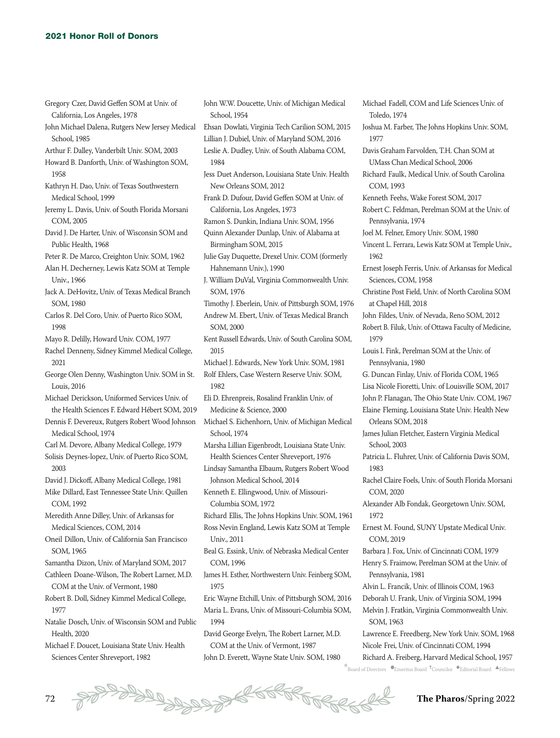- Gregory Czer, David Geffen SOM at Univ. of California, Los Angeles, 1978
- John Michael Dalena, Rutgers New Jersey Medical School, 1985
- Arthur F. Dalley, Vanderbilt Univ. SOM, 2003
- Howard B. Danforth, Univ. of Washington SOM, 1958
- Kathryn H. Dao, Univ. of Texas Southwestern Medical School, 1999
- Jeremy L. Davis, Univ. of South Florida Morsani COM, 2005
- David J. De Harter, Univ. of Wisconsin SOM and Public Health, 1968
- Peter R. De Marco, Creighton Univ. SOM, 1962
- Alan H. Decherney, Lewis Katz SOM at Temple Univ., 1966
- Jack A. DeHovitz, Univ. of Texas Medical Branch SOM 1980
- Carlos R. Del Coro, Univ. of Puerto Rico SOM, 1998
- Mayo R. Delilly, Howard Univ. COM, 1977
- Rachel Denneny, Sidney Kimmel Medical College, 2021
- George Olen Denny, Washington Univ. SOM in St. Louis, 2016
- Michael Derickson, Uniformed Services Univ. of the Health Sciences F. Edward Hébert SOM, 2019
- Dennis F. Devereux, Rutgers Robert Wood Johnson Medical School, 1974
- Carl M. Devore, Albany Medical College, 1979
- Solisis Deynes-lopez, Univ. of Puerto Rico SOM, 2003
- David J. Dickoff, Albany Medical College, 1981
- Mike Dillard, East Tennessee State Univ. Quillen COM, 1992
- Meredith Anne Dilley, Univ. of Arkansas for Medical Sciences, COM, 2014
- Oneil Dillon, Univ. of California San Francisco SOM, 1965
- Samantha Dizon, Univ. of Maryland SOM, 2017
- Cathleen Doane-Wilson, The Robert Larner, M.D. COM at the Univ. of Vermont, 1980
- Robert B. Doll, Sidney Kimmel Medical College, 1977
- Natalie Dosch, Univ. of Wisconsin SOM and Public Health, 2020
- Michael F. Doucet, Louisiana State Univ. Health Sciences Center Shreveport, 1982
- John W.W. Doucette, Univ. of Michigan Medical School, 1954
- Ehsan Dowlati, Virginia Tech Carilion SOM, 2015 Lillian J. Dubiel, Univ. of Maryland SOM, 2016
- Leslie A. Dudley, Univ. of South Alabama COM,
- 1984
- Jess Duet Anderson, Louisiana State Univ. Health New Orleans SOM, 2012
- Frank D. Dufour, David Geffen SOM at Univ. of California, Los Angeles, 1973
- Ramon S. Dunkin, Indiana Univ. SOM, 1956
- Quinn Alexander Dunlap, Univ. of Alabama at Birmingham SOM, 2015
- Julie Gay Duquette, Drexel Univ. COM (formerly Hahnemann Univ.), 1990
- J. William DuVal, Virginia Commonwealth Univ. SOM, 1976
- Timothy J. Eberlein, Univ. of Pittsburgh SOM, 1976 Andrew M. Ebert, Univ. of Texas Medical Branch SOM, 2000
- Kent Russell Edwards, Univ. of South Carolina SOM, 2015
- Michael J. Edwards, New York Univ. SOM, 1981
- Rolf Ehlers, Case Western Reserve Univ. SOM, 1982
- Eli D. Ehrenpreis, Rosalind Franklin Univ. of Medicine & Science, 2000
- Michael S. Eichenhorn, Univ. of Michigan Medical School, 1974
- Marsha Lillian Eigenbrodt, Louisiana State Univ. Health Sciences Center Shreveport, 1976
- Lindsay Samantha Elbaum, Rutgers Robert Wood Johnson Medical School, 2014
- Kenneth E. Ellingwood, Univ. of Missouri-Columbia SOM, 1972
- Richard Ellis, The Johns Hopkins Univ. SOM, 1961
- Ross Nevin England, Lewis Katz SOM at Temple Univ., 2011
- Beal G. Essink, Univ. of Nebraska Medical Center COM, 1996
- James H. Esther, Northwestern Univ. Feinberg SOM, 1975
- Eric Wayne Etchill, Univ. of Pittsburgh SOM, 2016 Maria L. Evans, Univ. of Missouri-Columbia SOM, 1994
- David George Evelyn, The Robert Larner, M.D. COM at the Univ. of Vermont, 1987
- John D. Everett, Wayne State Univ. SOM, 1980

Michael Fadell, COM and Life Sciences Univ. of Toledo, 1974 Joshua M. Farber, The Johns Hopkins Univ. SOM, 1977 Davis Graham Farvolden, T.H. Chan SOM at UMass Chan Medical School, 2006 Richard Faulk, Medical Univ. of South Carolina COM, 1993 Kenneth Feehs, Wake Forest SOM, 2017 Robert C. Feldman, Perelman SOM at the Univ. of Pennsylvania, 1974 Joel M. Felner, Emory Univ. SOM, 1980 Vincent L. Ferrara, Lewis Katz SOM at Temple Univ., 1962 Ernest Joseph Ferris, Univ. of Arkansas for Medical Sciences, COM, 1958 Christine Post Field, Univ. of North Carolina SOM at Chapel Hill, 2018 John Fildes, Univ. of Nevada, Reno SOM, 2012 Robert B. Filuk, Univ. of Ottawa Faculty of Medicine, 1979 Louis I. Fink, Perelman SOM at the Univ. of Pennsylvania, 1980 G. Duncan Finlay, Univ. of Florida COM, 1965 Lisa Nicole Fioretti, Univ. of Louisville SOM, 2017 John P. Flanagan, The Ohio State Univ. COM, 1967 Elaine Fleming, Louisiana State Univ. Health New Orleans SOM, 2018 James Julian Fletcher, Eastern Virginia Medical School, 2003 Patricia L. Fluhrer, Univ. of California Davis SOM, 1983 Rachel Claire Foels, Univ. of South Florida Morsani COM, 2020 Alexander Alb Fondak, Georgetown Univ. SOM, 1972 Ernest M. Found, SUNY Upstate Medical Univ. COM, 2019 Barbara J. Fox, Univ. of Cincinnati COM, 1979 Henry S. Fraimow, Perelman SOM at the Univ. of Pennsylvania, 1981 Alvin L. Francik, Univ. of Illinois COM, 1963 Deborah U. Frank, Univ. of Virginia SOM, 1994 Melvin J. Fratkin, Virginia Commonwealth Univ. SOM, 1963 Lawrence E. Freedberg, New York Univ. SOM, 1968

Nicole Frei, Univ. of Cincinnati COM, 1994 Richard A. Freiberg, Harvard Medical School, 1957

72 **The Pharos**/Spring 2022

 $^*$ Board of Directors  $\bullet$ Emeritus Board  $\rm ^+$ Councilor  $\bullet$ Editorial Board  $\rm \bullet$ Fellows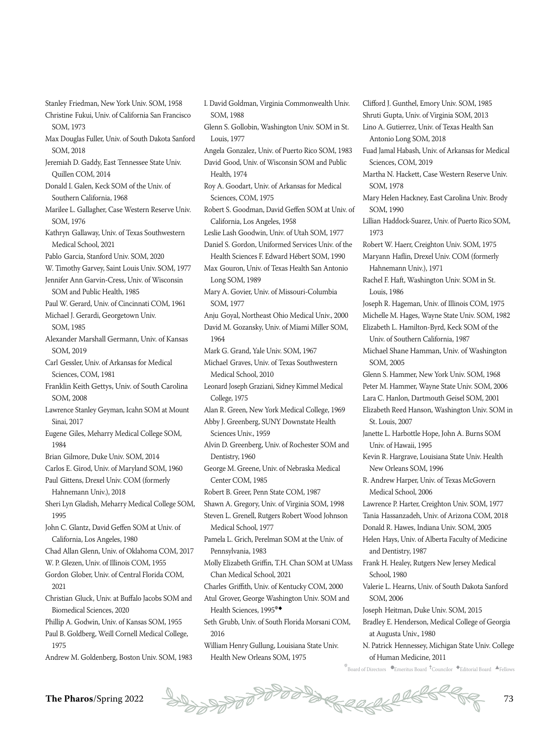Stanley Friedman, New York Univ. SOM, 1958 Christine Fukui, Univ. of California San Francisco SOM, 1973

- Max Douglas Fuller, Univ. of South Dakota Sanford SOM, 2018
- Jeremiah D. Gaddy, East Tennessee State Univ. Quillen COM, 2014

Donald I. Galen, Keck SOM of the Univ. of Southern California, 1968

Marilee L. Gallagher, Case Western Reserve Univ. SOM, 1976

Kathryn Gallaway, Univ. of Texas Southwestern Medical School, 2021

Pablo Garcia, Stanford Univ. SOM, 2020

W. Timothy Garvey, Saint Louis Univ. SOM, 1977

Jennifer Ann Garvin-Cress, Univ. of Wisconsin SOM and Public Health, 1985

Paul W. Gerard, Univ. of Cincinnati COM, 1961 Michael J. Gerardi, Georgetown Univ.

SOM, 1985

Alexander Marshall Germann, Univ. of Kansas SOM, 2019

Carl Gessler, Univ. of Arkansas for Medical Sciences, COM, 1981

Franklin Keith Gettys, Univ. of South Carolina SOM, 2008

- Lawrence Stanley Geyman, Icahn SOM at Mount Sinai, 2017
- Eugene Giles, Meharry Medical College SOM, 1984

Brian Gilmore, Duke Univ. SOM, 2014

Carlos E. Girod, Univ. of Maryland SOM, 1960

Paul Gittens, Drexel Univ. COM (formerly Hahnemann Univ.), 2018

Sheri Lyn Gladish, Meharry Medical College SOM, 1995

John C. Glantz, David Geffen SOM at Univ. of California, Los Angeles, 1980

Chad Allan Glenn, Univ. of Oklahoma COM, 2017

W. P. Glezen, Univ. of Illinois COM, 1955

Gordon Glober, Univ. of Central Florida COM, 2021

Christian Gluck, Univ. at Buffalo Jacobs SOM and Biomedical Sciences, 2020

Phillip A. Godwin, Univ. of Kansas SOM, 1955

Paul B. Goldberg, Weill Cornell Medical College, 1975

Andrew M. Goldenberg, Boston Univ. SOM, 1983

I. David Goldman, Virginia Commonwealth Univ. SOM, 1988

- Glenn S. Gollobin, Washington Univ. SOM in St. Louis, 1977
- Angela Gonzalez, Univ. of Puerto Rico SOM, 1983 David Good, Univ. of Wisconsin SOM and Public Health, 1974
- Roy A. Goodart, Univ. of Arkansas for Medical Sciences, COM, 1975 Robert S. Goodman, David Geffen SOM at Univ. of California, Los Angeles, 1958
- Leslie Lash Goodwin, Univ. of Utah SOM, 1977
- Daniel S. Gordon, Uniformed Services Univ. of the Health Sciences F. Edward Hébert SOM, 1990 Max Gouron, Univ. of Texas Health San Antonio Long SOM, 1989
- Mary A. Govier, Univ. of Missouri-Columbia SOM, 1977

Anju Goyal, Northeast Ohio Medical Univ., 2000 David M. Gozansky, Univ. of Miami Miller SOM, 1964

Mark G. Grand, Yale Univ. SOM, 1967

Michael Graves, Univ. of Texas Southwestern Medical School, 2010

Leonard Joseph Graziani, Sidney Kimmel Medical College, 1975

- Alan R. Green, New York Medical College, 1969
- Abby J. Greenberg, SUNY Downstate Health Sciences Univ., 1959
- Alvin D. Greenberg, Univ. of Rochester SOM and Dentistry, 1960
- George M. Greene, Univ. of Nebraska Medical Center COM, 1985
- Robert B. Greer, Penn State COM, 1987

Shawn A. Gregory, Univ. of Virginia SOM, 1998 Steven L. Grenell, Rutgers Robert Wood Johnson Medical School, 1977

Pamela L. Grich, Perelman SOM at the Univ. of Pennsylvania, 1983

Molly Elizabeth Griffin, T.H. Chan SOM at UMass Chan Medical School, 2021

Charles Griffith, Univ. of Kentucky COM, 2000

Atul Grover, George Washington Univ. SOM and Health Sciences, 1995\*◆

- Seth Grubb, Univ. of South Florida Morsani COM, 2016
- William Henry Gullung, Louisiana State Univ. Health New Orleans SOM, 1975

Clifford J. Gunthel, Emory Univ. SOM, 1985 Shruti Gupta, Univ. of Virginia SOM, 2013 Lino A. Gutierrez, Univ. of Texas Health San Antonio Long SOM, 2018

Fuad Jamal Habash, Univ. of Arkansas for Medical Sciences, COM, 2019

- Martha N. Hackett, Case Western Reserve Univ. SOM, 1978
- Mary Helen Hackney, East Carolina Univ. Brody SOM, 1990
- Lillian Haddock-Suarez, Univ. of Puerto Rico SOM, 1973

Robert W. Haerr, Creighton Univ. SOM, 1975 Maryann Haflin, Drexel Univ. COM (formerly Hahnemann Univ.), 1971

Rachel F. Haft, Washington Univ. SOM in St. Louis, 1986

Joseph R. Hageman, Univ. of Illinois COM, 1975 Michelle M. Hages, Wayne State Univ. SOM, 1982 Elizabeth L. Hamilton-Byrd, Keck SOM of the

Univ. of Southern California, 1987 Michael Shane Hamman, Univ. of Washington

SOM, 2005

Glenn S. Hammer, New York Univ. SOM, 1968 Peter M. Hammer, Wayne State Univ. SOM, 2006 Lara C. Hanlon, Dartmouth Geisel SOM, 2001

Elizabeth Reed Hanson, Washington Univ. SOM in St. Louis, 2007

Janette L. Harbottle Hope, John A. Burns SOM Univ. of Hawaii, 1995

Kevin R. Hargrave, Louisiana State Univ. Health New Orleans SOM, 1996

R. Andrew Harper, Univ. of Texas McGovern Medical School, 2006

Lawrence P. Harter, Creighton Univ. SOM, 1977

Tania Hassanzadeh, Univ. of Arizona COM, 2018

Donald R. Hawes, Indiana Univ. SOM, 2005

Helen Hays, Univ. of Alberta Faculty of Medicine and Dentistry, 1987

Frank H. Healey, Rutgers New Jersey Medical School, 1980

Valerie L. Hearns, Univ. of South Dakota Sanford SOM, 2006

Joseph Heitman, Duke Univ. SOM, 2015

- Bradley E. Henderson, Medical College of Georgia at Augusta Univ., 1980
- N. Patrick Hennessey, Michigan State Univ. College of Human Medicine, 2011

 $k$ Board of Directors  $\bullet$ Emeritus Board  $\dagger$ Councilor  $\bullet$ Editorial Board  $\bullet$ Fellows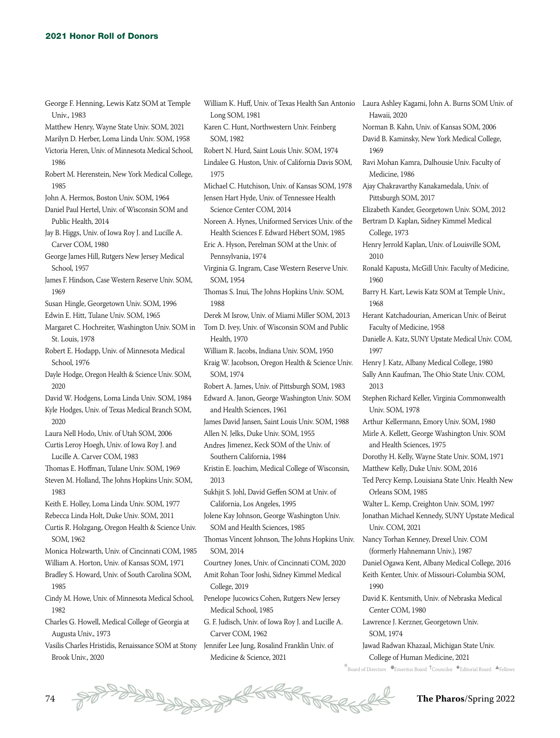| George F. Henning, Lewis Katz SOM at Temple<br>Univ., 1983 |
|------------------------------------------------------------|
| Matthew Henry, Wayne State Univ. SOM, 2021                 |
| Marilyn D. Herber, Loma Linda Univ. SOM, 1958              |
| Victoria Heren, Univ. of Minnesota Medical School,         |
| 1986                                                       |
| Robert M. Herenstein, New York Medical College,            |
| 1985                                                       |
| John A. Hermos, Boston Univ. SOM, 1964                     |
| Daniel Paul Hertel, Univ. of Wisconsin SOM and             |
| Public Health, 2014                                        |
| Jay B. Higgs, Univ. of Iowa Roy J. and Lucille A.          |
| Carver COM, 1980                                           |
| George James Hill, Rutgers New Jersey Medical              |
|                                                            |
| School, 1957                                               |
| James F. Hindson, Case Western Reserve Univ. SOM,          |
| 1969                                                       |
| Susan Hingle, Georgetown Univ. SOM, 1996                   |
| Edwin E. Hitt, Tulane Univ. SOM, 1965                      |
| Margaret C. Hochreiter, Washington Univ. SOM in            |
| St. Louis, 1978                                            |
| Robert E. Hodapp, Univ. of Minnesota Medical               |
| School, 1976                                               |
| Dayle Hodge, Oregon Health & Science Univ. SOM,            |
| 2020                                                       |
| David W. Hodgens, Loma Linda Univ. SOM, 1984               |
| Kyle Hodges, Univ. of Texas Medical Branch SOM,            |
| 2020                                                       |
| Laura Nell Hodo, Univ. of Utah SOM, 2006                   |
| Curtis Leroy Hoegh, Univ. of Iowa Roy J. and               |
| Lucille A. Carver COM, 1983                                |
| Thomas E. Hoffman, Tulane Univ. SOM, 1969                  |
| Steven M. Holland, The Johns Hopkins Univ. SOM,            |
| 1983                                                       |
| Keith E. Holley, Loma Linda Univ. SOM, 1977                |
| Rebecca Linda Holt, Duke Univ. SOM, 2011                   |
| Curtis R. Holzgang, Oregon Health & Science Univ.          |
| SOM, 1962                                                  |
| Monica Holzwarth, Univ. of Cincinnati COM, 1985            |
| William A. Horton, Univ. of Kansas SOM, 1971               |
| Bradley S. Howard, Univ. of South Carolina SOM,            |
| 1985                                                       |
| Cindy M. Howe, Univ. of Minnesota Medical School,          |
| 1982                                                       |
| Charles G. Howell, Medical College of Georgia at           |
| Augusta Univ., 1973                                        |
| Vasilis Charles Hristidis, Renaissance SOM at Stony        |
| Brook Univ., 2020                                          |

William K. Huff, Univ. of Texas Health San Antonio Laura Ashley Kagami, John A. Burns SOM Univ. of Long SOM, 1981 Karen C. Hunt, Northwestern Univ. Feinberg SOM, 1982 Robert N. Hurd, Saint Louis Univ. SOM, 1974 Lindalee G. Huston, Univ. of California Davis SOM, 1975 Michael C. Hutchison, Univ. of Kansas SOM, 1978 Jensen Hart Hyde, Univ. of Tennessee Health Science Center COM, 2014 Noreen A. Hynes, Uniformed Services Univ. of the Health Sciences F. Edward Hébert SOM, 1985 Eric A. Hyson, Perelman SOM at the Univ. of Pennsylvania, 1974 Virginia G. Ingram, Case Western Reserve Univ. SOM, 1954 Thomas S. Inui, The Johns Hopkins Univ. SOM, 1988 Derek M Isrow, Univ. of Miami Miller SOM, 2013 Tom D. Ivey, Univ. of Wisconsin SOM and Public Health, 1970 William R. Jacobs, Indiana Univ. SOM, 1950 Kraig W. Jacobson, Oregon Health & Science Univ. SOM, 1974 Robert A. James, Univ. of Pittsburgh SOM, 1983 Edward A. Janon, George Washington Univ. SOM and Health Sciences, 1961 James David Jansen, Saint Louis Univ. SOM, 1988 Allen N. Jelks, Duke Univ. SOM, 1955 Andres Jimenez, Keck SOM of the Univ. of Southern California, 1984 Kristin E. Joachim, Medical College of Wisconsin, 2013 Sukhjit S. Johl, David Geffen SOM at Univ. of California, Los Angeles, 1995 Jolene Kay Johnson, George Washington Univ. SOM and Health Sciences, 1985 Thomas Vincent Johnson, The Johns Hopkins Univ. SOM, 2014 Courtney Jones, Univ. of Cincinnati COM, 2020 Amit Rohan Toor Joshi, Sidney Kimmel Medical College, 2019 Penelope Jucowics Cohen, Rutgers New Jersey Medical School, 1985 G. F. Judisch, Univ. of Iowa Roy J. and Lucille A. Carver COM, 1962 Jennifer Lee Jung, Rosalind Franklin Univ. of Medicine & Science, 2021

 $^*$ Board of Directors  $\bullet$ Emeritus Board  $\rm ^+$ Councilor  $\bullet$ Editorial Board  $\rm \bullet$ Fellows Hawaii, 2020 Norman B. Kahn, Univ. of Kansas SOM, 2006 David B. Kaminsky, New York Medical College, 1969 Ravi Mohan Kamra, Dalhousie Univ. Faculty of Medicine, 1986 Ajay Chakravarthy Kanakamedala, Univ. of Pittsburgh SOM, 2017 Elizabeth Kander, Georgetown Univ. SOM, 2012 Bertram D. Kaplan, Sidney Kimmel Medical College, 1973 Henry Jerrold Kaplan, Univ. of Louisville SOM, 2010 Ronald Kapusta, McGill Univ. Faculty of Medicine, 1960 Barry H. Kart, Lewis Katz SOM at Temple Univ., 1968 Herant Katchadourian, American Univ. of Beirut Faculty of Medicine, 1958 Danielle A. Katz, SUNY Upstate Medical Univ. COM, 1997 Henry J. Katz, Albany Medical College, 1980 Sally Ann Kaufman, The Ohio State Univ. COM, 2013 Stephen Richard Keller, Virginia Commonwealth Univ. SOM, 1978 Arthur Kellermann, Emory Univ. SOM, 1980 Mirle A. Kellett, George Washington Univ. SOM and Health Sciences, 1975 Dorothy H. Kelly, Wayne State Univ. SOM, 1971 Matthew Kelly, Duke Univ. SOM, 2016 Ted Percy Kemp, Louisiana State Univ. Health New Orleans SOM, 1985 Walter L. Kemp, Creighton Univ. SOM, 1997 Jonathan Michael Kennedy, SUNY Upstate Medical Univ. COM, 2021 Nancy Torhan Kenney, Drexel Univ. COM (formerly Hahnemann Univ.), 1987 Daniel Ogawa Kent, Albany Medical College, 2016 Keith Kenter, Univ. of Missouri-Columbia SOM, 1990 David K. Kentsmith, Univ. of Nebraska Medical Center COM, 1980 Lawrence J. Kerzner, Georgetown Univ. SOM, 1974 Jawad Radwan Khazaal, Michigan State Univ. College of Human Medicine, 2021

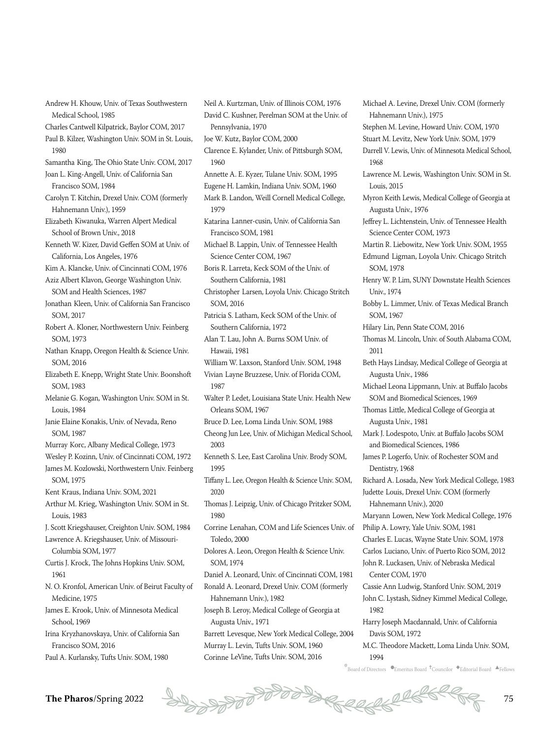Andrew H. Khouw, Univ. of Texas Southwestern Medical School, 1985 Charles Cantwell Kilpatrick, Baylor COM, 2017 Paul B. Kilzer, Washington Univ. SOM in St. Louis, 1980 Samantha King, The Ohio State Univ. COM, 2017 Joan L. King-Angell, Univ. of California San Francisco SOM, 1984 Carolyn T. Kitchin, Drexel Univ. COM (formerly Hahnemann Univ.), 1959 Elizabeth Kiwanuka, Warren Alpert Medical School of Brown Univ., 2018 Kenneth W. Kizer, David Geffen SOM at Univ. of California, Los Angeles, 1976 Kim A. Klancke, Univ. of Cincinnati COM, 1976 Aziz Albert Klavon, George Washington Univ. SOM and Health Sciences, 1987 Jonathan Kleen, Univ. of California San Francisco SOM, 2017 Robert A. Kloner, Northwestern Univ. Feinberg SOM, 1973 Nathan Knapp, Oregon Health & Science Univ. SOM, 2016 Elizabeth E. Knepp, Wright State Univ. Boonshoft SOM, 1983 Melanie G. Kogan, Washington Univ. SOM in St. Louis, 1984 Janie Elaine Konakis, Univ. of Nevada, Reno SOM, 1987 Murray Korc, Albany Medical College, 1973 Wesley P. Kozinn, Univ. of Cincinnati COM, 1972 James M. Kozlowski, Northwestern Univ. Feinberg SOM, 1975 Kent Kraus, Indiana Univ. SOM, 2021 Arthur M. Krieg, Washington Univ. SOM in St. Louis, 1983 J. Scott Kriegshauser, Creighton Univ. SOM, 1984 Lawrence A. Kriegshauser, Univ. of Missouri-Columbia SOM, 1977 Curtis J. Krock, The Johns Hopkins Univ. SOM, 1961 N. O. Kronfol, American Univ. of Beirut Faculty of Medicine, 1975 James E. Krook, Univ. of Minnesota Medical School, 1969 Irina Kryzhanovskaya, Univ. of California San Francisco SOM, 2016 Paul A. Kurlansky, Tufts Univ. SOM, 1980

Neil A. Kurtzman, Univ. of Illinois COM, 1976 David C. Kushner, Perelman SOM at the Univ. of Pennsylvania, 1970 Joe W. Kutz, Baylor COM, 2000 Clarence E. Kylander, Univ. of Pittsburgh SOM, 1960 Annette A. E. Kyzer, Tulane Univ. SOM, 1995 Eugene H. Lamkin, Indiana Univ. SOM, 1960 Mark B. Landon, Weill Cornell Medical College, 1979 Katarina Lanner-cusin, Univ. of California San Francisco SOM, 1981 Michael B. Lappin, Univ. of Tennessee Health Science Center COM, 1967 Boris R. Larreta, Keck SOM of the Univ. of Southern California, 1981 Christopher Larsen, Loyola Univ. Chicago Stritch SOM, 2016 Patricia S. Latham, Keck SOM of the Univ. of Southern California, 1972 Alan T. Lau, John A. Burns SOM Univ. of Hawaii, 1981 William W. Laxson, Stanford Univ. SOM, 1948 Vivian Layne Bruzzese, Univ. of Florida COM, 1987 Walter P. Ledet, Louisiana State Univ. Health New Orleans SOM, 1967 Bruce D. Lee, Loma Linda Univ. SOM, 1988 Cheong Jun Lee, Univ. of Michigan Medical School, 2003 Kenneth S. Lee, East Carolina Univ. Brody SOM, 1995 Tiffany L. Lee, Oregon Health & Science Univ. SOM, 2020 Thomas J. Leipzig, Univ. of Chicago Pritzker SOM, 1980 Corrine Lenahan, COM and Life Sciences Univ. of Toledo, 2000 Dolores A. Leon, Oregon Health & Science Univ. SOM, 1974 Daniel A. Leonard, Univ. of Cincinnati COM, 1981 Ronald A. Leonard, Drexel Univ. COM (formerly Hahnemann Univ.), 1982 Joseph B. Leroy, Medical College of Georgia at Augusta Univ., 1971 Barrett Levesque, New York Medical College, 2004 Murray L. Levin, Tufts Univ. SOM, 1960 Corinne LeVine, Tufts Univ. SOM, 2016

Hahnemann Univ.), 1975 Stephen M. Levine, Howard Univ. COM, 1970 Stuart M. Levitz, New York Univ. SOM, 1979 Darrell V. Lewis, Univ. of Minnesota Medical School, 1968 Lawrence M. Lewis, Washington Univ. SOM in St. Louis, 2015 Myron Keith Lewis, Medical College of Georgia at Augusta Univ., 1976 Jeffrey L. Lichtenstein, Univ. of Tennessee Health Science Center COM, 1973 Martin R. Liebowitz, New York Univ. SOM, 1955 Edmund Ligman, Loyola Univ. Chicago Stritch SOM, 1978 Henry W. P. Lim, SUNY Downstate Health Sciences Univ., 1974 Bobby L. Limmer, Univ. of Texas Medical Branch SOM, 1967 Hilary Lin, Penn State COM, 2016 Thomas M. Lincoln, Univ. of South Alabama COM, 2011 Beth Hays Lindsay, Medical College of Georgia at Augusta Univ., 1986 Michael Leona Lippmann, Univ. at Buffalo Jacobs SOM and Biomedical Sciences, 1969 Thomas Little, Medical College of Georgia at Augusta Univ., 1981 Mark J. Lodespoto, Univ. at Buffalo Jacobs SOM and Biomedical Sciences, 1986 James P. Logerfo, Univ. of Rochester SOM and Dentistry, 1968 Richard A. Losada, New York Medical College, 1983 Judette Louis, Drexel Univ. COM (formerly Hahnemann Univ.), 2020 Maryann Lowen, New York Medical College, 1976 Philip A. Lowry, Yale Univ. SOM, 1981 Charles E. Lucas, Wayne State Univ. SOM, 1978 Carlos Luciano, Univ. of Puerto Rico SOM, 2012 John R. Luckasen, Univ. of Nebraska Medical Center COM, 1970 Cassie Ann Ludwig, Stanford Univ. SOM, 2019 John C. Lystash, Sidney Kimmel Medical College, 1982 Harry Joseph Macdannald, Univ. of California Davis SOM, 1972 M.C. Theodore Mackett, Loma Linda Univ. SOM,

Michael A. Levine, Drexel Univ. COM (formerly

 $^*$ Board of Directors  $\bullet$ Emeritus Board  $\rm ^+$ Councilor  $\bullet$ Editorial Board  $\rm \bullet$ Fellows

1994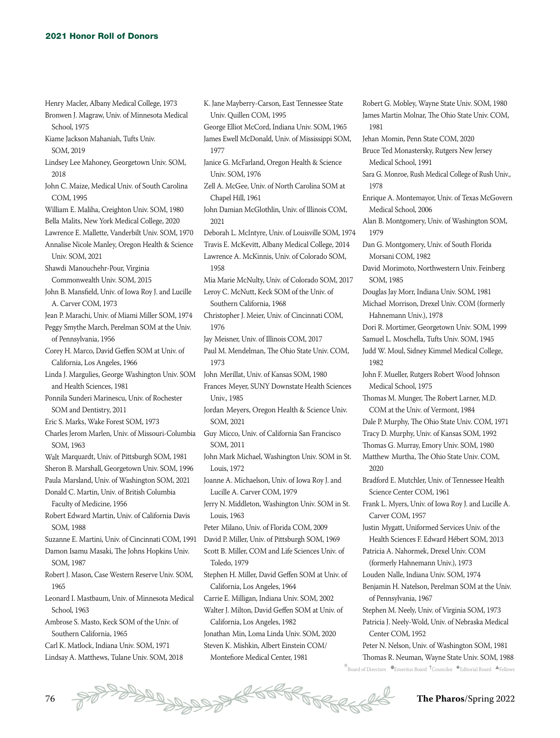- Henry Macler, Albany Medical College, 1973 Bronwen J. Magraw, Univ. of Minnesota Medical School, 1975 Kiame Jackson Mahaniah, Tufts Univ. SOM, 2019 Lindsey Lee Mahoney, Georgetown Univ. SOM, John C. Maize, Medical Univ. of South Carolina William E. Maliha, Creighton Univ. SOM, 1980 Bella Malits, New York Medical College, 2020 Lawrence E. Mallette, Vanderbilt Univ. SOM, 1970 Annalise Nicole Manley, Oregon Health & Science Univ. SOM, 2021 Commonwealth Univ. SOM, 2015 A. Carver COM, 1973 Peggy Smythe March, Perelman SOM at the Univ. of Pennsylvania, 1956 Ponnila Sunderi Marinescu, Univ. of Rochester SOM and Dentistry, 2011 Eric S. Marks, Wake Forest SOM, 1973 Sheron B. Marshall, Georgetown Univ. SOM, 1996 Paula Marsland, Univ. of Washington SOM, 2021 Donald C. Martin, Univ. of British Columbia Faculty of Medicine, 1956 SOM, 1988 Suzanne E. Martini, Univ. of Cincinnati COM, 1991 SOM, 1987 Leonard I. Mastbaum, Univ. of Minnesota Medical Ambrose S. Masto, Keck SOM of the Univ. of Carl K. Matlock, Indiana Univ. SOM, 1971
- 2018
- COM, 1995
- 
- 
- 
- 
- Shawdi Manouchehr-Pour, Virginia
- John B. Mansfield, Univ. of Iowa Roy J. and Lucille
- Jean P. Marachi, Univ. of Miami Miller SOM, 1974
- 
- 
- Corey H. Marco, David Geffen SOM at Univ. of California, Los Angeles, 1966
- Linda J. Margulies, George Washington Univ. SOM and Health Sciences, 1981
- 
- 
- Charles Jerom Marlen, Univ. of Missouri-Columbia SOM, 1963
- Walt Marquardt, Univ. of Pittsburgh SOM, 1981
- 
- 
- 
- Robert Edward Martin, Univ. of California Davis
- 
- Damon Isamu Masaki, The Johns Hopkins Univ.
- Robert J. Mason, Case Western Reserve Univ. SOM, 1965
- School, 1963
- Southern California, 1965
- 
- Lindsay A. Matthews, Tulane Univ. SOM, 2018
- K. Jane Mayberry-Carson, East Tennessee State Univ. Quillen COM, 1995 George Elliot McCord, Indiana Univ. SOM, 1965 James Ewell McDonald, Univ. of Mississippi SOM, 1977 Janice G. McFarland, Oregon Health & Science Univ. SOM, 1976 Zell A. McGee, Univ. of North Carolina SOM at Chapel Hill, 1961 John Damian McGlothlin, Univ. of Illinois COM, 2021 Deborah L. McIntyre, Univ. of Louisville SOM, 1974 Travis E. McKevitt, Albany Medical College, 2014 Lawrence A. McKinnis, Univ. of Colorado SOM, 1958 Mia Marie McNulty, Univ. of Colorado SOM, 2017 Leroy C. McNutt, Keck SOM of the Univ. of Southern California, 1968 Christopher J. Meier, Univ. of Cincinnati COM, 1976 Jay Meisner, Univ. of Illinois COM, 2017 Paul M. Mendelman, The Ohio State Univ. COM, 1973 John Merillat, Univ. of Kansas SOM, 1980 Frances Meyer, SUNY Downstate Health Sciences Univ., 1985 Jordan Meyers, Oregon Health & Science Univ. SOM, 2021 Guy Micco, Univ. of California San Francisco SOM, 2011 John Mark Michael, Washington Univ. SOM in St. Louis, 1972 Joanne A. Michaelson, Univ. of Iowa Roy J. and Lucille A. Carver COM, 1979 Jerry N. Middleton, Washington Univ. SOM in St. Louis, 1963 Peter Milano, Univ. of Florida COM, 2009 David P. Miller, Univ. of Pittsburgh SOM, 1969 Scott B. Miller, COM and Life Sciences Univ. of Toledo, 1979 Stephen H. Miller, David Geffen SOM at Univ. of California, Los Angeles, 1964 Carrie E. Milligan, Indiana Univ. SOM, 2002 Walter J. Milton, David Geffen SOM at Univ. of California, Los Angeles, 1982 Jonathan Min, Loma Linda Univ. SOM, 2020
- Steven K. Mishkin, Albert Einstein COM/ Montefiore Medical Center, 1981
- Robert G. Mobley, Wayne State Univ. SOM, 1980 James Martin Molnar, The Ohio State Univ. COM, 1981
- Jehan Momin, Penn State COM, 2020
- Bruce Ted Monastersky, Rutgers New Jersey Medical School, 1991
- Sara G. Monroe, Rush Medical College of Rush Univ., 1978
- Enrique A. Montemayor, Univ. of Texas McGovern Medical School, 2006
- Alan B. Montgomery, Univ. of Washington SOM, 1979
- Dan G. Montgomery, Univ. of South Florida Morsani COM, 1982
- David Morimoto, Northwestern Univ. Feinberg SOM, 1985
- Douglas Jay Morr, Indiana Univ. SOM, 1981
- Michael Morrison, Drexel Univ. COM (formerly Hahnemann Univ.), 1978
- Dori R. Mortimer, Georgetown Univ. SOM, 1999
- Samuel L. Moschella, Tufts Univ. SOM, 1945
- Judd W. Moul, Sidney Kimmel Medical College, 1982
- John F. Mueller, Rutgers Robert Wood Johnson Medical School, 1975
- Thomas M. Munger, The Robert Larner, M.D. COM at the Univ. of Vermont, 1984
- Dale P. Murphy, The Ohio State Univ. COM, 1971
- Tracy D. Murphy, Univ. of Kansas SOM, 1992
- Thomas G. Murray, Emory Univ. SOM, 1980
- Matthew Murtha, The Ohio State Univ. COM, 2020
- Bradford E. Mutchler, Univ. of Tennessee Health Science Center COM, 1961
- Frank L. Myers, Univ. of Iowa Roy J. and Lucille A. Carver COM, 1957
- Justin Mygatt, Uniformed Services Univ. of the Health Sciences F. Edward Hébert SOM, 2013
- Patricia A. Nahormek, Drexel Univ. COM (formerly Hahnemann Univ.), 1973
- Louden Nalle, Indiana Univ. SOM, 1974
- Benjamin H. Natelson, Perelman SOM at the Univ. of Pennsylvania, 1967
- Stephen M. Neely, Univ. of Virginia SOM, 1973
- Patricia J. Neely-Wold, Univ. of Nebraska Medical Center COM, 1952
- Peter N. Nelson, Univ. of Washington SOM, 1981 Thomas R. Neuman, Wayne State Univ. SOM, 1988
- $^*$ Board of Directors  $\bullet$ Emeritus Board  $\rm ^+$ Councilor  $\bullet$ Editorial Board  $\rm \bullet$ Fellows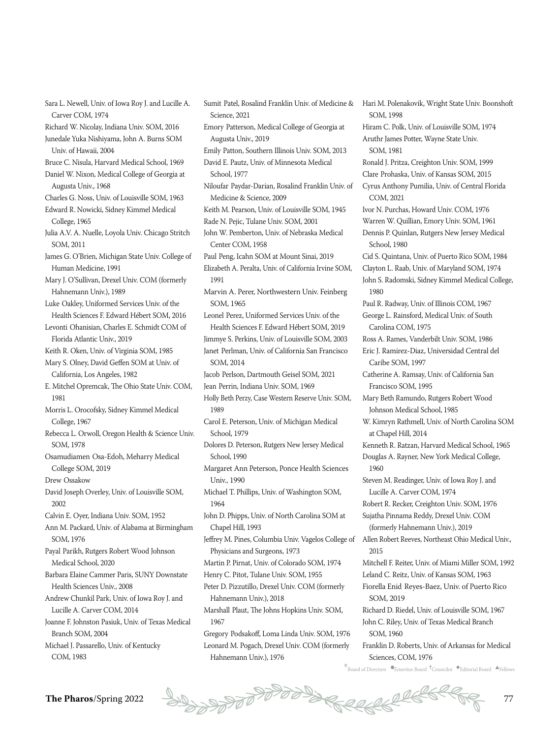Sara L. Newell, Univ. of Iowa Roy J. and Lucille A. Carver COM, 1974 Richard W. Nicolay, Indiana Univ. SOM, 2016 Junedale Yuka Nishiyama, John A. Burns SOM Univ. of Hawaii, 2004 Bruce C. Nisula, Harvard Medical School, 1969 Daniel W. Nixon, Medical College of Georgia at Augusta Univ., 1968 Charles G. Noss, Univ. of Louisville SOM, 1963 Edward R. Nowicki, Sidney Kimmel Medical College, 1965 Julia A.V. A. Nuelle, Loyola Univ. Chicago Stritch SOM, 2011 James G. O'Brien, Michigan State Univ. College of Human Medicine, 1991 Mary J. O'Sullivan, Drexel Univ. COM (formerly Hahnemann Univ.), 1989 Luke Oakley, Uniformed Services Univ. of the Health Sciences F. Edward Hébert SOM, 2016 Levonti Ohanisian, Charles E. Schmidt COM of Florida Atlantic Univ., 2019 Keith R. Oken, Univ. of Virginia SOM, 1985 Mary S. Olney, David Geffen SOM at Univ. of California, Los Angeles, 1982 E. Mitchel Opremcak, The Ohio State Univ. COM, 1981 Morris L. Orocofsky, Sidney Kimmel Medical College, 1967 Rebecca L. Orwoll, Oregon Health & Science Univ. SOM, 1978 Osamudiamen Osa-Edoh, Meharry Medical College SOM, 2019 Drew Ossakow David Joseph Overley, Univ. of Louisville SOM, 2002 Calvin E. Oyer, Indiana Univ. SOM, 1952 Ann M. Packard, Univ. of Alabama at Birmingham SOM, 1976 Payal Parikh, Rutgers Robert Wood Johnson Medical School, 2020 Barbara Elaine Cammer Paris, SUNY Downstate Health Sciences Univ., 2008 Andrew Chunkil Park, Univ. of Iowa Roy J. and Lucille A. Carver COM, 2014 Joanne F. Johnston Pasiuk, Univ. of Texas Medical Branch SOM, 2004 Michael J. Passarello, Univ. of Kentucky COM, 1983

Sumit Patel, Rosalind Franklin Univ. of Medicine & Science, 2021 Emory Patterson, Medical College of Georgia at Augusta Univ., 2019 Emily Patton, Southern Illinois Univ. SOM, 2013 David E. Pautz, Univ. of Minnesota Medical School, 1977 Niloufar Paydar-Darian, Rosalind Franklin Univ. of Medicine & Science, 2009 Keith M. Pearson, Univ. of Louisville SOM, 1945 Rade N. Pejic, Tulane Univ. SOM, 2001 John W. Pemberton, Univ. of Nebraska Medical Center COM, 1958 Paul Peng, Icahn SOM at Mount Sinai, 2019 Elizabeth A. Peralta, Univ. of California Irvine SOM, 1991 Marvin A. Perer, Northwestern Univ. Feinberg SOM, 1965 Leonel Perez, Uniformed Services Univ. of the Health Sciences F. Edward Hébert SOM, 2019 Jimmye S. Perkins, Univ. of Louisville SOM, 2003 Janet Perlman, Univ. of California San Francisco SOM, 2014 Jacob Perlson, Dartmouth Geisel SOM, 2021 Jean Perrin, Indiana Univ. SOM, 1969 Holly Beth Perzy, Case Western Reserve Univ. SOM, 1989 Carol E. Peterson, Univ. of Michigan Medical School, 1979 Dolores D. Peterson, Rutgers New Jersey Medical School, 1990 Margaret Ann Peterson, Ponce Health Sciences Univ., 1990 Michael T. Phillips, Univ. of Washington SOM, 1964 John D. Phipps, Univ. of North Carolina SOM at Chapel Hill, 1993 Jeffrey M. Pines, Columbia Univ. Vagelos College of Physicians and Surgeons, 1973 Martin P. Pirnat, Univ. of Colorado SOM, 1974 Henry C. Pitot, Tulane Univ. SOM, 1955 Peter D. Pizzutillo, Drexel Univ. COM (formerly Hahnemann Univ.), 2018 Marshall Plaut, The Johns Hopkins Univ. SOM, 1967 Gregory Podsakoff, Loma Linda Univ. SOM, 1976 Leonard M. Pogach, Drexel Univ. COM (formerly Hahnemann Univ.), 1976

 $k$ Board of Directors  $\bullet$ Emeritus Board  $\dagger$ Councilor  $\bullet$ Editorial Board  $\bullet$ Fellows SOM, 1998 Hiram C. Polk, Univ. of Louisville SOM, 1974 Aruthr James Potter, Wayne State Univ. SOM, 1981 Ronald J. Pritza, Creighton Univ. SOM, 1999 Clare Prohaska, Univ. of Kansas SOM, 2015 Cyrus Anthony Pumilia, Univ. of Central Florida COM, 2021 Ivor N. Purchas, Howard Univ. COM, 1976 Warren W. Quillian, Emory Univ. SOM, 1961 Dennis P. Quinlan, Rutgers New Jersey Medical School, 1980 Cid S. Quintana, Univ. of Puerto Rico SOM, 1984 Clayton L. Raab, Univ. of Maryland SOM, 1974 John S. Radomski, Sidney Kimmel Medical College, 1980 Paul R. Radway, Univ. of Illinois COM, 1967 George L. Rainsford, Medical Univ. of South Carolina COM, 1975 Ross A. Rames, Vanderbilt Univ. SOM, 1986 Eric J. Ramirez-Diaz, Universidad Central del Caribe SOM, 1997 Catherine A. Ramsay, Univ. of California San Francisco SOM, 1995 Mary Beth Ramundo, Rutgers Robert Wood Johnson Medical School, 1985 W. Kimryn Rathmell, Univ. of North Carolina SOM at Chapel Hill, 2014 Kenneth R. Ratzan, Harvard Medical School, 1965 Douglas A. Rayner, New York Medical College, 1960 Steven M. Readinger, Univ. of Iowa Roy J. and Lucille A. Carver COM, 1974 Robert R. Recker, Creighton Univ. SOM, 1976 Sujatha Pinnama Reddy, Drexel Univ. COM (formerly Hahnemann Univ.), 2019 Allen Robert Reeves, Northeast Ohio Medical Univ., 2015 Mitchell F. Reiter, Univ. of Miami Miller SOM, 1992 Leland C. Reitz, Univ. of Kansas SOM, 1963 Fiorella Enid Reyes-Baez, Univ. of Puerto Rico SOM, 2019 Richard D. Riedel, Univ. of Louisville SOM, 1967 John C. Riley, Univ. of Texas Medical Branch SOM, 1960 Franklin D. Roberts, Univ. of Arkansas for Medical Sciences, COM, 1976

Hari M. Polenakovik, Wright State Univ. Boonshoft

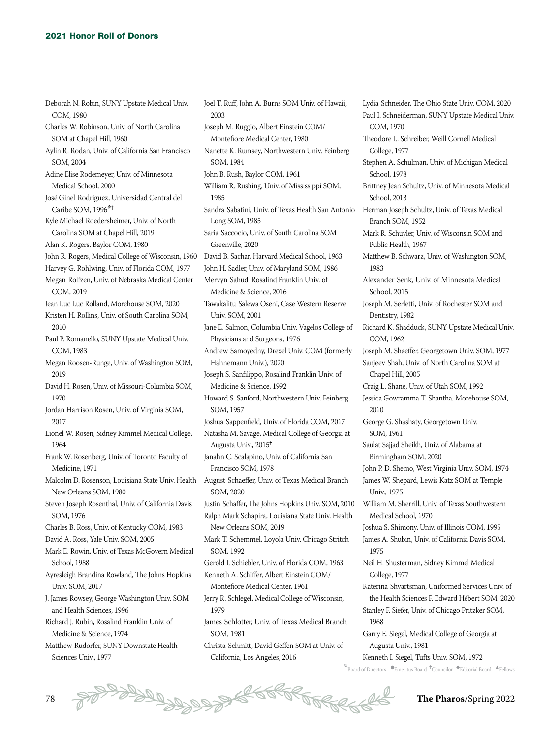Deborah N. Robin, SUNY Upstate Medical Univ. COM, 1980 Charles W. Robinson, Univ. of North Carolina SOM at Chapel Hill, 1960 Aylin R. Rodan, Univ. of California San Francisco SOM, 2004 Adine Elise Rodemeyer, Univ. of Minnesota Medical School, 2000 José Ginel Rodriguez, Universidad Central del Caribe SOM, 1996\*<sup>+</sup> Kyle Michael Roedersheimer, Univ. of North Carolina SOM at Chapel Hill, 2019 Alan K. Rogers, Baylor COM, 1980 John R. Rogers, Medical College of Wisconsin, 1960 Harvey G. Rohlwing, Univ. of Florida COM, 1977 Megan Rolfzen, Univ. of Nebraska Medical Center COM, 2019 Jean Luc Luc Rolland, Morehouse SOM, 2020 Kristen H. Rollins, Univ. of South Carolina SOM, 2010 Paul P. Romanello, SUNY Upstate Medical Univ. COM, 1983 Megan Roosen-Runge, Univ. of Washington SOM, 2019 David H. Rosen, Univ. of Missouri-Columbia SOM, 1970 Jordan Harrison Rosen, Univ. of Virginia SOM, 2017 Lionel W. Rosen, Sidney Kimmel Medical College, 1964 Frank W. Rosenberg, Univ. of Toronto Faculty of Medicine, 1971 Malcolm D. Rosenson, Louisiana State Univ. Health New Orleans SOM, 1980 Steven Joseph Rosenthal, Univ. of California Davis SOM, 1976 Charles B. Ross, Univ. of Kentucky COM, 1983 David A. Ross, Yale Univ. SOM, 2005 Mark E. Rowin, Univ. of Texas McGovern Medical School, 1988 Ayresleigh Brandina Rowland, The Johns Hopkins Univ. SOM, 2017 J. James Rowsey, George Washington Univ. SOM and Health Sciences, 1996 Richard J. Rubin, Rosalind Franklin Univ. of Medicine & Science, 1974 Matthew Rudorfer, SUNY Downstate Health 2003 1985 1979

Joel T. Ruff, John A. Burns SOM Univ. of Hawaii, Joseph M. Ruggio, Albert Einstein COM/ Montefiore Medical Center, 1980 Nanette K. Rumsey, Northwestern Univ. Feinberg SOM, 1984 John B. Rush, Baylor COM, 1961 William R. Rushing, Univ. of Mississippi SOM, Sandra Sabatini, Univ. of Texas Health San Antonio Long SOM, 1985 Saria Saccocio, Univ. of South Carolina SOM Greenville, 2020 David B. Sachar, Harvard Medical School, 1963 John H. Sadler, Univ. of Maryland SOM, 1986 Mervyn Sahud, Rosalind Franklin Univ. of Medicine & Science, 2016 Tawakalitu Salewa Oseni, Case Western Reserve Univ. SOM, 2001 Jane E. Salmon, Columbia Univ. Vagelos College of Physicians and Surgeons, 1976 Andrew Samoyedny, Drexel Univ. COM (formerly Hahnemann Univ.), 2020 Joseph S. Sanfilippo, Rosalind Franklin Univ. of Medicine & Science, 1992 Howard S. Sanford, Northwestern Univ. Feinberg SOM, 1957 Joshua Sappenfield, Univ. of Florida COM, 2017 Natasha M. Savage, Medical College of Georgia at Augusta Univ., 2015<sup>†</sup> Janahn C. Scalapino, Univ. of California San Francisco SOM, 1978 August Schaeffer, Univ. of Texas Medical Branch SOM, 2020 Justin Schaffer, The Johns Hopkins Univ. SOM, 2010 Ralph Mark Schapira, Louisiana State Univ. Health New Orleans SOM, 2019 Mark T. Schemmel, Loyola Univ. Chicago Stritch SOM, 1992 Gerold L Schiebler, Univ. of Florida COM, 1963 Kenneth A. Schiffer, Albert Einstein COM/ Montefiore Medical Center, 1961 Jerry R. Schlegel, Medical College of Wisconsin, James Schlotter, Univ. of Texas Medical Branch SOM, 1981 Christa Schmitt, David Geffen SOM at Univ. of California, Los Angeles, 2016

COM, 1970 Theodore L. Schreiber, Weill Cornell Medical College, 1977 Stephen A. Schulman, Univ. of Michigan Medical School, 1978 Brittney Jean Schultz, Univ. of Minnesota Medical School, 2013 Herman Joseph Schultz, Univ. of Texas Medical Branch SOM, 1952 Mark R. Schuyler, Univ. of Wisconsin SOM and Public Health, 1967 Matthew B. Schwarz, Univ. of Washington SOM, 1983 Alexander Senk, Univ. of Minnesota Medical School, 2015 Joseph M. Serletti, Univ. of Rochester SOM and Dentistry, 1982 Richard K. Shadduck, SUNY Upstate Medical Univ. COM, 1962 Joseph M. Shaeffer, Georgetown Univ. SOM, 1977 Sanjeev Shah, Univ. of North Carolina SOM at Chapel Hill, 2005 Craig L. Shane, Univ. of Utah SOM, 1992 Jessica Gowramma T. Shantha, Morehouse SOM, 2010 George G. Shashaty, Georgetown Univ. SOM, 1961 Saulat Sajjad Sheikh, Univ. of Alabama at Birmingham SOM, 2020 John P. D. Shemo, West Virginia Univ. SOM, 1974 James W. Shepard, Lewis Katz SOM at Temple Univ., 1975 William M. Sherrill, Univ. of Texas Southwestern Medical School, 1970 Joshua S. Shimony, Univ. of Illinois COM, 1995 James A. Shubin, Univ. of California Davis SOM, 1975 Neil H. Shusterman, Sidney Kimmel Medical College, 1977 Katerina Shvartsman, Uniformed Services Univ. of the Health Sciences F. Edward Hébert SOM, 2020 Stanley F. Siefer, Univ. of Chicago Pritzker SOM, 1968 Garry E. Siegel, Medical College of Georgia at Augusta Univ., 1981

Lydia Schneider, The Ohio State Univ. COM, 2020 Paul I. Schneiderman, SUNY Upstate Medical Univ.

Kenneth I. Siegel, Tufts Univ. SOM, 1972

 $^*$ Board of Directors  $\bullet$ Emeritus Board  $\rm ^+$ Councilor  $\bullet$ Editorial Board  $\rm \bullet$ Fellows

Sciences Univ., 1977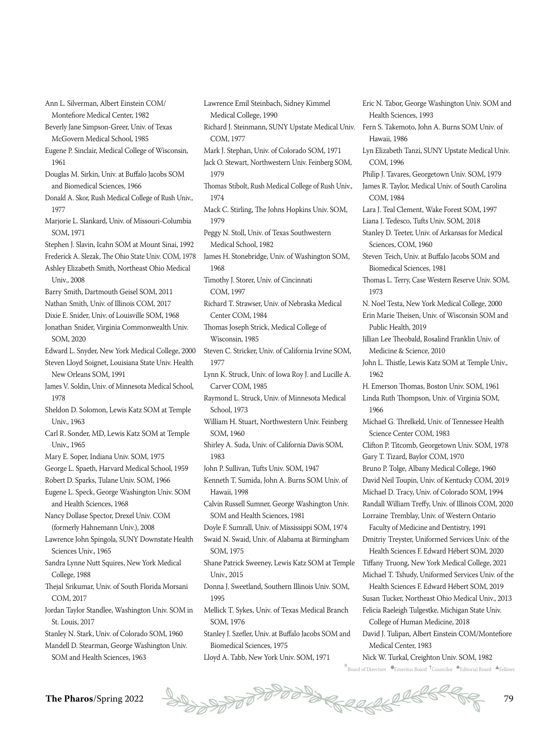Ann L. Silverman, Albert Einstein COM/ Montefiore Medical Center, 1982

- Beverly Jane Simpson-Greer, Univ. of Texas McGovern Medical School, 1985
- Eugene P. Sinclair, Medical College of Wisconsin, 1961
- Douglas M. Sirkin, Univ. at Buffalo Jacobs SOM and Biomedical Sciences, 1966
- Donald A. Skor, Rush Medical College of Rush Univ., 1977
- Marjorie L. Slankard, Univ. of Missouri-Columbia SOM, 1971
- Stephen J. Slavin, Icahn SOM at Mount Sinai, 1992
- Frederick A. Slezak, The Ohio State Univ. COM, 1978 Ashley Elizabeth Smith, Northeast Ohio Medical
- Univ., 2008
- Barry Smith, Dartmouth Geisel SOM, 2011
- Nathan Smith, Univ. of Illinois COM, 2017
- Dixie E. Snider, Univ. of Louisville SOM, 1968 Jonathan Snider, Virginia Commonwealth Univ.
- SOM, 2020

Edward L. Snyder, New York Medical College, 2000 Steven Lloyd Soignet, Louisiana State Univ. Health New Orleans SOM, 1991

- James V. Soldin, Univ. of Minnesota Medical School, 1978
- Sheldon D. Solomon, Lewis Katz SOM at Temple Univ., 1963
- Carl R. Sonder, MD, Lewis Katz SOM at Temple Univ., 1965
- Mary E. Soper, Indiana Univ. SOM, 1975
- George L. Spaeth, Harvard Medical School, 1959
- Robert D. Sparks, Tulane Univ. SOM, 1966
- Eugene L. Speck, George Washington Univ. SOM and Health Sciences, 1968
- Nancy Dollase Spector, Drexel Univ. COM (formerly Hahnemann Univ.), 2008
- Lawrence John Spingola, SUNY Downstate Health Sciences Univ., 1965
- Sandra Lynne Nutt Squires, New York Medical College, 1988
- Thejal Srikumar, Univ. of South Florida Morsani COM, 2017
- Jordan Taylor Standlee, Washington Univ. SOM in St. Louis, 2017
- Stanley N. Stark, Univ. of Colorado SOM, 1960
- Mandell D. Stearman, George Washington Univ. SOM and Health Sciences, 1963
- Lawrence Emil Steinbach, Sidney Kimmel Medical College, 1990 COM, 1977 Mark J. Stephan, Univ. of Colorado SOM, 1971 Jack O. Stewart, Northwestern Univ. Feinberg SOM, 1979 Thomas Stibolt, Rush Medical College of Rush Univ., 1974 Mack C. Stirling, The Johns Hopkins Univ. SOM, 1979 Peggy N. Stoll, Univ. of Texas Southwestern Medical School, 1982 James H. Stonebridge, Univ. of Washington SOM, 1968 Timothy J. Storer, Univ. of Cincinnati COM, 1997 Richard T. Strawser, Univ. of Nebraska Medical Center COM, 1984 Thomas Joseph Strick, Medical College of Wisconsin, 1985 Steven C. Stricker, Univ. of California Irvine SOM, 1977 Lynn K. Struck, Univ. of Iowa Roy J. and Lucille A. Carver COM, 1985 Raymond L. Struck, Univ. of Minnesota Medical School, 1973 William H. Stuart, Northwestern Univ. Feinberg SOM, 1960 Shirley A. Suda, Univ. of California Davis SOM, 1983 John P. Sullivan, Tufts Univ. SOM, 1947 Kenneth T. Sumida, John A. Burns SOM Univ. of Hawaii, 1998 Calvin Russell Sumner, George Washington Univ. SOM and Health Sciences, 1981 Doyle F. Sumrall, Univ. of Mississippi SOM, 1974 Swaid N. Swaid, Univ. of Alabama at Birmingham SOM, 1975 Shane Patrick Sweeney, Lewis Katz SOM at Temple Univ. 2015 Donna J. Sweetland, Southern Illinois Univ. SOM, 1995
- Mellick T. Sykes, Univ. of Texas Medical Branch SOM, 1976
- Stanley J. Szefler, Univ. at Buffalo Jacobs SOM and Biomedical Sciences, 1975
- Lloyd A. Tabb, New York Univ. SOM, 1971
- Richard J. Steinmann, SUNY Upstate Medical Univ. Fern S. Takemoto, John A. Burns SOM Univ. of Health Sciences, 1993 Hawaii, 1986 Lyn Elizabeth Tanzi, SUNY Upstate Medical Univ. COM, 1996 Philip J. Tavares, Georgetown Univ. SOM, 1979 James R. Taylor, Medical Univ. of South Carolina COM, 1984 Lara J. Teal Clement, Wake Forest SOM, 1997 Liana J. Tedesco, Tufts Univ. SOM, 2018 Stanley D. Teeter, Univ. of Arkansas for Medical Sciences, COM, 1960 Steven Teich, Univ. at Buffalo Jacobs SOM and Biomedical Sciences, 1981 Thomas L. Terry, Case Western Reserve Univ. SOM, 1973 N. Noel Testa, New York Medical College, 2000 Erin Marie Theisen, Univ. of Wisconsin SOM and Public Health, 2019 Jillian Lee Theobald, Rosalind Franklin Univ. of Medicine & Science, 2010 John L. Thistle, Lewis Katz SOM at Temple Univ., 1962 H. Emerson Thomas, Boston Univ. SOM, 1961 Linda Ruth Thompson, Univ. of Virginia SOM, 1966 Michael G. Threlkeld, Univ. of Tennessee Health Science Center COM, 1983 Clifton P. Titcomb, Georgetown Univ. SOM, 1978 Gary T. Tizard, Baylor COM, 1970 Bruno P. Tolge, Albany Medical College, 1960 David Neil Toupin, Univ. of Kentucky COM, 2019 Michael D. Tracy, Univ. of Colorado SOM, 1994 Randall William Treffy, Univ. of Illinois COM, 2020 Lorraine Tremblay, Univ. of Western Ontario Faculty of Medicine and Dentistry, 1991 Dmitriy Treyster, Uniformed Services Univ. of the Health Sciences F. Edward Hébert SOM, 2020 Tiffany Truong, New York Medical College, 2021 Michael T. Tshudy, Uniformed Services Univ. of the Health Sciences F. Edward Hébert SOM, 2019 Susan Tucker, Northeast Ohio Medical Univ., 2013 Felicia Raeleigh Tulgestke, Michigan State Univ.

Eric N. Tabor, George Washington Univ. SOM and

- College of Human Medicine, 2018
- David J. Tulipan, Albert Einstein COM/Montefiore Medical Center, 1983
- Nick W. Turkal, Creighton Univ. SOM, 1982
- $^*$ Board of Directors  $\bullet$ Emeritus Board  $\rm ^+$ Councilor  $\bullet$ Editorial Board  $\rm \bullet$ Fellows